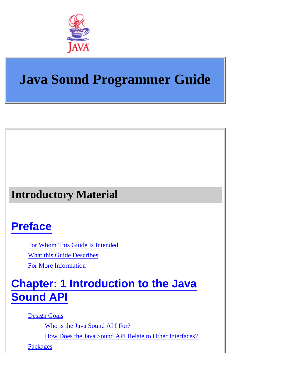

## **Java Sound Programmer Guide**

### **Introductory Material**

### **[Preface](#page-7-0)**

[For Whom This Guide Is Intended](#page-7-1) [What this Guide Describes](#page-7-2) [For More Information](#page-8-0)

### **[Chapter: 1 Introduction to the Java](#page-9-0) [Sound API](#page-9-0)**

[Design Goals](#page-9-1)

[Who is the Java Sound API For?](#page-9-2)

[How Does the Java Sound API Relate to Other Interfaces?](#page-9-3)

[Packages](#page-10-0)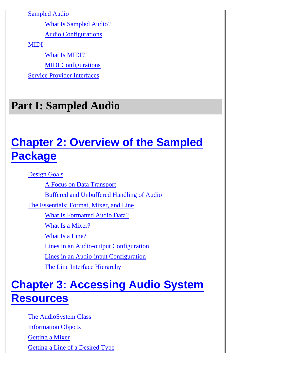[Sampled Audio](#page-10-1)

[What Is Sampled Audio?](#page-10-2)

[Audio Configurations](#page-11-0)

[MIDI](#page-12-0)

[What Is MIDI?](#page-12-1) [MIDI Configurations](#page-13-0) [Service Provider Interfaces](#page-14-0)

### **Part I: Sampled Audio**

## **[Chapter 2: Overview of the Sampled](#page-15-0) [Package](#page-15-0)**

[Design Goals](#page-15-1)

[A Focus on Data Transport](#page-15-2) [Buffered and Unbuffered Handling of Audio](#page-15-3) [The Essentials: Format, Mixer, and Line](#page-16-0) [What Is Formatted Audio Data?](#page-16-1) [What Is a Mixer?](#page-18-0) [What Is a Line?](#page-20-0) [Lines in an Audio-output Configuration](#page-20-1) [Lines in an Audio-input Configuration](#page-21-0) [The Line Interface Hierarchy](#page-21-1)

### **[Chapter 3: Accessing Audio System](#page-25-0) [Resources](#page-25-0)**

[The AudioSystem Class](#page-25-1) [Information Objects](#page-26-0) [Getting a Mixer](#page-26-1) [Getting a Line of a Desired Type](#page-27-0)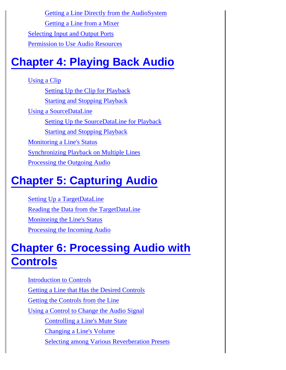[Getting a Line Directly from the AudioSystem](#page-27-1) [Getting a Line from a Mixer](#page-28-0) [Selecting Input and Output Ports](#page-29-0) [Permission to Use Audio Resources](#page-29-1)

## **[Chapter 4: Playing Back Audio](#page-31-0)**

[Using a Clip](#page-32-0) [Setting Up the Clip for Playback](#page-32-1) [Starting and Stopping Playback](#page-32-2) [Using a SourceDataLine](#page-32-3) [Setting Up the SourceDataLine for Playback](#page-33-0) [Starting and Stopping Playback](#page-34-0) [Monitoring a Line's Status](#page-36-0) [Synchronizing Playback on Multiple Lines](#page-36-1) [Processing the Outgoing Audio](#page-37-0)

## **[Chapter 5: Capturing Audio](#page-38-0)**

[Setting Up a TargetDataLine](#page-38-1) [Reading the Data from the TargetDataLine](#page-39-0) [Monitoring the Line's Status](#page-41-0) [Processing the Incoming Audio](#page-41-1)

## **[Chapter 6: Processing Audio with](#page-42-0) [Controls](#page-42-0)**

Introduction to Controls [Getting a Line that Has the Desired Controls](#page-44-0) [Getting the Controls from the Line](#page-45-0) [Using a Control to Change the Audio Signal](#page-46-0) [Controlling a Line's Mute State](#page-46-1) [Changing a Line's Volume](#page-47-0) [Selecting among Various Reverberation Presets](#page-47-1)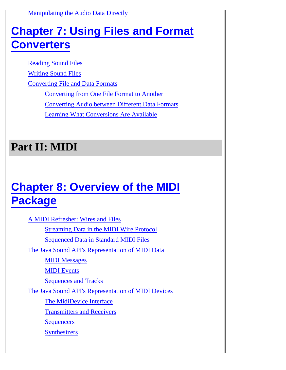[Manipulating the Audio Data Directly](#page-47-2)

### **[Chapter 7: Using Files and Format](#page-49-0) [Converters](#page-49-0)**

Reading Sound Files Writing Sound Files

Converting File and Data Formats

Converting from One File Format to Another

Converting Audio between Different Data Formats

Learning What Conversions Are Available

### **Part II: MIDI**

## **[Chapter 8: Overview of the MIDI](#page-59-0) [Package](#page-59-0)**

[A MIDI Refresher: Wires and Files](#page-59-1) [Streaming Data in the MIDI Wire Protocol](#page-60-0) [Sequenced Data in Standard MIDI Files](#page-60-1) [The Java Sound API's Representation of MIDI Data](#page-61-0) **MIDI** Messages [MIDI Events](#page-61-2) [Sequences and Tracks](#page-62-0) [The Java Sound API's Representation of MIDI Devices](#page-62-1) [The MidiDevice Interface](#page-62-2) [Transmitters and Receivers](#page-63-0) **[Sequencers](#page-63-1) [Synthesizers](#page-63-2)**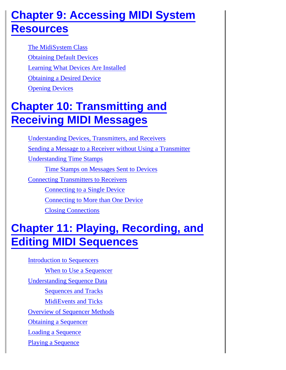### **[Chapter 9: Accessing MIDI System](#page-65-0) [Resources](#page-65-0)**

[The MidiSystem Class](#page-65-1) [Obtaining Default Devices](#page-66-0) [Learning What Devices Are Installed](#page-66-1) [Obtaining a Desired Device](#page-67-0) [Opening Devices](#page-68-0)

## **[Chapter 10: Transmitting and](#page-69-0) [Receiving MIDI Messages](#page-69-0)**

[Understanding Devices, Transmitters, and Receivers](#page-69-1) [Sending a Message to a Receiver without Using a Transmitter](#page-70-0) [Understanding Time Stamps](#page-71-0) [Time Stamps on Messages Sent to Devices](#page-71-1) [Connecting Transmitters to Receivers](#page-72-0) [Connecting to a Single Device](#page-72-1) [Connecting to More than One Device](#page-73-0) [Closing Connections](#page-74-0)

## **[Chapter 11: Playing, Recording, and](#page-76-0) [Editing MIDI Sequences](#page-76-0)**

[Introduction to Sequencers](#page-76-1) [When to Use a Sequencer](#page-77-0) [Understanding Sequence Data](#page-77-1) [Sequences and Tracks](#page-77-2) [MidiEvents and Ticks](#page-78-0) [Overview of Sequencer Methods](#page-80-0) [Obtaining a Sequencer](#page-80-1) [Loading a Sequence](#page-81-0) [Playing a Sequence](#page-82-0)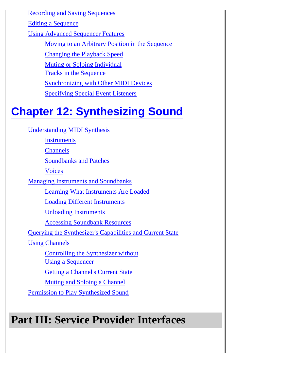[Recording and Saving Sequences](#page-82-1)

[Editing a Sequence](#page-83-0)

[Using Advanced Sequencer Features](#page-84-0)

[Moving to an Arbitrary Position in the Sequence](#page-84-1)

[Changing the Playback Speed](#page-84-2)

[Muting or Soloing Individual](#page-85-0)

[Tracks in the Sequence](#page-85-0)

[Synchronizing with Other MIDI Devices](#page-86-0)

[Specifying Special Event Listeners](#page-87-0)

## **[Chapter 12: Synthesizing Sound](#page-89-0)**

[Understanding MIDI Synthesis](#page-89-1)

**[Instruments](#page-90-0)** 

**[Channels](#page-90-1)** 

[Soundbanks and Patches](#page-91-0)

[Voices](#page-91-1)

[Managing Instruments and Soundbanks](#page-92-0)

[Learning What Instruments Are Loaded](#page-92-1)

[Loading Different Instruments](#page-93-0)

[Unloading Instruments](#page-94-0)

[Accessing Soundbank Resources](#page-94-1)

[Querying the Synthesizer's Capabilities and Current State](#page-94-2)

[Using Channels](#page-95-0)

[Controlling the Synthesizer without](#page-95-1)

[Using a Sequencer](#page-95-1)

[Getting a Channel's Current State](#page-96-0)

[Muting and Soloing a Channel](#page-96-1)

[Permission to Play Synthesized Sound](#page-97-0)

## **Part III: Service Provider Interfaces**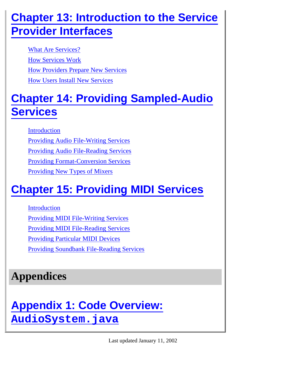## **[Chapter 13: Introduction to the Service](#page-98-0) [Provider Interfaces](#page-98-0)**

[What Are Services?](#page-98-1) [How Services Work](#page-98-2) [How Providers Prepare New Services](#page-99-0) [How Users Install New Services](#page-100-0)

## **[Chapter 14: Providing Sampled-Audio](#page-102-0) [Services](#page-102-0)**

[Introduction](#page-102-1)

[Providing Audio File-Writing Services](#page-103-0) [Providing Audio File-Reading Services](#page-104-0) [Providing Format-Conversion Services](#page-105-0) [Providing New Types of Mixers](#page-106-0)

## **[Chapter 15: Providing MIDI Services](#page-108-0)**

[Introduction](#page-108-1) [Providing MIDI File-Writing Services](#page-108-2) [Providing MIDI File-Reading Services](#page-110-0) [Providing Particular MIDI Devices](#page-110-1) [Providing Soundbank File-Reading Services](#page-111-0)

## **Appendices**

## **[Appendix 1: Code Overview:](#page-113-0) [AudioSystem.java](#page-113-0)**

Last updated January 11, 2002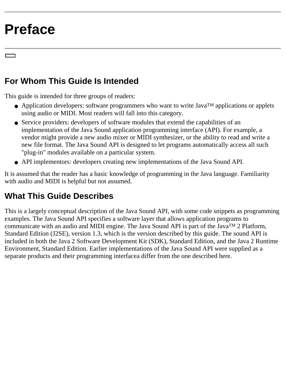## <span id="page-7-0"></span>**Preface**

### <span id="page-7-1"></span>**For Whom This Guide Is Intended**

This guide is intended for three groups of readers:

- Application developers: software programmers who want to write Java<sup>TM</sup> applications or applets using audio or MIDI. Most readers will fall into this category.
- Service providers: developers of software modules that extend the capabilities of an implementation of the Java Sound application programming interface (API). For example, a vendor might provide a new audio mixer or MIDI synthesizer, or the ability to read and write a new file format. The Java Sound API is designed to let programs automatically access all such "plug-in" modules available on a particular system.
- API implementors: developers creating new implementations of the Java Sound API.

It is assumed that the reader has a basic knowledge of programming in the Java language. Familiarity with audio and MIDI is helpful but not assumed.

### <span id="page-7-2"></span>**What This Guide Describes**

This is a largely conceptual description of the Java Sound API, with some code snippets as programming examples. The Java Sound API specifies a software layer that allows application programs to communicate with an audio and MIDI engine. The Java Sound API is part of the JavaTM 2 Platform, Standard Edition (J2SE), version 1.3, which is the version described by this guide. The sound API is included in both the Java 2 Software Development Kit (SDK), Standard Edition, and the Java 2 Runtime Environment, Standard Edition. Earlier implementations of the Java Sound API were supplied as a separate products and their programming interfacea differ from the one described here.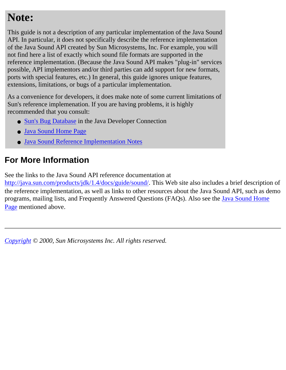### **Note:**

This guide is not a description of any particular implementation of the Java Sound API. In particular, it does not specifically describe the reference implementation of the Java Sound API created by Sun Microsystems, Inc. For example, you will not find here a list of exactly which sound file formats are supported in the reference implementation. (Because the Java Sound API makes "plug-in" services possible, API implementors and/or third parties can add support for new formats, ports with special features, etc.) In general, this guide ignores unique features, extensions, limitations, or bugs of a particular implementation.

As a convenience for developers, it does make note of some current limitations of Sun's reference implemenation. If you are having problems, it is highly recommended that you consult:

- [Sun's Bug Database](http://developer.java.sun.com/developer/bugParade/index.jshtml) in the Java Developer Connection
- [Java Sound Home Page](http://java.sun.com/products/java-media/sound/index.html)
- [Java Sound Reference Implementation Notes](http://java.sun.com/products/java-media/sound/techReference/impl.html)

### <span id="page-8-0"></span>**For More Information**

See the links to the Java Sound API reference documentation at

[http://java.sun.com/products/jdk/1.4/docs/guide/sound/](http://java.sun.com/products/jdk/1.3/docs/guide/sound). This Web site also includes a brief description of the reference implementation, as well as links to other resources about the Java Sound API, such as demo programs, mailing lists, and Frequently Answered Questions (FAQs). Also see the [Java Sound Home](http://java.sun.com/products/java-media/sound/index.html) [Page](http://java.sun.com/products/java-media/sound/index.html) mentioned above.

*[Copyright](file:///H|/relnotes/SMICopyright.html) © 2000, Sun Microsystems Inc. All rights reserved.*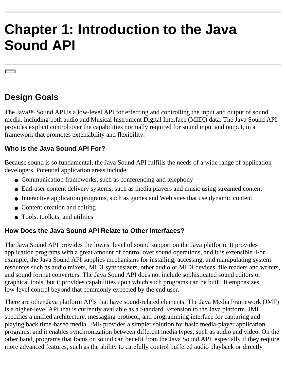# <span id="page-9-0"></span>**Chapter 1: Introduction to the Java Sound API**

### <span id="page-9-1"></span>**Design Goals**

The JavaTM Sound API is a low-level API for effecting and controlling the input and output of sound media, including both audio and Musical Instrument Digital Interface (MIDI) data. The Java Sound API provides explicit control over the capabilities normally required for sound input and output, in a framework that promotes extensibility and flexibility.

#### <span id="page-9-2"></span>**Who is the Java Sound API For?**

Because sound is so fundamental, the Java Sound API fulfills the needs of a wide range of application developers. Potential application areas include:

- Communication frameworks, such as conferencing and telephony
- End-user content delivery systems, such as media players and music using streamed content
- Interactive application programs, such as games and Web sites that use dynamic content
- Content creation and editing
- Tools, toolkits, and utilities

#### <span id="page-9-3"></span>**How Does the Java Sound API Relate to Other Interfaces?**

The Java Sound API provides the lowest level of sound support on the Java platform. It provides application programs with a great amount of control over sound operations, and it is extensible. For example, the Java Sound API supplies mechanisms for installing, accessing, and manipulating system resources such as audio mixers, MIDI synthesizers, other audio or MIDI devices, file readers and writers, and sound format converters. The Java Sound API does not include sophisticated sound editors or graphical tools, but it provides capabilities upon which such programs can be built. It emphasizes low-level control beyond that commonly expected by the end user.

There are other Java platform APIs that have sound-related elements. The Java Media Framework (JMF) is a higher-level API that is currently available as a Standard Extension to the Java platform. JMF specifies a unified architecture, messaging protocol, and programming interface for capturing and playing back time-based media. JMF provides a simpler solution for basic media-player application programs, and it enables synchronization between different media types, such as audio and video. On the other hand, programs that focus on sound can benefit from the Java Sound API, especially if they require more advanced features, such as the ability to carefully control buffered audio playback or directly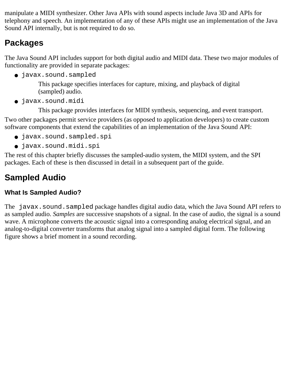manipulate a MIDI synthesizer. Other Java APIs with sound aspects include Java 3D and APIs for telephony and speech. An implementation of any of these APIs might use an implementation of the Java Sound API internally, but is not required to do so.

### <span id="page-10-0"></span>**Packages**

The Java Sound API includes support for both digital audio and MIDI data. These two major modules of functionality are provided in separate packages:

● javax.sound.sampled

This package specifies interfaces for capture, mixing, and playback of digital (sampled) audio.

● javax.sound.midi

This package provides interfaces for MIDI synthesis, sequencing, and event transport. Two other packages permit service providers (as opposed to application developers) to create custom software components that extend the capabilities of an implementation of the Java Sound API:

- javax.sound.sampled.spi
- javax.sound.midi.spi

The rest of this chapter briefly discusses the sampled-audio system, the MIDI system, and the SPI packages. Each of these is then discussed in detail in a subsequent part of the guide.

### <span id="page-10-1"></span>**Sampled Audio**

### <span id="page-10-2"></span>**What Is Sampled Audio?**

The javax.sound.sampled package handles digital audio data, which the Java Sound API refers to as sampled audio. *Samples* are successive snapshots of a signal. In the case of audio, the signal is a sound wave. A microphone converts the acoustic signal into a corresponding analog electrical signal, and an analog-to-digital converter transforms that analog signal into a sampled digital form. The following figure shows a brief moment in a sound recording.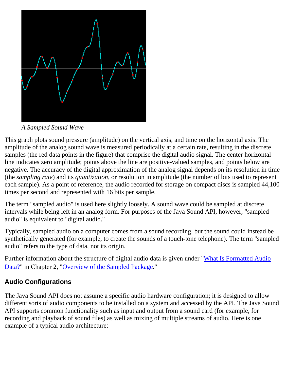

*A Sampled Sound Wave*

This graph plots sound pressure (amplitude) on the vertical axis, and time on the horizontal axis. The amplitude of the analog sound wave is measured periodically at a certain rate, resulting in the discrete samples (the red data points in the figure) that comprise the digital audio signal. The center horizontal line indicates zero amplitude; points above the line are positive-valued samples, and points below are negative. The accuracy of the digital approximation of the analog signal depends on its resolution in time (the *sampling rate*) and its *quantization*, or resolution in amplitude (the number of bits used to represent each sample). As a point of reference, the audio recorded for storage on compact discs is sampled 44,100 times per second and represented with 16 bits per sample.

The term "sampled audio" is used here slightly loosely. A sound wave could be sampled at discrete intervals while being left in an analog form. For purposes of the Java Sound API, however, "sampled audio" is equivalent to "digital audio."

Typically, sampled audio on a computer comes from a sound recording, but the sound could instead be synthetically generated (for example, to create the sounds of a touch-tone telephone). The term "sampled audio" refers to the type of data, not its origin.

Further information about the structure of digital audio data is given under ["What Is Formatted Audio](#page-16-1) [Data?"](#page-16-1) in Chapter 2, "[Overview of the Sampled Package](#page-15-0)."

### <span id="page-11-0"></span>**Audio Configurations**

The Java Sound API does not assume a specific audio hardware configuration; it is designed to allow different sorts of audio components to be installed on a system and accessed by the API. The Java Sound API supports common functionality such as input and output from a sound card (for example, for recording and playback of sound files) as well as mixing of multiple streams of audio. Here is one example of a typical audio architecture: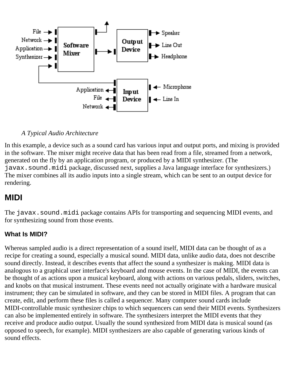

#### *A Typical Audio Architecture*

In this example, a device such as a sound card has various input and output ports, and mixing is provided in the software. The mixer might receive data that has been read from a file, streamed from a network, generated on the fly by an application program, or produced by a MIDI synthesizer. (The javax.sound.midi package, discussed next, supplies a Java language interface for synthesizers.) The mixer combines all its audio inputs into a single stream, which can be sent to an output device for rendering.

### <span id="page-12-0"></span>**MIDI**

The javax.sound.midi package contains APIs for transporting and sequencing MIDI events, and for synthesizing sound from those events.

#### <span id="page-12-1"></span>**What Is MIDI?**

Whereas sampled audio is a direct representation of a sound itself, MIDI data can be thought of as a recipe for creating a sound, especially a musical sound. MIDI data, unlike audio data, does not describe sound directly. Instead, it describes events that affect the sound a synthesizer is making. MIDI data is analogous to a graphical user interface's keyboard and mouse events. In the case of MIDI, the events can be thought of as actions upon a musical keyboard, along with actions on various pedals, sliders, switches, and knobs on that musical instrument. These events need not actually originate with a hardware musical instrument; they can be simulated in software, and they can be stored in MIDI files. A program that can create, edit, and perform these files is called a sequencer. Many computer sound cards include MIDI-controllable music synthesizer chips to which sequencers can send their MIDI events. Synthesizers can also be implemented entirely in software. The synthesizers interpret the MIDI events that they receive and produce audio output. Usually the sound synthesized from MIDI data is musical sound (as opposed to speech, for example). MIDI synthesizers are also capable of generating various kinds of sound effects.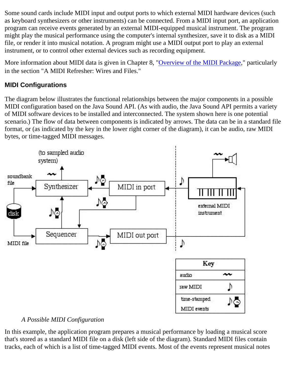Some sound cards include MIDI input and output ports to which external MIDI hardware devices (such as keyboard synthesizers or other instruments) can be connected. From a MIDI input port, an application program can receive events generated by an external MIDI-equipped musical instrument. The program might play the musical performance using the computer's internal synthesizer, save it to disk as a MIDI file, or render it into musical notation. A program might use a MIDI output port to play an external instrument, or to control other external devices such as recording equipment.

More information about MIDI data is given in Chapter 8, "[Overview of the MIDI Package](#page-59-0)," particularly in the section "A MIDI Refresher: Wires and Files."

#### <span id="page-13-0"></span>**MIDI Configurations**

The diagram below illustrates the functional relationships between the major components in a possible MIDI configuration based on the Java Sound API. (As with audio, the Java Sound API permits a variety of MIDI software devices to be installed and interconnected. The system shown here is one potential scenario.) The flow of data between components is indicated by arrows. The data can be in a standard file format, or (as indicated by the key in the lower right corner of the diagram), it can be audio, raw MIDI bytes, or time-tagged MIDI messages.



#### *A Possible MIDI Configuration*

In this example, the application program prepares a musical performance by loading a musical score that's stored as a standard MIDI file on a disk (left side of the diagram). Standard MIDI files contain tracks, each of which is a list of time-tagged MIDI events. Most of the events represent musical notes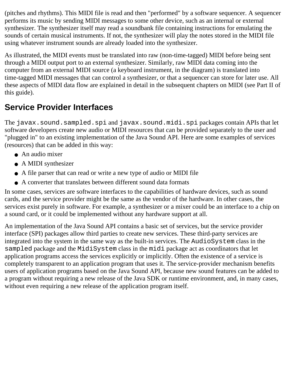(pitches and rhythms). This MIDI file is read and then "performed" by a software sequencer. A sequencer performs its music by sending MIDI messages to some other device, such as an internal or external synthesizer. The synthesizer itself may read a soundbank file containing instructions for emulating the sounds of certain musical instruments. If not, the synthesizer will play the notes stored in the MIDI file using whatever instrument sounds are already loaded into the synthesizer.

As illustrated, the MIDI events must be translated into raw (non-time-tagged) MIDI before being sent through a MIDI output port to an external synthesizer. Similarly, raw MIDI data coming into the computer from an external MIDI source (a keyboard instrument, in the diagram) is translated into time-tagged MIDI messages that can control a synthesizer, or that a sequencer can store for later use. All these aspects of MIDI data flow are explained in detail in the subsequent chapters on MIDI (see Part II of this guide).

### <span id="page-14-0"></span>**Service Provider Interfaces**

The javax.sound.sampled.spi and javax.sound.midi.spi packages contain APIs that let software developers create new audio or MIDI resources that can be provided separately to the user and "plugged in" to an existing implementation of the Java Sound API. Here are some examples of services (resources) that can be added in this way:

- An audio mixer
- A MIDI synthesizer
- A file parser that can read or write a new type of audio or MIDI file
- A converter that translates between different sound data formats

In some cases, services are software interfaces to the capabilities of hardware devices, such as sound cards, and the service provider might be the same as the vendor of the hardware. In other cases, the services exist purely in software. For example, a synthesizer or a mixer could be an interface to a chip on a sound card, or it could be implemented without any hardware support at all.

An implementation of the Java Sound API contains a basic set of services, but the service provider interface (SPI) packages allow third parties to create new services. These third-party services are integrated into the system in the same way as the built-in services. The AudioSystem class in the sampled package and the MidiSystem class in the midi package act as coordinators that let application programs access the services explicitly or implicitly. Often the existence of a service is completely transparent to an application program that uses it. The service-provider mechanism benefits users of application programs based on the Java Sound API, because new sound features can be added to a program without requiring a new release of the Java SDK or runtime environment, and, in many cases, without even requiring a new release of the application program itself.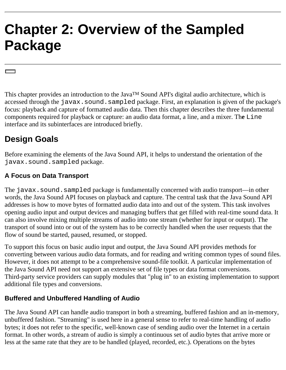# <span id="page-15-0"></span>**Chapter 2: Overview of the Sampled Package**

This chapter provides an introduction to the Java™ Sound API's digital audio architecture, which is accessed through the javax.sound.sampled package. First, an explanation is given of the package's focus: playback and capture of formatted audio data. Then this chapter describes the three fundamental components required for playback or capture: an audio data format, a line, and a mixer. Th**e** Line interface and its subinterfaces are introduced briefly.

### <span id="page-15-1"></span>**Design Goals**

Before examining the elements of the Java Sound API, it helps to understand the orientation of the javax.sound.sampled package.

#### <span id="page-15-2"></span>**A Focus on Data Transport**

The javax.sound.sampled package is fundamentally concerned with audio transport—in other words, the Java Sound API focuses on playback and capture. The central task that the Java Sound API addresses is how to move bytes of formatted audio data into and out of the system. This task involves opening audio input and output devices and managing buffers that get filled with real-time sound data. It can also involve mixing multiple streams of audio into one stream (whether for input or output). The transport of sound into or out of the system has to be correctly handled when the user requests that the flow of sound be started, paused, resumed, or stopped.

To support this focus on basic audio input and output, the Java Sound API provides methods for converting between various audio data formats, and for reading and writing common types of sound files. However, it does not attempt to be a comprehensive sound-file toolkit. A particular implementation of the Java Sound API need not support an extensive set of file types or data format conversions. Third-party service providers can supply modules that "plug in" to an existing implementation to support additional file types and conversions.

### <span id="page-15-3"></span>**Buffered and Unbuffered Handling of Audio**

The Java Sound API can handle audio transport in both a streaming, buffered fashion and an in-memory, unbuffered fashion. "Streaming" is used here in a general sense to refer to real-time handling of audio bytes; it does not refer to the specific, well-known case of sending audio over the Internet in a certain format. In other words, a stream of audio is simply a continuous set of audio bytes that arrive more or less at the same rate that they are to be handled (played, recorded, etc.). Operations on the bytes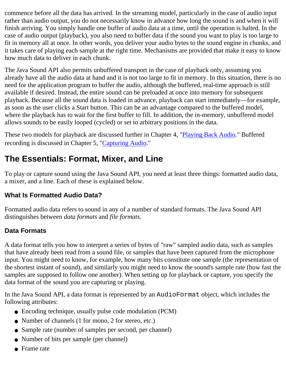commence before all the data has arrived. In the streaming model, particularly in the case of audio input rather than audio output, you do not necessarily know in advance how long the sound is and when it will finish arriving. You simply handle one buffer of audio data at a time, until the operation is halted. In the case of audio output (playback), you also need to buffer data if the sound you want to play is too large to fit in memory all at once. In other words, you deliver your audio bytes to the sound engine in chunks, and it takes care of playing each sample at the right time. Mechanisms are provided that make it easy to know how much data to deliver in each chunk.

The Java Sound API also permits unbuffered transport in the case of playback only, assuming you already have all the audio data at hand and it is not too large to fit in memory. In this situation, there is no need for the application program to buffer the audio, although the buffered, real-time approach is still available if desired. Instead, the entire sound can be preloaded at once into memory for subsequent playback. Because all the sound data is loaded in advance, playback can start immediately—for example, as soon as the user clicks a Start button. This can be an advantage compared to the buffered model, where the playback has to wait for the first buffer to fill. In addition, the in-memory, unbuffered model allows sounds to be easily looped (cycled) or set to arbitrary positions in the data.

These two models for playback are discussed further in Chapter 4, "[Playing Back Audio](#page-31-0)." Buffered recording is discussed in Chapter 5, ["Capturing Audio.](#page-38-0)"

### <span id="page-16-0"></span>**The Essentials: Format, Mixer, and Line**

To play or capture sound using the Java Sound API, you need at least three things: formatted audio data, a mixer, and a line. Each of these is explained below.

#### <span id="page-16-1"></span>**What Is Formatted Audio Data?**

Formatted audio data refers to sound in any of a number of standard formats. The Java Sound API distinguishes between *data formats* and *file formats*.

#### **Data Formats**

A data format tells you how to interpret a series of bytes of "raw" sampled audio data, such as samples that have already been read from a sound file, or samples that have been captured from the microphone input. You might need to know, for example, how many bits constitute one sample (the representation of the shortest instant of sound), and similarly you might need to know the sound's sample rate (how fast the samples are supposed to follow one another). When setting up for playback or capture, you specify the data format of the sound you are capturing or playing.

In the Java Sound API, a data format is represented by an AudioFormat object, which includes the following attributes:

- Encoding technique, usually pulse code modulation (PCM)
- Number of channels (1 for mono, 2 for stereo, etc.)
- Sample rate (number of samples per second, per channel)
- Number of bits per sample (per channel)
- Frame rate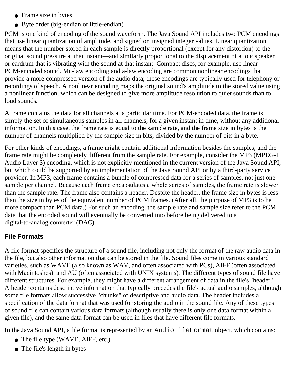- Frame size in bytes
- Byte order (big-endian or little-endian)

PCM is one kind of encoding of the sound waveform. The Java Sound API includes two PCM encodings that use linear quantization of amplitude, and signed or unsigned integer values. Linear quantization means that the number stored in each sample is directly proportional (except for any distortion) to the original sound pressure at that instant—and similarly proportional to the displacement of a loudspeaker or eardrum that is vibrating with the sound at that instant. Compact discs, for example, use linear PCM-encoded sound. Mu-law encoding and a-law encoding are common nonlinear encodings that provide a more compressed version of the audio data; these encodings are typically used for telephony or recordings of speech. A nonlinear encoding maps the original sound's amplitude to the stored value using a nonlinear function, which can be designed to give more amplitude resolution to quiet sounds than to loud sounds.

A frame contains the data for all channels at a particular time. For PCM-encoded data, the frame is simply the set of simultaneous samples in all channels, for a given instant in time, without any additional information. In this case, the frame rate is equal to the sample rate, and the frame size in bytes is the number of channels multiplied by the sample size in bits, divided by the number of bits in a byte.

For other kinds of encodings, a frame might contain additional information besides the samples, and the frame rate might be completely different from the sample rate. For example, consider the MP3 (MPEG-1 Audio Layer 3) encoding, which is not explicitly mentioned in the current version of the Java Sound API, but which could be supported by an implementation of the Java Sound API or by a third-party service provider. In MP3, each frame contains a bundle of compressed data for a series of samples, not just one sample per channel. Because each frame encapsulates a whole series of samples, the frame rate is slower than the sample rate. The frame also contains a header. Despite the header, the frame size in bytes is less than the size in bytes of the equivalent number of PCM frames. (After all, the purpose of MP3 is to be more compact than PCM data.) For such an encoding, the sample rate and sample size refer to the PCM data that the encoded sound will eventually be converted into before being delivered to a digital-to-analog converter (DAC).

#### **File Formats**

A file format specifies the structure of a sound file, including not only the format of the raw audio data in the file, but also other information that can be stored in the file. Sound files come in various standard varieties, such as WAVE (also known as WAV, and often associated with PCs), AIFF (often associated with Macintoshes), and AU (often associated with UNIX systems). The different types of sound file have different structures. For example, they might have a different arrangement of data in the file's "header." A header contains descriptive information that typically precedes the file's actual audio samples, although some file formats allow successive "chunks" of descriptive and audio data. The header includes a specification of the data format that was used for storing the audio in the sound file. Any of these types of sound file can contain various data formats (although usually there is only one data format within a given file), and the same data format can be used in files that have different file formats.

In the Java Sound API, a file format is represented by an AudioFileFormat object, which contains:

- The file type (WAVE, AIFF, etc.)
- The file's length in bytes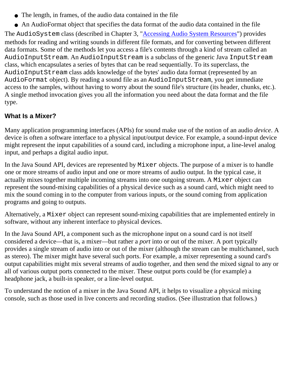- The length, in frames, of the audio data contained in the file
- An AudioFormat object that specifies the data format of the audio data contained in the file

The AudioSystem class (described in Chapter 3, "[Accessing Audio System Resources](#page-25-0)") provides methods for reading and writing sounds in different file formats, and for converting between different data formats. Some of the methods let you access a file's contents through a kind of stream called an AudioInputStream. An AudioInputStream is a subclass of the generic Java InputStream class, which encapsulates a series of bytes that can be read sequentially. To its superclass, the AudioInputStream class adds knowledge of the bytes' audio data format (represented by an AudioFormat object). By reading a sound file as an AudioInputStream, you get immediate access to the samples, without having to worry about the sound file's structure (its header, chunks, etc.). A single method invocation gives you all the information you need about the data format and the file type.

#### <span id="page-18-0"></span>**What Is a Mixer?**

Many application programming interfaces (APIs) for sound make use of the notion of an audio *device*. A device is often a software interface to a physical input/output device. For example, a sound-input device might represent the input capabilities of a sound card, including a microphone input, a line-level analog input, and perhaps a digital audio input.

In the Java Sound API, devices are represented by Mixer objects. The purpose of a mixer is to handle one or more streams of audio input and one or more streams of audio output. In the typical case, it actually mixes together multiple incoming streams into one outgoing stream. A Mixer object can represent the sound-mixing capabilities of a physical device such as a sound card, which might need to mix the sound coming in to the computer from various inputs, or the sound coming from application programs and going to outputs.

Alternatively, a Mixer object can represent sound-mixing capabilities that are implemented entirely in software, without any inherent interface to physical devices.

In the Java Sound API, a component such as the microphone input on a sound card is not itself considered a device—that is, a mixer—but rather a *port* into or out of the mixer. A port typically provides a single stream of audio into or out of the mixer (although the stream can be multichannel, such as stereo). The mixer might have several such ports. For example, a mixer representing a sound card's output capabilities might mix several streams of audio together, and then send the mixed signal to any or all of various output ports connected to the mixer. These output ports could be (for example) a headphone jack, a built-in speaker, or a line-level output.

To understand the notion of a mixer in the Java Sound API, it helps to visualize a physical mixing console, such as those used in live concerts and recording studios. (See illustration that follows.)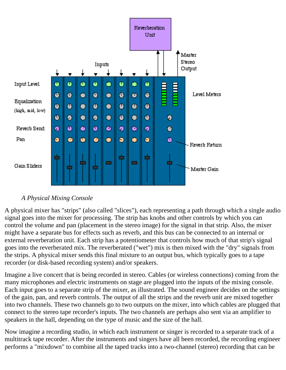

#### *A Physical Mixing Console*

A physical mixer has "strips" (also called "slices"), each representing a path through which a single audio signal goes into the mixer for processing. The strip has knobs and other controls by which you can control the volume and pan (placement in the stereo image) for the signal in that strip. Also, the mixer might have a separate bus for effects such as reverb, and this bus can be connected to an internal or external reverberation unit. Each strip has a potentiometer that controls how much of that strip's signal goes into the reverberated mix. The reverberated ("wet") mix is then mixed with the "dry" signals from the strips. A physical mixer sends this final mixture to an output bus, which typically goes to a tape recorder (or disk-based recording system) and/or speakers.

Imagine a live concert that is being recorded in stereo. Cables (or wireless connections) coming from the many microphones and electric instruments on stage are plugged into the inputs of the mixing console. Each input goes to a separate strip of the mixer, as illustrated. The sound engineer decides on the settings of the gain, pan, and reverb controls. The output of all the strips and the reverb unit are mixed together into two channels. These two channels go to two outputs on the mixer, into which cables are plugged that connect to the stereo tape recorder's inputs. The two channels are perhaps also sent via an amplifier to speakers in the hall, depending on the type of music and the size of the hall.

Now imagine a recording studio, in which each instrument or singer is recorded to a separate track of a multitrack tape recorder. After the instruments and singers have all been recorded, the recording engineer performs a "mixdown" to combine all the taped tracks into a two-channel (stereo) recording that can be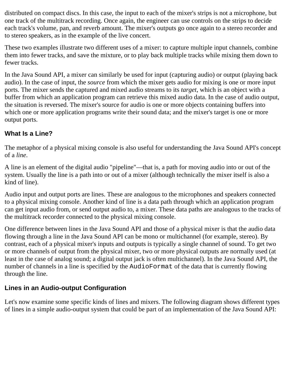distributed on compact discs. In this case, the input to each of the mixer's strips is not a microphone, but one track of the multitrack recording. Once again, the engineer can use controls on the strips to decide each track's volume, pan, and reverb amount. The mixer's outputs go once again to a stereo recorder and to stereo speakers, as in the example of the live concert.

These two examples illustrate two different uses of a mixer: to capture multiple input channels, combine them into fewer tracks, and save the mixture, or to play back multiple tracks while mixing them down to fewer tracks.

In the Java Sound API, a mixer can similarly be used for input (capturing audio) or output (playing back audio). In the case of input, the *source* from which the mixer gets audio for mixing is one or more input ports. The mixer sends the captured and mixed audio streams to its *target*, which is an object with a buffer from which an application program can retrieve this mixed audio data. In the case of audio output, the situation is reversed. The mixer's source for audio is one or more objects containing buffers into which one or more application programs write their sound data; and the mixer's target is one or more output ports.

#### <span id="page-20-0"></span>**What Is a Line?**

The metaphor of a physical mixing console is also useful for understanding the Java Sound API's concept of a *line*.

A line is an element of the digital audio "pipeline"—that is, a path for moving audio into or out of the system. Usually the line is a path into or out of a mixer (although technically the mixer itself is also a kind of line).

Audio input and output ports are lines. These are analogous to the microphones and speakers connected to a physical mixing console. Another kind of line is a data path through which an application program can get input audio from, or send output audio to, a mixer. These data paths are analogous to the tracks of the multitrack recorder connected to the physical mixing console.

One difference between lines in the Java Sound API and those of a physical mixer is that the audio data flowing through a line in the Java Sound API can be mono or multichannel (for example, stereo). By contrast, each of a physical mixer's inputs and outputs is typically a single channel of sound. To get two or more channels of output from the physical mixer, two or more physical outputs are normally used (at least in the case of analog sound; a digital output jack is often multichannel). In the Java Sound API, the number of channels in a line is specified by the AudioFormat of the data that is currently flowing through the line.

#### <span id="page-20-1"></span>**Lines in an Audio-output Configuration**

Let's now examine some specific kinds of lines and mixers. The following diagram shows different types of lines in a simple audio-output system that could be part of an implementation of the Java Sound API: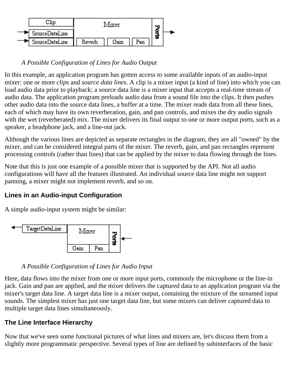

#### *A Possible Configuration of Lines for Audio Output*

In this example, an application program has gotten access to some available inputs of an audio-input mixer: one or more *clips* and *source data lines*. A clip is a mixer input (a kind of line) into which you can load audio data prior to playback; a source data line is a mixer input that accepts a real-time stream of audio data. The application program preloads audio data from a sound file into the clips. It then pushes other audio data into the source data lines, a buffer at a time. The mixer reads data from all these lines, each of which may have its own reverberation, gain, and pan controls, and mixes the dry audio signals with the wet (reverberated) mix. The mixer delivers its final output to one or more output ports, such as a speaker, a headphone jack, and a line-out jack.

Although the various lines are depicted as separate rectangles in the diagram, they are all "owned" by the mixer, and can be considered integral parts of the mixer. The reverb, gain, and pan rectangles represent processing controls (rather than lines) that can be applied by the mixer to data flowing through the lines.

Note that this is just one example of a possible mixer that is supported by the API. Not all audio configurations will have all the features illustrated. An individual source data line might not support panning, a mixer might not implement reverb, and so on.

#### <span id="page-21-0"></span>**Lines in an Audio-input Configuration**

A simple audio-input system might be similar:



#### *A Possible Configuration of Lines for Audio Input*

Here, data flows into the mixer from one or more input ports, commonly the microphone or the line-in jack. Gain and pan are applied, and the mixer delivers the captured data to an application program via the mixer's target data line. A target data line is a mixer output, containing the mixture of the streamed input sounds. The simplest mixer has just one target data line, but some mixers can deliver captured data to multiple target data lines simultaneously.

#### <span id="page-21-1"></span>**The Line Interface Hierarchy**

Now that we've seen some functional pictures of what lines and mixers are, let's discuss them from a slightly more programmatic perspective. Several types of line are defined by subinterfaces of the basic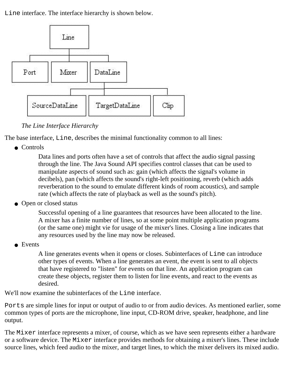Line interface. The interface hierarchy is shown below.



*The Line Interface Hierarchy*

The base interface, Line, describes the minimal functionality common to all lines:

● Controls

Data lines and ports often have a set of controls that affect the audio signal passing through the line. The Java Sound API specifies control classes that can be used to manipulate aspects of sound such as: gain (which affects the signal's volume in decibels), pan (which affects the sound's right-left positioning, reverb (which adds reverberation to the sound to emulate different kinds of room acoustics), and sample rate (which affects the rate of playback as well as the sound's pitch).

• Open or closed status

Successful opening of a line guarantees that resources have been allocated to the line. A mixer has a finite number of lines, so at some point multiple application programs (or the same one) might vie for usage of the mixer's lines. Closing a line indicates that any resources used by the line may now be released.

• Events

A line generates events when it opens or closes. Subinterfaces of Line can introduce other types of events. When a line generates an event, the event is sent to all objects that have registered to "listen" for events on that line. An application program can create these objects, register them to listen for line events, and react to the events as desired.

We'll now examine the subinterfaces of the Line interface.

Ports are simple lines for input or output of audio to or from audio devices. As mentioned earlier, some common types of ports are the microphone, line input, CD-ROM drive, speaker, headphone, and line output.

The Mixer interface represents a mixer, of course, which as we have seen represents either a hardware or a software device. The Mixer interface provides methods for obtaining a mixer's lines. These include source lines, which feed audio to the mixer, and target lines, to which the mixer delivers its mixed audio.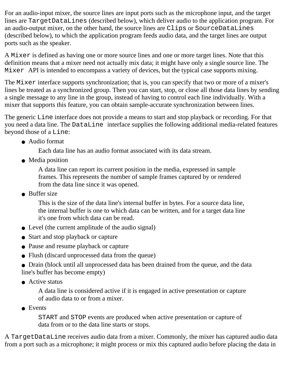For an audio-input mixer, the source lines are input ports such as the microphone input, and the target lines are TargetDataLines (described below), which deliver audio to the application program. For an audio-output mixer, on the other hand, the source lines are Clips or SourceDataLines (described below), to which the application program feeds audio data, and the target lines are output ports such as the speaker.

A Mixer is defined as having one or more source lines and one or more target lines. Note that this definition means that a mixer need not actually mix data; it might have only a single source line. The Mixer API is intended to encompass a variety of devices, but the typical case supports mixing.

The Mixer interface supports synchronization; that is, you can specify that two or more of a mixer's lines be treated as a synchronized group. Then you can start, stop, or close all those data lines by sending a single message to any line in the group, instead of having to control each line individually. With a mixer that supports this feature, you can obtain sample-accurate synchronization between lines.

The generic Line interface does not provide a means to start and stop playback or recording. For that you need a data line. The DataLine interface supplies the following additional media-related features beyond those of a Line:

● Audio format

Each data line has an audio format associated with its data stream.

• Media position

A data line can report its current position in the media, expressed in sample frames. This represents the number of sample frames captured by or rendered from the data line since it was opened.

● Buffer size

This is the size of the data line's internal buffer in bytes. For a source data line, the internal buffer is one to which data can be written, and for a target data line it's one from which data can be read.

- Level (the current amplitude of the audio signal)
- Start and stop playback or capture
- Pause and resume playback or capture
- Flush (discard unprocessed data from the queue)
- Drain (block until all unprocessed data has been drained from the queue, and the data line's buffer has become empty)
- Active status

A data line is considered active if it is engaged in active presentation or capture of audio data to or from a mixer.

● Events

START and STOP events are produced when active presentation or capture of data from or to the data line starts or stops.

A TargetDataLine receives audio data from a mixer. Commonly, the mixer has captured audio data from a port such as a microphone; it might process or mix this captured audio before placing the data in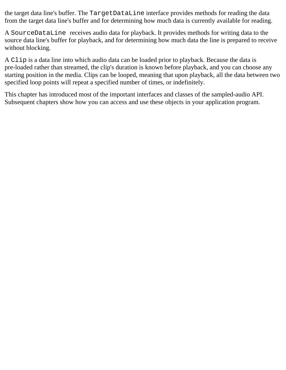the target data line's buffer. The TargetDataLine interface provides methods for reading the data from the target data line's buffer and for determining how much data is currently available for reading.

A SourceDataLine receives audio data for playback. It provides methods for writing data to the source data line's buffer for playback, and for determining how much data the line is prepared to receive without blocking.

A Clip is a data line into which audio data can be loaded prior to playback. Because the data is pre-loaded rather than streamed, the clip's duration is known before playback, and you can choose any starting position in the media. Clips can be looped, meaning that upon playback, all the data between two specified loop points will repeat a specified number of times, or indefinitely.

This chapter has introduced most of the important interfaces and classes of the sampled-audio API. Subsequent chapters show how you can access and use these objects in your application program.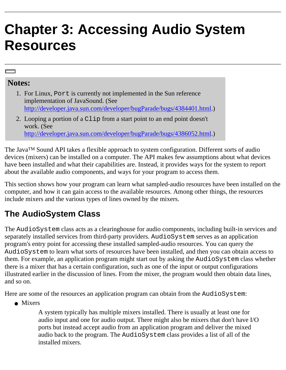## <span id="page-25-0"></span>**Chapter 3: Accessing Audio System Resources**

#### **Notes:**

- 1. For Linux, Port is currently not implemented in the Sun reference implementation of JavaSound. (See [http://developer.java.sun.com/developer/bugParade/bugs/4384401.html.](http://developer.java.sun.com/developer/bugParade/bugs/4384401.html))
- 2. Looping a portion of a Clip from a start point to an end point doesn't work. (See [http://developer.java.sun.com/developer/bugParade/bugs/4386052.html.](http://developer.java.sun.com/developer/bugParade/bugs/4386052.html))

The JavaTM Sound API takes a flexible approach to system configuration. Different sorts of audio devices (mixers) can be installed on a computer. The API makes few assumptions about what devices have been installed and what their capabilities are. Instead, it provides ways for the system to report about the available audio components, and ways for your program to access them.

This section shows how your program can learn what sampled-audio resources have been installed on the computer, and how it can gain access to the available resources. Among other things, the resources include mixers and the various types of lines owned by the mixers.

### <span id="page-25-1"></span>**The AudioSystem Class**

The AudioSystem class acts as a clearinghouse for audio components, including built-in services and separately installed services from third-party providers. AudioSystem serves as an application program's entry point for accessing these installed sampled-audio resources. You can query the AudioSystem to learn what sorts of resources have been installed, and then you can obtain access to them. For example, an application program might start out by asking the AudioSystem class whether there is a mixer that has a certain configuration, such as one of the input or output configurations illustrated earlier in the discussion of lines. From the mixer, the program would then obtain data lines, and so on.

Here are some of the resources an application program can obtain from the AudioSystem:

• Mixers

A system typically has multiple mixers installed. There is usually at least one for audio input and one for audio output. There might also be mixers that don't have I/O ports but instead accept audio from an application program and deliver the mixed audio back to the program. The AudioSystem class provides a list of all of the installed mixers.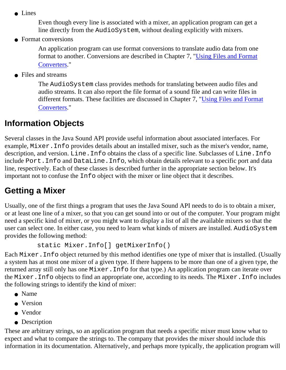• Lines

Even though every line is associated with a mixer, an application program can get a line directly from the AudioSystem, without dealing explicitly with mixers.

• Format conversions

An application program can use format conversions to translate audio data from one format to another. Conversions are described in Chapter 7, ["Using Files and Format](#page-49-0) [Converters](#page-49-0)."

• Files and streams

The AudioSystem class provides methods for translating between audio files and audio streams. It can also report the file format of a sound file and can write files in different formats. These facilities are discussed in Chapter 7, "[Using Files and Format](#page-49-0) [Converters](#page-49-0)."

### <span id="page-26-0"></span>**Information Objects**

Several classes in the Java Sound API provide useful information about associated interfaces. For example, Mixer.Info provides details about an installed mixer, such as the mixer's vendor, name, description, and version. Line. Info obtains the class of a specific line. Subclasses of Line. Info include Port.Info and DataLine.Info, which obtain details relevant to a specific port and data line, respectively. Each of these classes is described further in the appropriate section below. It's important not to confuse the Info object with the mixer or line object that it describes.

### <span id="page-26-1"></span>**Getting a Mixer**

Usually, one of the first things a program that uses the Java Sound API needs to do is to obtain a mixer, or at least one line of a mixer, so that you can get sound into or out of the computer. Your program might need a specific kind of mixer, or you might want to display a list of all the available mixers so that the user can select one. In either case, you need to learn what kinds of mixers are installed. AudioSystem provides the following method:

```
 static Mixer.Info[] getMixerInfo()
```
Each Mixer.Info object returned by this method identifies one type of mixer that is installed. (Usually a system has at most one mixer of a given type. If there happens to be more than one of a given type, the returned array still only has one Mixer.Info for that type.) An application program can iterate over the Mixer.Info objects to find an appropriate one, according to its needs. The Mixer.Info includes the following strings to identify the kind of mixer:

- Name
- Version
- Vendor
- Description

These are arbitrary strings, so an application program that needs a specific mixer must know what to expect and what to compare the strings to. The company that provides the mixer should include this information in its documentation. Alternatively, and perhaps more typically, the application program will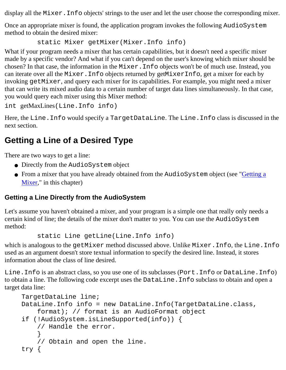display all the Mixer. Info objects' strings to the user and let the user choose the corresponding mixer.

Once an appropriate mixer is found, the application program invokes the following AudioSystem method to obtain the desired mixer:

static Mixer getMixer(Mixer.Info info)

What if your program needs a mixer that has certain capabilities, but it doesn't need a specific mixer made by a specific vendor? And what if you can't depend on the user's knowing which mixer should be chosen? In that case, the information in the Mixer.Info objects won't be of much use. Instead, you can iterate over all the Mixer.Info objects returned by getMixerInfo, get a mixer for each by invoking getMixer, and query each mixer for its capabilities. For example, you might need a mixer that can write its mixed audio data to a certain number of target data lines simultaneously. In that case, you would query each mixer using this Mixer method:

```
int getMaxLines(Line.Info info)
```
Here, the Line.Info would specify a TargetDataLine. The Line.Info class is discussed in the next section.

### <span id="page-27-0"></span>**Getting a Line of a Desired Type**

There are two ways to get a line:

- Directly from the AudioSystem object
- From a mixer that you have already obtained from the AudioSystem object (see "*[Getting a](#page-26-1)* [Mixer](#page-26-1)," in this chapter)

#### <span id="page-27-1"></span>**Getting a Line Directly from the AudioSystem**

Let's assume you haven't obtained a mixer, and your program is a simple one that really only needs a certain kind of line; the details of the mixer don't matter to you. You can use the AudioSystem method:

```
 static Line getLine(Line.Info info)
```
which is analogous to the getMixer method discussed above. Unlike Mixer. Info, the Line. Info used as an argument doesn't store textual information to specify the desired line. Instead, it stores information about the class of line desired.

Line.Info is an abstract class, so you use one of its subclasses (Port.Info or DataLine.Info) to obtain a line. The following code excerpt uses the DataLine.Info subclass to obtain and open a target data line:

```
TargetDataLine line;
DataLine.Info info = new DataLine.Info(TargetDataLine.class, 
     format); // format is an AudioFormat object
if (!AudioSystem.isLineSupported(info)) {
     // Handle the error.
     }
     // Obtain and open the line.
try {
```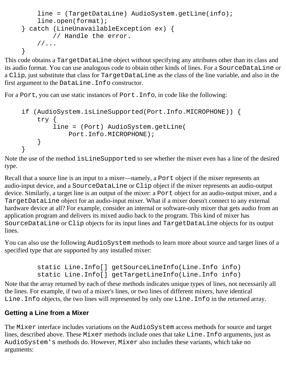```
 line = (TargetDataLine) AudioSystem.getLine(info);
     line.open(format);
} catch (LineUnavailableException ex) {
         // Handle the error.
    //...}
```
This code obtains a TargetDataLine object without specifying any attributes other than its class and its audio format. You can use analogous code to obtain other kinds of lines. For a SourceDataLine or a Clip, just substitute that class for TargetDataLine as the class of the line variable, and also in the first argument to the DataLine.Info constructor.

For a Port, you can use static instances of Port.Info, in code like the following:

```
if (AudioSystem.isLineSupported(Port.Info.MICROPHONE)) {
     try {
         line = (Port) AudioSystem.getLine(
             Port.Info.MICROPHONE);
     }
}
```
Note the use of the method isLineSupported to see whether the mixer even has a line of the desired type.

Recall that a source line is an input to a mixer—namely, a Port object if the mixer represents an audio-input device, and a SourceDataLine or Clip object if the mixer represents an audio-output device. Similarly, a target line is an output of the mixer: a Port object for an audio-output mixer, and a TargetDataLine object for an audio-input mixer. What if a mixer doesn't connect to any external hardware device at all? For example, consider an internal or software-only mixer that gets audio from an application program and delivers its mixed audio back to the program. This kind of mixer has SourceDataLine or Clip objects for its input lines and TargetDataLine objects for its output lines.

You can also use the following AudioSystem methods to learn more about source and target lines of a specified type that are supported by any installed mixer:

```
 static Line.Info[] getSourceLineInfo(Line.Info info)
 static Line.Info[] getTargetLineInfo(Line.Info info)
```
Note that the array returned by each of these methods indicates unique types of lines, not necessarily all the lines. For example, if two of a mixer's lines, or two lines of different mixers, have identical Line.Info objects, the two lines will represented by only one Line.Info in the returned array.

#### <span id="page-28-0"></span>**Getting a Line from a Mixer**

The Mixer interface includes variations on the AudioSystem access methods for source and target lines, described above. These Mixer methods include ones that take Line.Info arguments, just as AudioSystem's methods do. However, Mixer also includes these variants, which take no arguments: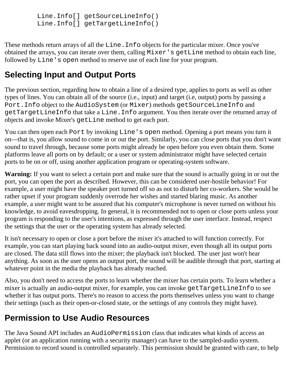```
 Line.Info[] getSourceLineInfo() 
 Line.Info[] getTargetLineInfo()
```
These methods return arrays of all the Line.Info objects for the particular mixer. Once you've obtained the arrays, you can iterate over them, calling Mixer's getLine method to obtain each line, followed by Line's open method to reserve use of each line for your program.

### <span id="page-29-0"></span>**Selecting Input and Output Ports**

The previous section, regarding how to obtain a line of a desired type, applies to ports as well as other types of lines. You can obtain all of the source (i.e., input) and target (i.e, output) ports by passing a Port.Info object to the AudioSystem (or Mixer) methods getSourceLineInfo and getTargetLineInfo that take a Line.Info argument. You then iterate over the returned array of objects and invoke Mixer's getLine method to get each port.

You can then open each Port by invoking Line's open method. Opening a port means you turn it on—that is, you allow sound to come in or out the port. Similarly, you can close ports that you don't want sound to travel through, because some ports might already be open before you even obtain them. Some platforms leave all ports on by default; or a user or system administrator might have selected certain ports to be on or off, using another application program or operating-system software.

**Warning:** If you want to select a certain port and make sure that the sound is actually going in or out the port, you can open the port as described. However, this can be considered user-hostile behavior! For example, a user might have the speaker port turned off so as not to disturb her co-workers. She would be rather upset if your program suddenly overrode her wishes and started blaring music. As another example, a user might want to be assured that his computer's microphone is never turned on without his knowledge, to avoid eavesdropping. In general, it is recommended not to open or close ports unless your program is responding to the user's intentions, as expressed through the user interface. Instead, respect the settings that the user or the operating system has already selected.

It isn't necessary to open or close a port before the mixer it's attached to will function correctly. For example, you can start playing back sound into an audio-output mixer, even though all its output ports are closed. The data still flows into the mixer; the playback isn't blocked. The user just won't hear anything. As soon as the user opens an output port, the sound will be audible through that port, starting at whatever point in the media the playback has already reached.

Also, you don't need to access the ports to learn whether the mixer has certain ports. To learn whether a mixer is actually an audio-output mixer, for example, you can invoke getTargetLineInfo to see whether it has output ports. There's no reason to access the ports themselves unless you want to change their settings (such as their open-or-closed state, or the settings of any controls they might have).

### <span id="page-29-1"></span>**Permission to Use Audio Resources**

The Java Sound API includes an AudioPermission class that indicates what kinds of access an applet (or an application running with a security manager) can have to the sampled-audio system. Permission to record sound is controlled separately. This permission should be granted with care, to help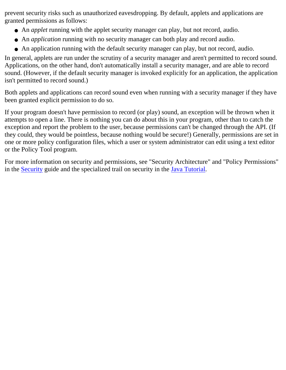prevent security risks such as unauthorized eavesdropping. By default, applets and applications are granted permissions as follows:

- An *applet* running with the applet security manager can play, but not record, audio.
- An *application* running with no security manager can both play and record audio.
- An application running with the default security manager can play, but not record, audio.

In general, applets are run under the scrutiny of a security manager and aren't permitted to record sound. Applications, on the other hand, don't automatically install a security manager, and are able to record sound. (However, if the default security manager is invoked explicitly for an application, the application isn't permitted to record sound.)

Both applets and applications can record sound even when running with a security manager if they have been granted explicit permission to do so.

If your program doesn't have permission to record (or play) sound, an exception will be thrown when it attempts to open a line. There is nothing you can do about this in your program, other than to catch the exception and report the problem to the user, because permissions can't be changed through the API. (If they could, they would be pointless, because nothing would be secure!) Generally, permissions are set in one or more policy configuration files, which a user or system administrator can edit using a text editor or the Policy Tool program.

For more information on security and permissions, see "Security Architecture" and "Policy Permissions" in the [Security](file:///H|/temp0/security/) guide and the specialized trail on security in the [Java Tutorial.](file:///docs/books/tutorial/)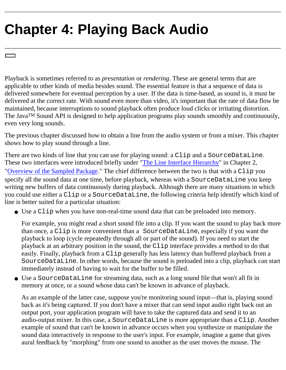# <span id="page-31-0"></span>**Chapter 4: Playing Back Audio**

Playback is sometimes referred to as *presentation* or *rendering*. These are general terms that are applicable to other kinds of media besides sound. The essential feature is that a sequence of data is delivered somewhere for eventual perception by a user. If the data is time-based, as sound is, it must be delivered at the correct rate. With sound even more than video, it's important that the rate of data flow be maintained, because interruptions to sound playback often produce loud clicks or irritating distortion. The Java<sup>TM</sup> Sound API is designed to help application programs play sounds smoothly and continuously, even very long sounds.

The previous chapter discussed how to obtain a line from the audio system or from a mixer. This chapter shows how to play sound through a line.

There are two kinds of line that you can use for playing sound: a Clip and a SourceDataLine. These two interfaces were introduced briefly under ["The Line Interface Hierarchy"](#page-21-1) in Chapter 2, "[Overview of the Sampled Package](#page-15-0)." The chief difference between the two is that with a Clip you specify all the sound data at one time, before playback, whereas with a SourceDataLine you keep writing new buffers of data continuously during playback. Although there are many situations in which you could use either a Clip or a SourceDataLine, the following criteria help identify which kind of line is better suited for a particular situation:

Use a Clip when you have non-real-time sound data that can be preloaded into memory. ●

For example, you might read a short sound file into a clip. If you want the sound to play back more than once, a Clip is more convenient than a SourceDataLine, especially if you want the playback to loop (cycle repeatedly through all or part of the sound). If you need to start the playback at an arbitrary position in the sound, the Clip interface provides a method to do that easily. Finally, playback from a Clip generally has less latency than buffered playback from a SourceDataLine. In other words, because the sound is preloaded into a clip, playback can start immediately instead of having to wait for the buffer to be filled.

Use a SourceDataLine for streaming data, such as a long sound file that won't all fit in ● memory at once, or a sound whose data can't be known in advance of playback.

As an example of the latter case, suppose you're monitoring sound input—that is, playing sound back as it's being captured. If you don't have a mixer that can send input audio right back out an output port, your application program will have to take the captured data and send it to an audio-output mixer. In this case, a SourceDataLine is more appropriate than a Clip. Another example of sound that can't be known in advance occurs when you synthesize or manipulate the sound data interactively in response to the user's input. For example, imagine a game that gives aural feedback by "morphing" from one sound to another as the user moves the mouse. The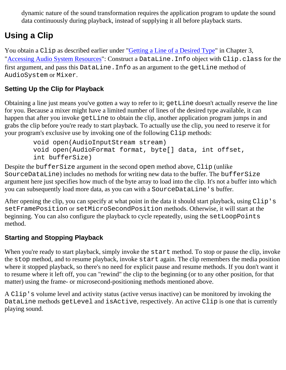dynamic nature of the sound transformation requires the application program to update the sound data continuously during playback, instead of supplying it all before playback starts.

### <span id="page-32-0"></span>**Using a Clip**

You obtain a Clip as described earlier under "*Getting a Line of a Desired Type*" in Chapter 3, "[Accessing Audio System Resources"](#page-25-0): Construct a DataLine. Info object with Clip.class for the first argument, and pass this DataLine.Info as an argument to the getLine method of AudioSystem or Mixer.

### <span id="page-32-1"></span>**Setting Up the Clip for Playback**

Obtaining a line just means you've gotten a way to refer to it; getLine doesn't actually reserve the line for you. Because a mixer might have a limited number of lines of the desired type available, it can happen that after you invoke getLine to obtain the clip, another application program jumps in and grabs the clip before you're ready to start playback. To actually use the clip, you need to reserve it for your program's exclusive use by invoking one of the following Clip methods:

```
 void open(AudioInputStream stream) 
 void open(AudioFormat format, byte[] data, int offset,
 int bufferSize)
```
Despite the bufferSize argument in the second open method above, Clip (unlike SourceDataLine) includes no methods for writing new data to the buffer. The bufferSize argument here just specifies how much of the byte array to load into the clip. It's not a buffer into which you can subsequently load more data, as you can with a SourceDataLine's buffer.

After opening the clip, you can specify at what point in the data it should start playback, using Clip's setFramePosition or setMicroSecondPosition methods. Otherwise, it will start at the beginning. You can also configure the playback to cycle repeatedly, using the setLoopPoints method.

#### <span id="page-32-2"></span>**Starting and Stopping Playback**

When you're ready to start playback, simply invoke the start method. To stop or pause the clip, invoke the stop method, and to resume playback, invoke start again. The clip remembers the media position where it stopped playback, so there's no need for explicit pause and resume methods. If you don't want it to resume where it left off, you can "rewind" the clip to the beginning (or to any other position, for that matter) using the frame- or microsecond-positioning methods mentioned above.

<span id="page-32-3"></span>A Clip's volume level and activity status (active versus inactive) can be monitored by invoking the DataLine methods getLevel and isActive, respectively. An active Clip is one that is currently playing sound.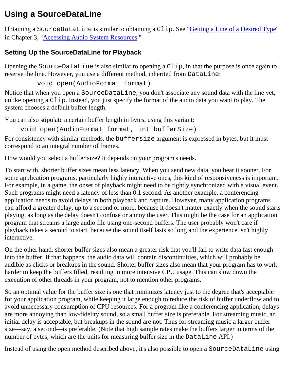### **Using a SourceDataLine**

Obtaining a SourceDataLine is similar to obtaining a Clip. See ["Getting a Line of a Desired Type](#page-27-0)" in Chapter 3, "[Accessing Audio System Resources.](#page-25-0)"

#### <span id="page-33-0"></span>**Setting Up the SourceDataLine for Playback**

Opening the SourceDataLine is also similar to opening a Clip, in that the purpose is once again to reserve the line. However, you use a different method, inherited from DataLine:

void open(AudioFormat format)

Notice that when you open a SourceDataLine, you don't associate any sound data with the line yet, unlike opening a Clip. Instead, you just specify the format of the audio data you want to play. The system chooses a default buffer length.

You can also stipulate a certain buffer length in bytes, using this variant:

void open(AudioFormat format, int bufferSize)

For consistency with similar methods, the buffersize argument is expressed in bytes, but it must correspond to an integral number of frames.

How would you select a buffer size? It depends on your program's needs.

To start with, shorter buffer sizes mean less latency. When you send new data, you hear it sooner. For some application programs, particularly highly interactive ones, this kind of responsiveness is important. For example, in a game, the onset of playback might need to be tightly synchronized with a visual event. Such programs might need a latency of less than 0.1 second. As another example, a conferencing application needs to avoid delays in both playback and capture. However, many application programs can afford a greater delay, up to a second or more, because it doesn't matter exactly when the sound starts playing, as long as the delay doesn't confuse or annoy the user. This might be the case for an application program that streams a large audio file using one-second buffers. The user probably won't care if playback takes a second to start, because the sound itself lasts so long and the experience isn't highly interactive.

On the other hand, shorter buffer sizes also mean a greater risk that you'll fail to write data fast enough into the buffer. If that happens, the audio data will contain discontinuities, which will probably be audible as clicks or breakups in the sound. Shorter buffer sizes also mean that your program has to work harder to keep the buffers filled, resulting in more intensive CPU usage. This can slow down the execution of other threads in your program, not to mention other programs.

So an optimal value for the buffer size is one that minimizes latency just to the degree that's acceptable for your application program, while keeping it large enough to reduce the risk of buffer underflow and to avoid unnecessary consumption of CPU resources. For a program like a conferencing application, delays are more annoying than low-fidelity sound, so a small buffer size is preferable. For streaming music, an initial delay is acceptable, but breakups in the sound are not. Thus for streaming music a larger buffer size—say, a second—is preferable. (Note that high sample rates make the buffers larger in terms of the number of bytes, which are the units for measuring buffer size in the DataLine API.)

Instead of using the open method described above, it's also possible to open a SourceDataLine using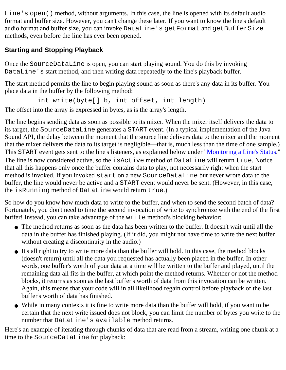Line's open() method, without arguments. In this case, the line is opened with its default audio format and buffer size. However, you can't change these later. If you want to know the line's default audio format and buffer size, you can invoke DataLine's getFormat and getBufferSize methods, even before the line has ever been opened.

### <span id="page-34-0"></span>**Starting and Stopping Playback**

Once the SourceDataLine is open, you can start playing sound. You do this by invoking DataLine's start method, and then writing data repeatedly to the line's playback buffer.

The start method permits the line to begin playing sound as soon as there's any data in its buffer. You place data in the buffer by the following method:

int write(byte[] b, int offset, int length)

The offset into the array is expressed in bytes, as is the array's length.

The line begins sending data as soon as possible to its mixer. When the mixer itself delivers the data to its target, the SourceDataLine generates a START event. (In a typical implementation of the Java Sound API, the delay between the moment that the source line delivers data to the mixer and the moment that the mixer delivers the data to its target is negligible—that is, much less than the time of one sample.) This START event gets sent to the line's listeners, as explained below under "[Monitoring a Line's Status](#page-36-0)." The line is now considered active, so the isActive method of DataLine will return true. Notice that all this happens only once the buffer contains data to play, not necessarily right when the start method is invoked. If you invoked start on a new SourceDataLine but never wrote data to the buffer, the line would never be active and a START event would never be sent. (However, in this case, the isRunning method of DataLine would return true.)

So how do you know how much data to write to the buffer, and when to send the second batch of data? Fortunately, you don't need to time the second invocation of write to synchronize with the end of the first buffer! Instead, you can take advantage of the write method's blocking behavior:

- The method returns as soon as the data has been written to the buffer. It doesn't wait until all the data in the buffer has finished playing. (If it did, you might not have time to write the next buffer without creating a discontinuity in the audio.)
- It's all right to try to write more data than the buffer will hold. In this case, the method blocks (doesn't return) until all the data you requested has actually been placed in the buffer. In other words, one buffer's worth of your data at a time will be written to the buffer and played, until the remaining data all fits in the buffer, at which point the method returns. Whether or not the method blocks, it returns as soon as the last buffer's worth of data from this invocation can be written. Again, this means that your code will in all likelihood regain control before playback of the last buffer's worth of data has finished.
- While in many contexts it is fine to write more data than the buffer will hold, if you want to be certain that the next write issued does not block, you can limit the number of bytes you write to the number that DataLine's available method returns.

Here's an example of iterating through chunks of data that are read from a stream, writing one chunk at a time to the SourceDataLine for playback: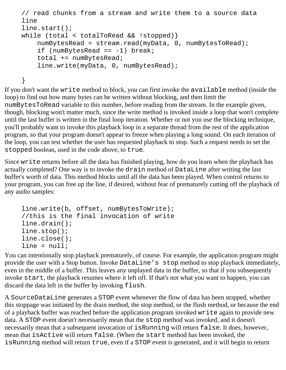```
// read chunks from a stream and write them to a source data 
line 
line.start();
while (total < totalToRead && !stopped)}
    numBytesRead = stream.read(myData, 0, numBytesToRead);
    if (numBytesRead == -1) break;
     total += numBytesRead; 
     line.write(myData, 0, numBytesRead);
}
```
If you don't want the write method to block, you can first invoke the available method (inside the loop) to find out how many bytes can be written without blocking, and then limit the numBytesToRead variable to this number, before reading from the stream. In the example given, though, blocking won't matter much, since the write method is invoked inside a loop that won't complete until the last buffer is written in the final loop iteration. Whether or not you use the blocking technique, you'll probably want to invoke this playback loop in a separate thread from the rest of the application program, so that your program doesn't appear to freeze when playing a long sound. On each iteration of the loop, you can test whether the user has requested playback to stop. Such a request needs to set the stopped boolean, used in the code above, to true.

Since write returns before all the data has finished playing, how do you learn when the playback has actually completed? One way is to invoke the drain method of DataLine after writing the last buffer's worth of data. This method blocks until all the data has been played. When control returns to your program, you can free up the line, if desired, without fear of prematurely cutting off the playback of any audio samples:

```
line.write(b, offset, numBytesToWrite); 
//this is the final invocation of write
line.drain();
line.stop();
line.close();
line = null;
```
You can intentionally stop playback prematurely, of course. For example, the application program might provide the user with a Stop button. Invoke DataLine's stop method to stop playback immediately, even in the middle of a buffer. This leaves any unplayed data in the buffer, so that if you subsequently invoke start, the playback resumes where it left off. If that's not what you want to happen, you can discard the data left in the buffer by invoking flush.

A SourceDataLine generates a STOP event whenever the flow of data has been stopped, whether this stoppage was initiated by the drain method, the stop method, or the flush method, or because the end of a playback buffer was reached before the application program invoked write again to provide new data. A STOP event doesn't necessarily mean that the stop method was invoked, and it doesn't necessarily mean that a subsequent invocation of isRunning will return false. It does, however, mean that isActive will return false. (When the start method has been invoked, the isRunning method will return true, even if a STOP event is generated, and it will begin to return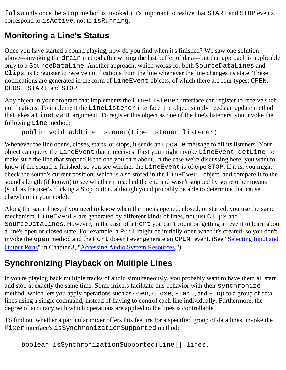false only once the stop method is invoked.) It's important to realize that START and STOP events correspond to isActive, not to isRunning.

## <span id="page-36-0"></span>**Monitoring a Line's Status**

Once you have started a sound playing, how do you find when it's finished? We saw one solution above—invoking the drain method after writing the last buffer of data—but that approach is applicable only to a SourceDataLine. Another approach, which works for both SourceDataLines and Clips, is to register to receive notifications from the line whenever the line changes its state. These notifications are generated in the form of LineEvent objects, of which there are four types: OPEN, CLOSE, START, and STOP.

Any object in your program that implements the LineListener interface can register to receive such notifications. To implement the LineListener interface, the object simply needs an update method that takes a LineEvent argument. To register this object as one of the line's listeners, you invoke the following Line method:

```
public void addLineListener(LineListener listener)
```
Whenever the line opens, closes, starts, or stops, it sends an update message to all its listeners. Your object can query the LineEvent that it receives. First you might invoke LineEvent.getLine to make sure the line that stopped is the one you care about. In the case we're discussing here, you want to know if the sound is finished, so you see whether the LineEvent is of type STOP. If it is, you might check the sound's current position, which is also stored in the LineEvent object, and compare it to the sound's length (if known) to see whether it reached the end and wasn't stopped by some other means (such as the user's clicking a Stop button, although you'd probably be able to determine that cause elsewhere in your code).

Along the same lines, if you need to know when the line is opened, closed, or started, you use the same mechanism. LineEvents are generated by different kinds of lines, not just Clips and SourceDataLines. However, in the case of a Port you can't count on getting an event to learn about a line's open or closed state. For example, a Port might be initially open when it's created, so you don't invoke the open method and the Port doesn't ever generate an OPEN event. (See ["Selecting Input and](#page-29-0) [Output Ports](#page-29-0)" in Chapter 3, ["Accessing Audio System Resources](#page-25-0).")

# **Synchronizing Playback on Multiple Lines**

If you're playing back multiple tracks of audio simultaneously, you probably want to have them all start and stop at exactly the same time. Some mixers facilitate this behavior with their synchronize method, which lets you apply operations such as open, close, start, and stop to a group of data lines using a single command, instead of having to control each line individually. Furthermore, the degree of accuracy with which operations are applied to the lines is controllable.

To find out whether a particular mixer offers this feature for a specified group of data lines, invoke the Mixer interface's isSynchronizationSupported method:

boolean isSynchronizationSupported(Line[] lines,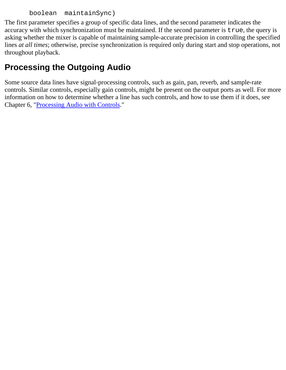```
 boolean maintainSync)
```
The first parameter specifies a group of specific data lines, and the second parameter indicates the accuracy with which synchronization must be maintained. If the second parameter is true, the query is asking whether the mixer is capable of maintaining sample-accurate precision in controlling the specified lines *at all times*; otherwise, precise synchronization is required only during start and stop operations, not throughout playback.

# **Processing the Outgoing Audio**

Some source data lines have signal-processing controls, such as gain, pan, reverb, and sample-rate controls. Similar controls, especially gain controls, might be present on the output ports as well. For more information on how to determine whether a line has such controls, and how to use them if it does, see Chapter 6, "[Processing Audio with Controls.](#page-42-0)"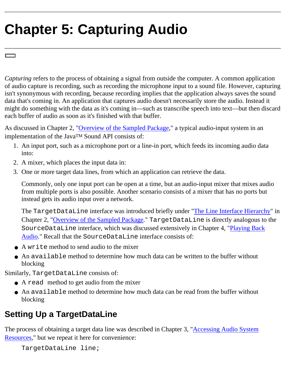# **Chapter 5: Capturing Audio**

*Capturing* refers to the process of obtaining a signal from outside the computer. A common application of audio capture is recording, such as recording the microphone input to a sound file. However, capturing isn't synonymous with recording, because recording implies that the application always saves the sound data that's coming in. An application that captures audio doesn't necessarily store the audio. Instead it might do something with the data as it's coming in—such as transcribe speech into text—but then discard each buffer of audio as soon as it's finished with that buffer.

As discussed in Chapter 2, ["Overview of the Sampled Package,](#page-15-0)" a typical audio-input system in an implementation of the JavaTM Sound API consists of:

- An input port, such as a microphone port or a line-in port, which feeds its incoming audio data 1. into:
- 2. A mixer, which places the input data in:
- 3. One or more target data lines, from which an application can retrieve the data.

Commonly, only one input port can be open at a time, but an audio-input mixer that mixes audio from multiple ports is also possible. Another scenario consists of a mixer that has no ports but instead gets its audio input over a network.

The TargetDataLine interface was introduced briefly under ["The Line Interface Hierarchy](#page-21-0)" in Chapter 2, "[Overview of the Sampled Package](#page-15-0)." TargetDataLine is directly analogous to the SourceDataLine interface, which was discussed extensively in Chapter 4, ["Playing Back](#page-31-0) [Audio](#page-31-0)." Recall that the SourceDataLine interface consists of:

- A write method to send audio to the mixer
- An available method to determine how much data can be written to the buffer without blocking

Similarly, TargetDataLine consists of:

- A read method to get audio from the mixer
- An available method to determine how much data can be read from the buffer without blocking

## **Setting Up a TargetDataLine**

The process of obtaining a target data line was described in Chapter 3, ["Accessing Audio System](#page-25-0) [Resources,](#page-25-0)" but we repeat it here for convenience:

TargetDataLine line;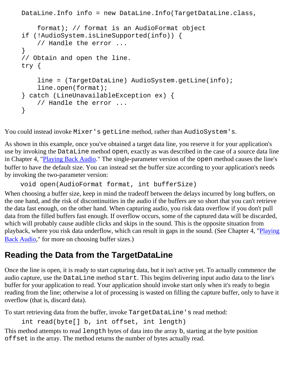```
DataLine.Info info = new DataLine.Info(TargetDataLine.class,
     format); // format is an AudioFormat object
if (!AudioSystem.isLineSupported(info)) {
     // Handle the error ... 
}
// Obtain and open the line.
try {
     line = (TargetDataLine) AudioSystem.getLine(info);
     line.open(format);
} catch (LineUnavailableException ex) {
     // Handle the error ... 
}
```
You could instead invoke Mixer's getLine method, rather than AudioSystem's.

As shown in this example, once you've obtained a target data line, you reserve it for your application's use by invoking the DataLine method open, exactly as was described in the case of a source data line in Chapter 4, "[Playing Back Audio](#page-31-0)." The single-parameter version of the open method causes the line's buffer to have the default size. You can instead set the buffer size according to your application's needs by invoking the two-parameter version:

```
 void open(AudioFormat format, int bufferSize)
```
When choosing a buffer size, keep in mind the tradeoff between the delays incurred by long buffers, on the one hand, and the risk of discontinuities in the audio if the buffers are so short that you can't retrieve the data fast enough, on the other hand. When capturing audio, you risk data overflow if you don't pull data from the filled buffers fast enough. If overflow occurs, some of the captured data will be discarded, which will probably cause audible clicks and skips in the sound. This is the opposite situation from playback, where you risk data underflow, which can result in gaps in the sound. (See Chapter 4, "[Playing](#page-31-0) [Back Audio](#page-31-0)," for more on choosing buffer sizes.)

### **Reading the Data from the TargetDataLine**

Once the line is open, it is ready to start capturing data, but it isn't active yet. To actually commence the audio capture, use the DataLine method start. This begins delivering input audio data to the line's buffer for your application to read. Your application should invoke start only when it's ready to begin reading from the line; otherwise a lot of processing is wasted on filling the capture buffer, only to have it overflow (that is, discard data).

To start retrieving data from the buffer, invoke TargetDataLine's read method:

```
int read(byte[] b, int offset, int length)
```
This method attempts to read length bytes of data into the array b, starting at the byte position offset in the array. The method returns the number of bytes actually read.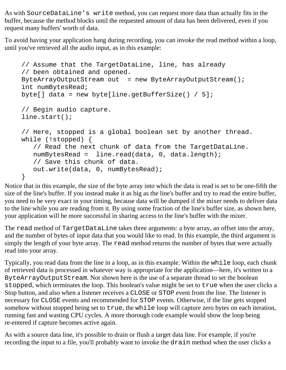As with SourceDataLine's write method, you can request more data than actually fits in the buffer, because the method blocks until the requested amount of data has been delivered, even if you request many buffers' worth of data.

To avoid having your application hang during recording, you can invoke the read method within a loop, until you've retrieved all the audio input, as in this example:

```
// Assume that the TargetDataLine, line, has already
// been obtained and opened.
ByteArrayOutputStream out = new ByteArrayOutputStream();
int numBytesRead;
byte[] data = new byte[line.getBufferSize() / 5];
// Begin audio capture.
line.start();
// Here, stopped is a global boolean set by another thread.
while (!stopped) {
    // Read the next chunk of data from the TargetDataLine.
   numBytesRead = line.read(data, 0, data.length); // Save this chunk of data.
    out.write(data, 0, numBytesRead);
}
```
Notice that in this example, the size of the byte array into which the data is read is set to be one-fifth the size of the line's buffer. If you instead make it as big as the line's buffer and try to read the entire buffer, you need to be very exact in your timing, because data will be dumped if the mixer needs to deliver data to the line while you are reading from it. By using some fraction of the line's buffer size, as shown here, your application will be more successful in sharing access to the line's buffer with the mixer.

The read method of TargetDataLine takes three arguments: a byte array, an offset into the array, and the number of bytes of input data that you would like to read. In this example, the third argument is simply the length of your byte array. The read method returns the number of bytes that were actually read into your array.

Typically, you read data from the line in a loop, as in this example. Within the while loop, each chunk of retrieved data is processed in whatever way is appropriate for the application—here, it's written to a ByteArrayOutputStream. Not shown here is the use of a separate thread to set the boolean stopped, which terminates the loop. This boolean's value might be set to true when the user clicks a Stop button, and also when a listener receives a CLOSE or STOP event from the line. The listener is necessary for CLOSE events and recommended for STOP events. Otherwise, if the line gets stopped somehow without stopped being set to true, the while loop will capture zero bytes on each iteration, running fast and wasting CPU cycles. A more thorough code example would show the loop being re-entered if capture becomes active again.

As with a source data line, it's possible to drain or flush a target data line. For example, if you're recording the input to a file, you'll probably want to invoke the drain method when the user clicks a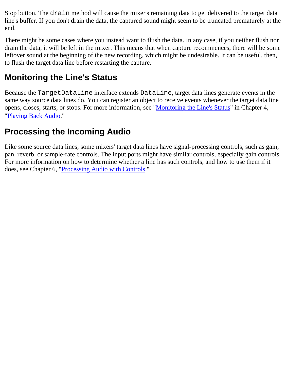Stop button. The drain method will cause the mixer's remaining data to get delivered to the target data line's buffer. If you don't drain the data, the captured sound might seem to be truncated prematurely at the end.

There might be some cases where you instead want to flush the data. In any case, if you neither flush nor drain the data, it will be left in the mixer. This means that when capture recommences, there will be some leftover sound at the beginning of the new recording, which might be undesirable. It can be useful, then, to flush the target data line before restarting the capture.

# **Monitoring the Line's Status**

Because the TargetDataLine interface extends DataLine, target data lines generate events in the same way source data lines do. You can register an object to receive events whenever the target data line opens, closes, starts, or stops. For more information, see "[Monitoring the Line's Status](#page-36-0)" in Chapter 4, "[Playing Back Audio](#page-31-0)."

## **Processing the Incoming Audio**

Like some source data lines, some mixers' target data lines have signal-processing controls, such as gain, pan, reverb, or sample-rate controls. The input ports might have similar controls, especially gain controls. For more information on how to determine whether a line has such controls, and how to use them if it does, see Chapter 6, "[Processing Audio with Controls.](#page-42-0)"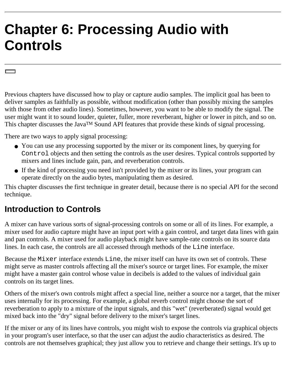# <span id="page-42-0"></span>**Chapter 6: Processing Audio with Controls**

Previous chapters have discussed how to play or capture audio samples. The implicit goal has been to deliver samples as faithfully as possible, without modification (other than possibly mixing the samples with those from other audio lines). Sometimes, however, you want to be able to modify the signal. The user might want it to sound louder, quieter, fuller, more reverberant, higher or lower in pitch, and so on. This chapter discusses the Java™ Sound API features that provide these kinds of signal processing.

There are two ways to apply signal processing:

- You can use any processing supported by the mixer or its component lines, by querying for Control objects and then setting the controls as the user desires. Typical controls supported by mixers and lines include gain, pan, and reverberation controls.
- If the kind of processing you need isn't provided by the mixer or its lines, your program can operate directly on the audio bytes, manipulating them as desired.

This chapter discusses the first technique in greater detail, because there is no special API for the second technique.

### **Introduction to Controls**

A mixer can have various sorts of signal-processing controls on some or all of its lines. For example, a mixer used for audio capture might have an input port with a gain control, and target data lines with gain and pan controls. A mixer used for audio playback might have sample-rate controls on its source data lines. In each case, the controls are all accessed through methods of the Line interface.

Because the Mixer interface extends Line, the mixer itself can have its own set of controls. These might serve as master controls affecting all the mixer's source or target lines. For example, the mixer might have a master gain control whose value in decibels is added to the values of individual gain controls on its target lines.

Others of the mixer's own controls might affect a special line, neither a source nor a target, that the mixer uses internally for its processing. For example, a global reverb control might choose the sort of reverberation to apply to a mixture of the input signals, and this "wet" (reverberated) signal would get mixed back into the "dry" signal before delivery to the mixer's target lines.

If the mixer or any of its lines have controls, you might wish to expose the controls via graphical objects in your program's user interface, so that the user can adjust the audio characteristics as desired. The controls are not themselves graphical; they just allow you to retrieve and change their settings. It's up to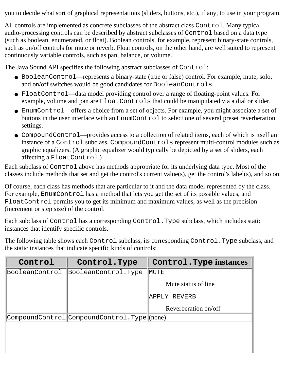you to decide what sort of graphical representations (sliders, buttons, etc.), if any, to use in your program.

All controls are implemented as concrete subclasses of the abstract class Control. Many typical audio-processing controls can be described by abstract subclasses of Control based on a data type (such as boolean, enumerated, or float). Boolean controls, for example, represent binary-state controls, such as on/off controls for mute or reverb. Float controls, on the other hand, are well suited to represent continuously variable controls, such as pan, balance, or volume.

The Java Sound API specifies the following abstract subclasses of Control:

- BooleanControl—represents a binary-state (true or false) control. For example, mute, solo, and on/off switches would be good candidates for BooleanControls.
- FloatControl—data model providing control over a range of floating-point values. For example, volume and pan are FloatControls that could be manipulated via a dial or slider.
- EnumControl—offers a choice from a set of objects. For example, you might associate a set of buttons in the user interface with an EnumControl to select one of several preset reverberation settings.
- CompoundControl—provides access to a collection of related items, each of which is itself an instance of a Control subclass. CompoundControls represent multi-control modules such as graphic equalizers. (A graphic equalizer would typically be depicted by a set of sliders, each affecting a FloatControl.)

Each subclass of Control above has methods appropriate for its underlying data type. Most of the classes include methods that set and get the control's current value(s), get the control's label(s), and so on.

Of course, each class has methods that are particular to it and the data model represented by the class. For example, EnumControl has a method that lets you get the set of its possible values, and FloatControl permits you to get its minimum and maximum values, as well as the precision (increment or step size) of the control.

Each subclass of Control has a corresponding Control.Type subclass, which includes static instances that identify specific controls.

The following table shows each Control subclass, its corresponding Control.Type subclass, and the static instances that indicate specific kinds of controls:

| Control        | Control. Type                               | Control. Type instances |
|----------------|---------------------------------------------|-------------------------|
| BooleanControl | BooleanControl.Type                         | <b>MUTE</b>             |
|                |                                             | Mute status of line     |
|                |                                             | APPLY REVERB            |
|                |                                             | Reverberation on/off    |
|                | CompoundControl CompoundControl.Type (none) |                         |
|                |                                             |                         |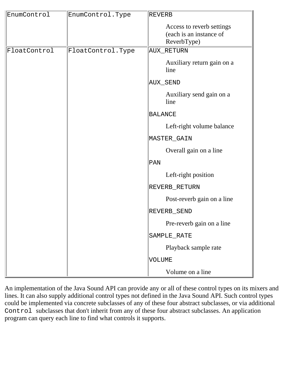| EnumControl  | EnumControl.Type  | REVERB                                                              |
|--------------|-------------------|---------------------------------------------------------------------|
|              |                   | Access to reverb settings<br>(each is an instance of<br>ReverbType) |
| FloatControl | FloatControl.Type | AUX_RETURN                                                          |
|              |                   | Auxiliary return gain on a<br>line                                  |
|              |                   | AUX_SEND                                                            |
|              |                   | Auxiliary send gain on a<br>line                                    |
|              |                   | BALANCE                                                             |
|              |                   | Left-right volume balance                                           |
|              |                   | MASTER_GAIN                                                         |
|              |                   | Overall gain on a line                                              |
|              |                   | $\overline{\mathrm{PAN}}$                                           |
|              |                   | Left-right position                                                 |
|              |                   | REVERB_RETURN                                                       |
|              |                   | Post-reverb gain on a line                                          |
|              |                   | REVERB_SEND                                                         |
|              |                   | Pre-reverb gain on a line                                           |
|              |                   | SAMPLE_RATE                                                         |
|              |                   | Playback sample rate                                                |
|              |                   | VOLUME                                                              |
|              |                   | Volume on a line                                                    |

An implementation of the Java Sound API can provide any or all of these control types on its mixers and lines. It can also supply additional control types not defined in the Java Sound API. Such control types could be implemented via concrete subclasses of any of these four abstract subclasses, or via additional Control subclasses that don't inherit from any of these four abstract subclasses. An application program can query each line to find what controls it supports.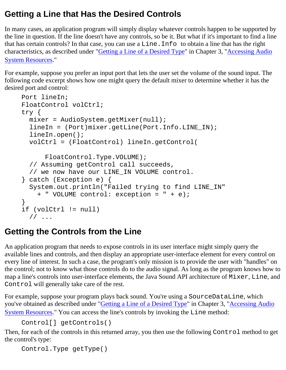## **Getting a Line that Has the Desired Controls**

In many cases, an application program will simply display whatever controls happen to be supported by the line in question. If the line doesn't have any controls, so be it. But what if it's important to find a line that has certain controls? In that case, you can use a Line.Info to obtain a line that has the right characteristics, as described under ["Getting a Line of a Desired Type"](#page-27-0) in Chapter 3, "[Accessing Audio](#page-25-0) [System Resources](#page-25-0)."

For example, suppose you prefer an input port that lets the user set the volume of the sound input. The following code excerpt shows how one might query the default mixer to determine whether it has the desired port and control:

```
Port lineIn;
FloatControl volCtrl;
try {
   mixer = AudioSystem.getMixer(null);
   lineIn = (Port)mixer.getLine(Port.Info.LINE_IN);
   lineIn.open();
  volCtrl = (FloatControl) lineIn.getControl(
       FloatControl.Type.VOLUME);
   // Assuming getControl call succeeds, 
   // we now have our LINE_IN VOLUME control.
} catch (Exception e) {
   System.out.println("Failed trying to find LINE_IN"
     + " VOLUME control: exception = " + e);
}
if (volCtrl != null)
   // ...
```
## **Getting the Controls from the Line**

An application program that needs to expose controls in its user interface might simply query the available lines and controls, and then display an appropriate user-interface element for every control on every line of interest. In such a case, the program's only mission is to provide the user with "handles" on the control; not to know what those controls do to the audio signal. As long as the program knows how to map a line's controls into user-interface elements, the Java Sound API architecture of Mixer, Line, and Control will generally take care of the rest.

For example, suppose your program plays back sound. You're using a SourceDataLine, which you've obtained as described under ["Getting a Line of a Desired Type](#page-27-0)" in Chapter 3, "[Accessing Audio](#page-25-0) [System Resources](#page-25-0)." You can access the line's controls by invoking the Line method:

```
Control[] getControls()
```
Then, for each of the controls in this returned array, you then use the following Control method to get the control's type:

```
Control.Type getType()
```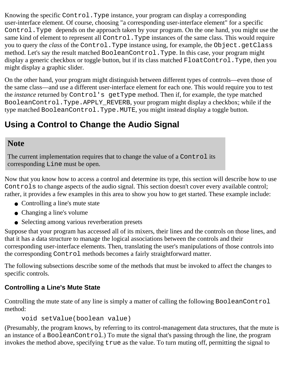Knowing the specific Control.Type instance, your program can display a corresponding user-interface element. Of course, choosing "a corresponding user-interface element" for a specific Control.Type depends on the approach taken by your program. On the one hand, you might use the same kind of element to represent all Control. Type instances of the same class. This would require you to query the *class* of the Control. Type instance using, for example, the Object.getClass method. Let's say the result matched BooleanControl.Type. In this case, your program might display a generic checkbox or toggle button, but if its class matched FloatControl.Type, then you might display a graphic slider.

On the other hand, your program might distinguish between different types of controls—even those of the same class—and use a different user-interface element for each one. This would require you to test the *instance* returned by Control's getType method. Then if, for example, the type matched BooleanControl.Type.APPLY\_REVERB, your program might display a checkbox; while if the type matched BooleanControl.Type.MUTE, you might instead display a toggle button.

## **Using a Control to Change the Audio Signal**

### **Note**

The current implementation requires that to change the value of a Control its corresponding Line must be open.

Now that you know how to access a control and determine its type, this section will describe how to use Controls to change aspects of the audio signal. This section doesn't cover every available control; rather, it provides a few examples in this area to show you how to get started. These example include:

- Controlling a line's mute state
- Changing a line's volume
- Selecting among various reverberation presets

Suppose that your program has accessed all of its mixers, their lines and the controls on those lines, and that it has a data structure to manage the logical associations between the controls and their corresponding user-interface elements. Then, translating the user's manipulations of those controls into the corresponding Control methods becomes a fairly straightforward matter.

The following subsections describe some of the methods that must be invoked to affect the changes to specific controls.

### **Controlling a Line's Mute State**

Controlling the mute state of any line is simply a matter of calling the following BooleanControl method:

```
void setValue(boolean value)
```
(Presumably, the program knows, by referring to its control-management data structures, that the mute is an instance of a BooleanControl.) To mute the signal that's passing through the line, the program invokes the method above, specifying true as the value. To turn muting off, permitting the signal to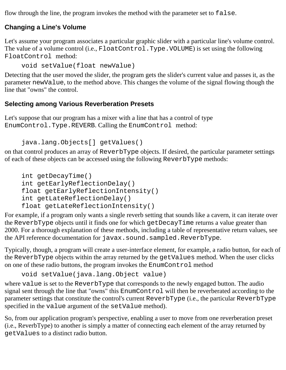flow through the line, the program invokes the method with the parameter set to false.

#### **Changing a Line's Volume**

Let's assume your program associates a particular graphic slider with a particular line's volume control. The value of a volume control (i.e., FloatControl.Type.VOLUME) is set using the following FloatControl method:

void setValue(float newValue)

Detecting that the user moved the slider, the program gets the slider's current value and passes it, as the parameter newValue, to the method above. This changes the volume of the signal flowing though the line that "owns" the control.

#### **Selecting among Various Reverberation Presets**

Let's suppose that our program has a mixer with a line that has a control of type EnumControl.Type.REVERB. Calling the EnumControl method:

```
java.lang.Objects[] getValues()
```
on that control produces an array of ReverbType objects. If desired, the particular parameter settings of each of these objects can be accessed using the following ReverbType methods:

```
int getDecayTime() 
int getEarlyReflectionDelay() 
float getEarlyReflectionIntensity() 
int getLateReflectionDelay() 
float getLateReflectionIntensity()
```
For example, if a program only wants a single reverb setting that sounds like a cavern, it can iterate over the ReverbType objects until it finds one for which getDecayTime returns a value greater than 2000. For a thorough explanation of these methods, including a table of representative return values, see the API reference documentation for javax.sound.sampled.ReverbType.

Typically, though, a program will create a user-interface element, for example, a radio button, for each of the ReverbType objects within the array returned by the getValues method. When the user clicks on one of these radio buttons, the program invokes the EnumControl method

```
void setValue(java.lang.Object value)
```
where value is set to the ReverbType that corresponds to the newly engaged button. The audio signal sent through the line that "owns" this EnumControl will then be reverberated according to the parameter settings that constitute the control's current ReverbType (i.e., the particular ReverbType specified in the value argument of the setValue method).

So, from our application program's perspective, enabling a user to move from one reverberation preset (i.e., ReverbType) to another is simply a matter of connecting each element of the array returned by getValues to a distinct radio button.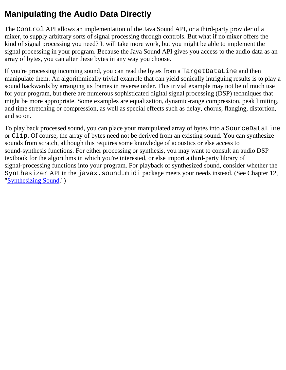## **Manipulating the Audio Data Directly**

The Control API allows an implementation of the Java Sound API, or a third-party provider of a mixer, to supply arbitrary sorts of signal processing through controls. But what if no mixer offers the kind of signal processing you need? It will take more work, but you might be able to implement the signal processing in your program. Because the Java Sound API gives you access to the audio data as an array of bytes, you can alter these bytes in any way you choose.

If you're processing incoming sound, you can read the bytes from a TargetDataLine and then manipulate them. An algorithmically trivial example that can yield sonically intriguing results is to play a sound backwards by arranging its frames in reverse order. This trivial example may not be of much use for your program, but there are numerous sophisticated digital signal processing (DSP) techniques that might be more appropriate. Some examples are equalization, dynamic-range compression, peak limiting, and time stretching or compression, as well as special effects such as delay, chorus, flanging, distortion, and so on.

To play back processed sound, you can place your manipulated array of bytes into a SourceDataLine or Clip. Of course, the array of bytes need not be derived from an existing sound. You can synthesize sounds from scratch, although this requires some knowledge of acoustics or else access to sound-synthesis functions. For either processing or synthesis, you may want to consult an audio DSP textbook for the algorithms in which you're interested, or else import a third-party library of signal-processing functions into your program. For playback of synthesized sound, consider whether the Synthesizer API in the javax.sound.midi package meets your needs instead. (See Chapter 12, "[Synthesizing Sound](#page-89-0).")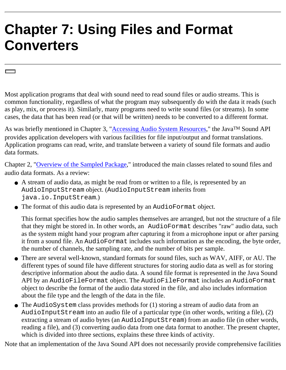# **Chapter 7: Using Files and Format Converters**

Most application programs that deal with sound need to read sound files or audio streams. This is common functionality, regardless of what the program may subsequently do with the data it reads (such as play, mix, or process it). Similarly, many programs need to write sound files (or streams). In some cases, the data that has been read (or that will be written) needs to be converted to a different format.

As was briefly mentioned in Chapter 3, "[Accessing Audio System Resources](#page-25-0)," the Java<sup>TM</sup> Sound API provides application developers with various facilities for file input/output and format translations. Application programs can read, write, and translate between a variety of sound file formats and audio data formats.

Chapter 2, "[Overview of the Sampled Package](#page-15-0)," introduced the main classes related to sound files and audio data formats. As a review:

- A stream of audio data, as might be read from or written to a file, is represented by an AudioInputStream object. (AudioInputStream inherits from java.io.InputStream.)
- The format of this audio data is represented by an AudioFormat object. ●

This format specifies how the audio samples themselves are arranged, but not the structure of a file that they might be stored in. In other words, an AudioFormat describes "raw" audio data, such as the system might hand your program after capturing it from a microphone input or after parsing it from a sound file. An AudioFormat includes such information as the encoding, the byte order, the number of channels, the sampling rate, and the number of bits per sample.

- There are several well-known, standard formats for sound files, such as WAV, AIFF, or AU. The different types of sound file have different structures for storing audio data as well as for storing descriptive information about the audio data. A sound file format is represented in the Java Sound API by an AudioFileFormat object. The AudioFileFormat includes an AudioFormat object to describe the format of the audio data stored in the file, and also includes information about the file type and the length of the data in the file.
- The AudioSystem class provides methods for (1) storing a stream of audio data from an AudioInputStream into an audio file of a particular type (in other words, writing a file), (2) extracting a stream of audio bytes (an AudioInputStream) from an audio file (in other words, reading a file), and (3) converting audio data from one data format to another. The present chapter, which is divided into three sections, explains these three kinds of activity.

Note that an implementation of the Java Sound API does not necessarily provide comprehensive facilities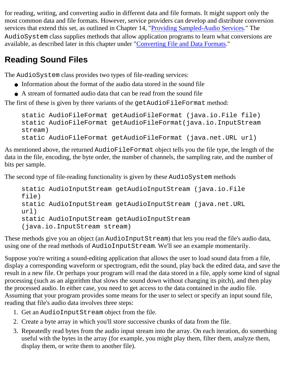for reading, writing, and converting audio in different data and file formats. It might support only the most common data and file formats. However, service providers can develop and distribute conversion services that extend this set, as outlined in Chapter 14, "[Providing Sampled-Audio Services](#page-102-0)." The AudioSystem class supplies methods that allow application programs to learn what conversions are available, as described later in this chapter under "Converting File and Data Formats."

## **Reading Sound Files**

The AudioSystem class provides two types of file-reading services:

- Information about the format of the audio data stored in the sound file
- $\bullet$  A stream of formatted audio data that can be read from the sound file

The first of these is given by three variants of the getAudioFileFormat method:

```
static AudioFileFormat getAudioFileFormat (java.io.File file)
static AudioFileFormat getAudioFileFormat(java.io.InputStream
stream)
static AudioFileFormat getAudioFileFormat (java.net.URL url)
```
As mentioned above, the returned AudioFileFormat object tells you the file type, the length of the data in the file, encoding, the byte order, the number of channels, the sampling rate, and the number of bits per sample.

The second type of file-reading functionality is given by these AudioSystem methods

```
static AudioInputStream getAudioInputStream (java.io.File
file)
static AudioInputStream getAudioInputStream (java.net.URL
url)
static AudioInputStream getAudioInputStream
(java.io.InputStream stream)
```
These methods give you an object (an AudioInputStream) that lets you read the file's audio data, using one of the read methods of AudioInputStream. We'll see an example momentarily.

Suppose you're writing a sound-editing application that allows the user to load sound data from a file, display a corresponding waveform or spectrogram, edit the sound, play back the edited data, and save the result in a new file. Or perhaps your program will read the data stored in a file, apply some kind of signal processing (such as an algorithm that slows the sound down without changing its pitch), and then play the processed audio. In either case, you need to get access to the data contained in the audio file. Assuming that your program provides some means for the user to select or specify an input sound file, reading that file's audio data involves three steps:

- 1. Get an AudioInputStream object from the file.
- 2. Create a byte array in which you'll store successive chunks of data from the file.
- 3. Repeatedly read bytes from the audio input stream into the array. On each iteration, do something useful with the bytes in the array (for example, you might play them, filter them, analyze them, display them, or write them to another file).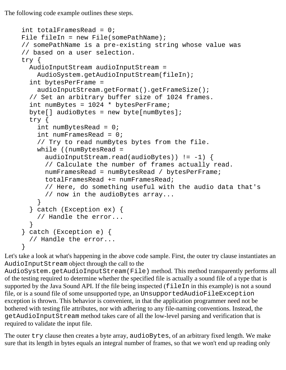The following code example outlines these steps.

```
int totalFramesRead = 0;
File fileIn = new File(somePathName);
// somePathName is a pre-existing string whose value was
// based on a user selection.
try {
   AudioInputStream audioInputStream = 
     AudioSystem.getAudioInputStream(fileIn);
   int bytesPerFrame = 
     audioInputStream.getFormat().getFrameSize();
   // Set an arbitrary buffer size of 1024 frames.
   int numBytes = 1024 * bytesPerFrame; 
  byte[] audioBytes = new byte[numBytes];
   try {
    int numBytesRead = 0;
     int numFramesRead = 0;
     // Try to read numBytes bytes from the file.
     while ((numBytesRead = 
      audioInputStream.read(audioBytes)) := -1) {
       // Calculate the number of frames actually read.
       numFramesRead = numBytesRead / bytesPerFrame;
       totalFramesRead += numFramesRead;
       // Here, do something useful with the audio data that's 
       // now in the audioBytes array...
     }
   } catch (Exception ex) { 
     // Handle the error...
   }
} catch (Exception e) {
   // Handle the error...
}
```
Let's take a look at what's happening in the above code sample. First, the outer try clause instantiates an AudioInputStream object through the call to the

AudioSystem.getAudioInputStream(File) method. This method transparently performs all of the testing required to determine whether the specified file is actually a sound file of a type that is supported by the Java Sound API. If the file being inspected (fileIn in this example) is not a sound file, or is a sound file of some unsupported type, an UnsupportedAudioFileException exception is thrown. This behavior is convenient, in that the application programmer need not be bothered with testing file attributes, nor with adhering to any file-naming conventions. Instead, the getAudioInputStream method takes care of all the low-level parsing and verification that is required to validate the input file.

The outer try clause then creates a byte array, audioBytes, of an arbitrary fixed length. We make sure that its length in bytes equals an integral number of frames, so that we won't end up reading only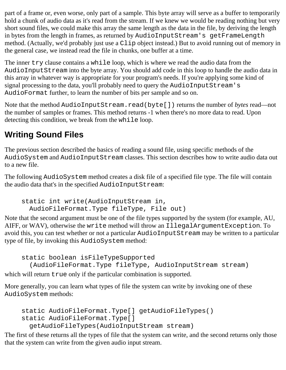part of a frame or, even worse, only part of a sample. This byte array will serve as a buffer to temporarily hold a chunk of audio data as it's read from the stream. If we knew we would be reading nothing but very short sound files, we could make this array the same length as the data in the file, by deriving the length in bytes from the length in frames, as returned by AudioInputStream's getFrameLength method. (Actually, we'd probably just use a Clip object instead.) But to avoid running out of memory in the general case, we instead read the file in chunks, one buffer at a time.

The inner try clause contains a while loop, which is where we read the audio data from the AudioInputStream into the byte array. You should add code in this loop to handle the audio data in this array in whatever way is appropriate for your program's needs. If you're applying some kind of signal processing to the data, you'll probably need to query the AudioInputStream's AudioFormat further, to learn the number of bits per sample and so on.

Note that the method AudioInputStream.read(byte[]) returns the number of *bytes* read—not the number of samples or frames. This method returns -1 when there's no more data to read. Upon detecting this condition, we break from the while loop.

# **Writing Sound Files**

The previous section described the basics of reading a sound file, using specific methods of the AudioSystem and AudioInputStream classes. This section describes how to write audio data out to a new file.

The following AudioSystem method creates a disk file of a specified file type. The file will contain the audio data that's in the specified AudioInputStream:

static int write(AudioInputStream in, AudioFileFormat.Type fileType, File out)

Note that the second argument must be one of the file types supported by the system (for example, AU, AIFF, or WAV), otherwise the write method will throw an IllegalArgumentException. To avoid this, you can test whether or not a particular AudioInputStream may be written to a particular type of file, by invoking this AudioSystem method:

static boolean isFileTypeSupported (AudioFileFormat.Type fileType, AudioInputStream stream)

which will return true only if the particular combination is supported.

More generally, you can learn what types of file the system can write by invoking one of these AudioSystem methods:

```
static AudioFileFormat.Type[] getAudioFileTypes() 
static AudioFileFormat.Type[] 
   getAudioFileTypes(AudioInputStream stream)
```
The first of these returns all the types of file that the system can write, and the second returns only those that the system can write from the given audio input stream.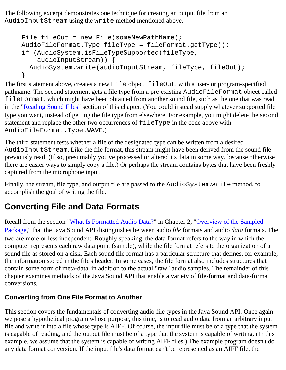The following excerpt demonstrates one technique for creating an output file from an AudioInputStream using the write method mentioned above.

```
File fileOut = new File(someNewPathName);
AudioFileFormat.Type fileType = fileFormat.getType();
if (AudioSystem.isFileTypeSupported(fileType, 
     audioInputStream)) {
   AudioSystem.write(audioInputStream, fileType, fileOut);
}
```
The first statement above, creates a new File object, fileOut, with a user- or program-specified pathname. The second statement gets a file type from a pre-existing AudioFileFormat object called fileFormat, which might have been obtained from another sound file, such as the one that was read in the "Reading Sound Files" section of this chapter. (You could instead supply whatever supported file type you want, instead of getting the file type from elsewhere. For example, you might delete the second statement and replace the other two occurrences of fileType in the code above with AudioFileFormat.Type.WAVE.)

The third statement tests whether a file of the designated type can be written from a desired AudioInputStream. Like the file format, this stream might have been derived from the sound file previously read. (If so, presumably you've processed or altered its data in some way, because otherwise there are easier ways to simply copy a file.) Or perhaps the stream contains bytes that have been freshly captured from the microphone input.

Finally, the stream, file type, and output file are passed to the AudioSystem.write method, to accomplish the goal of writing the file.

## **Converting File and Data Formats**

Recall from the section ["What Is Formatted Audio Data?](#page-16-0)" in Chapter 2, ["Overview of the Sampled](#page-15-0) [Package,](#page-15-0)" that the Java Sound API distinguishes between audio *file* formats and audio *data* formats. The two are more or less independent. Roughly speaking, the data format refers to the way in which the computer represents each raw data point (sample), while the file format refers to the organization of a sound file as stored on a disk. Each sound file format has a particular structure that defines, for example, the information stored in the file's header. In some cases, the file format also includes structures that contain some form of meta-data, in addition to the actual "raw" audio samples. The remainder of this chapter examines methods of the Java Sound API that enable a variety of file-format and data-format conversions.

#### **Converting from One File Format to Another**

This section covers the fundamentals of converting audio file types in the Java Sound API. Once again we pose a hypothetical program whose purpose, this time, is to read audio data from an arbitrary input file and write it into a file whose type is AIFF. Of course, the input file must be of a type that the system is capable of reading, and the output file must be of a type that the system is capable of writing. (In this example, we assume that the system is capable of writing AIFF files.) The example program doesn't do any data format conversion. If the input file's data format can't be represented as an AIFF file, the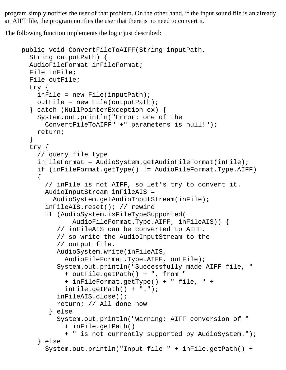program simply notifies the user of that problem. On the other hand, if the input sound file is an already an AIFF file, the program notifies the user that there is no need to convert it.

The following function implements the logic just described:

```
public void ConvertFileToAIFF(String inputPath, 
   String outputPath) {
   AudioFileFormat inFileFormat;
   File inFile;
   File outFile;
   try {
    inFile = new File(inputPath); outFile = new File(outputPath); 
   } catch (NullPointerException ex) {
     System.out.println("Error: one of the 
       ConvertFileToAIFF" +" parameters is null!");
     return;
   }
   try {
     // query file type
     inFileFormat = AudioSystem.getAudioFileFormat(inFile);
     if (inFileFormat.getType() != AudioFileFormat.Type.AIFF) 
    {
       // inFile is not AIFF, so let's try to convert it.
       AudioInputStream inFileAIS = 
         AudioSystem.getAudioInputStream(inFile);
       inFileAIS.reset(); // rewind
       if (AudioSystem.isFileTypeSupported(
              AudioFileFormat.Type.AIFF, inFileAIS)) {
          // inFileAIS can be converted to AIFF. 
          // so write the AudioInputStream to the
          // output file.
          AudioSystem.write(inFileAIS,
            AudioFileFormat.Type.AIFF, outFile);
          System.out.println("Successfully made AIFF file, "
            + outFile.getPath() + ", from "
            + inFileFormat.getType() + " file, " +
           inFile.getPath() + "." inFileAIS.close();
          return; // All done now
        } else
          System.out.println("Warning: AIFF conversion of " 
            + inFile.getPath()
            + " is not currently supported by AudioSystem.");
     } else
       System.out.println("Input file " + inFile.getPath() +
```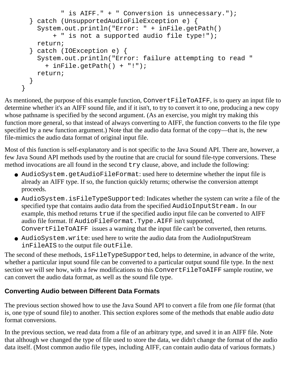```
 " is AIFF." + " Conversion is unnecessary.");
   } catch (UnsupportedAudioFileException e) {
     System.out.println("Error: " + inFile.getPath()
         + " is not a supported audio file type!");
     return;
   } catch (IOException e) {
     System.out.println("Error: failure attempting to read " 
       + inFile.getPath() + "!");
     return;
   }
}
```
As mentioned, the purpose of this example function, ConvertFileToAIFF, is to query an input file to determine whether it's an AIFF sound file, and if it isn't, to try to convert it to one, producing a new copy whose pathname is specified by the second argument. (As an exercise, you might try making this function more general, so that instead of always converting to AIFF, the function converts to the file type specified by a new function argument.) Note that the audio data format of the copy—that is, the new file-mimics the audio data format of original input file.

Most of this function is self-explanatory and is not specific to the Java Sound API. There are, however, a few Java Sound API methods used by the routine that are crucial for sound file-type conversions. These method invocations are all found in the second try clause, above, and include the following:

- AudioSystem.getAudioFileFormat:used here to determine whether the input file is already an AIFF type. If so, the function quickly returns; otherwise the conversion attempt proceeds.
- AudioSystem.isFileTypeSupported: Indicates whether the system can write a file of the specified type that contains audio data from the specified AudioInputStream. In our example, this method returns true if the specified audio input file can be converted to AIFF audio file format. If AudioFileFormat.Type.AIFF isn't supported, ConvertFileToAIFF issues a warning that the input file can't be converted, then returns.
- AudioSystem.write: used here to write the audio data from the AudioInputStream inFileAIS to the output file outFile.

The second of these methods, isFileTypeSupported, helps to determine, in advance of the write, whether a particular input sound file can be converted to a particular output sound file type. In the next section we will see how, with a few modifications to this ConvertFileToAIFF sample routine, we can convert the audio data format, as well as the sound file type.

#### **Converting Audio between Different Data Formats**

The previous section showed how to use the Java Sound API to convert a file from one *file* format (that is, one type of sound file) to another. This section explores some of the methods that enable audio *data* format conversions.

In the previous section, we read data from a file of an arbitrary type, and saved it in an AIFF file. Note that although we changed the type of file used to store the data, we didn't change the format of the audio data itself. (Most common audio file types, including AIFF, can contain audio data of various formats.)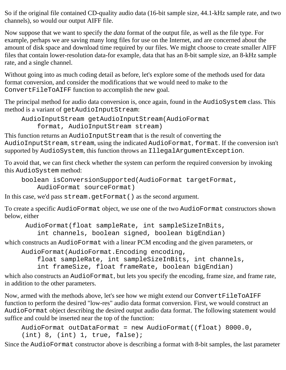So if the original file contained CD-quality audio data (16-bit sample size, 44.1-kHz sample rate, and two channels), so would our output AIFF file.

Now suppose that we want to specify the *data* format of the output file, as well as the file type. For example, perhaps we are saving many long files for use on the Internet, and are concerned about the amount of disk space and download time required by our files. We might choose to create smaller AIFF files that contain lower-resolution data-for example, data that has an 8-bit sample size, an 8-kHz sample rate, and a single channel.

Without going into as much coding detail as before, let's explore some of the methods used for data format conversion, and consider the modifications that we would need to make to the ConvertFileToAIFF function to accomplish the new goal.

The principal method for audio data conversion is, once again, found in the AudioSystem class. This method is a variant of getAudioInputStream:

AudioInputStream getAudioInputStream(AudioFormat format, AudioInputStream stream)

This function returns an AudioInputStream that is the result of converting the AudioInputStream, stream, using the indicated AudioFormat, format. If the conversion isn't supported by AudioSystem, this function throws an IllegalArgumentException.

To avoid that, we can first check whether the system can perform the required conversion by invoking this AudioSystem method:

```
boolean isConversionSupported(AudioFormat targetFormat,
     AudioFormat sourceFormat)
```
In this case, we'd pass stream.getFormat() as the second argument.

To create a specific AudioFormat object, we use one of the two AudioFormat constructors shown below, either

AudioFormat(float sampleRate, int sampleSizeInBits,

int channels, boolean signed, boolean bigEndian)

which constructs an AudioFormat with a linear PCM encoding and the given parameters, or

AudioFormat(AudioFormat.Encoding encoding,

float sampleRate, int sampleSizeInBits, int channels,

int frameSize, float frameRate, boolean bigEndian)

which also constructs an AudioFormat, but lets you specify the encoding, frame size, and frame rate, in addition to the other parameters.

Now, armed with the methods above, let's see how we might extend our ConvertFileToAIFF function to perform the desired "low-res" audio data format conversion. First, we would construct an AudioFormat object describing the desired output audio data format. The following statement would suffice and could be inserted near the top of the function:

AudioFormat outDataFormat = new AudioFormat((float) 8000.0,  $(int) 8, (int) 1, true, false$ ;

Since the AudioFormat constructor above is describing a format with 8-bit samples, the last parameter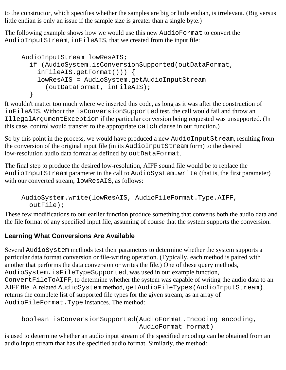to the constructor, which specifies whether the samples are big or little endian, is irrelevant. (Big versus little endian is only an issue if the sample size is greater than a single byte.)

The following example shows how we would use this new AudioFormat to convert the AudioInputStream, inFileAIS, that we created from the input file:

```
AudioInputStream lowResAIS; 
   if (AudioSystem.isConversionSupported(outDataFormat, 
     inFileAIS.getFormat())) {
     lowResAIS = AudioSystem.getAudioInputStream
       (outDataFormat, inFileAIS);
 }
```
It wouldn't matter too much where we inserted this code, as long as it was after the construction of inFileAIS. Without the isConversionSupported test, the call would fail and throw an IllegalArgumentException if the particular conversion being requested was unsupported. (In this case, control would transfer to the appropriate catch clause in our function.)

So by this point in the process, we would have produced a new AudioInputStream, resulting from the conversion of the original input file (in its AudioInputStream form) to the desired low-resolution audio data format as defined by outDataFormat.

The final step to produce the desired low-resolution, AIFF sound file would be to replace the AudioInputStream parameter in the call to AudioSystem.write (that is, the first parameter) with our converted stream, lowResAIS, as follows:

```
AudioSystem.write(lowResAIS, AudioFileFormat.Type.AIFF, 
   outFile);
```
These few modifications to our earlier function produce something that converts both the audio data and the file format of any specified input file, assuming of course that the system supports the conversion.

#### **Learning What Conversions Are Available**

Several AudioSystem methods test their parameters to determine whether the system supports a particular data format conversion or file-writing operation. (Typically, each method is paired with another that performs the data conversion or writes the file.) One of these query methods, AudioSystem.isFileTypeSupported, was used in our example function, ConvertFileToAIFF, to determine whether the system was capable of writing the audio data to an AIFF file. A related AudioSystem method, getAudioFileTypes(AudioInputStream), returns the complete list of supported file types for the given stream, as an array of AudioFileFormat.Type instances. The method:

```
boolean isConversionSupported(AudioFormat.Encoding encoding,
                                AudioFormat format)
```
is used to determine whether an audio input stream of the specified encoding can be obtained from an audio input stream that has the specified audio format. Similarly, the method: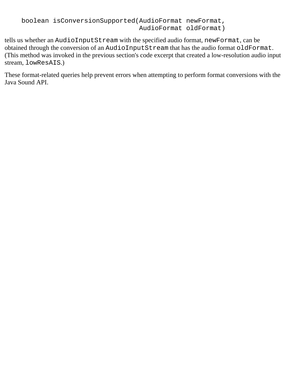```
boolean isConversionSupported(AudioFormat newFormat,
                                AudioFormat oldFormat)
```
tells us whether an AudioInputStream with the specified audio format, newFormat, can be obtained through the conversion of an AudioInputStream that has the audio format oldFormat. (This method was invoked in the previous section's code excerpt that created a low-resolution audio input stream, lowResAIS.)

These format-related queries help prevent errors when attempting to perform format conversions with the Java Sound API.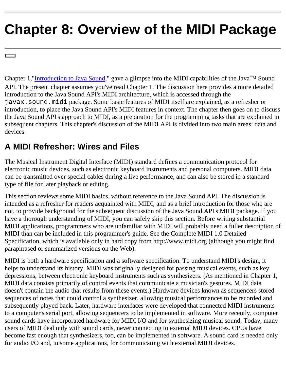# <span id="page-59-0"></span>**Chapter 8: Overview of the MIDI Package**

Chapter 1,"*Introduction to Java Sound*," gave a glimpse into the MIDI capabilities of the Java<sup>TM</sup> Sound API. The present chapter assumes you've read Chapter 1. The discussion here provides a more detailed introduction to the Java Sound API's MIDI architecture, which is accessed through the javax.sound.midi package. Some basic features of MIDI itself are explained, as a refresher or introduction, to place the Java Sound API's MIDI features in context. The chapter then goes on to discuss the Java Sound API's approach to MIDI, as a preparation for the programming tasks that are explained in subsequent chapters. This chapter's discussion of the MIDI API is divided into two main areas: data and devices.

## **A MIDI Refresher: Wires and Files**

The Musical Instrument Digital Interface (MIDI) standard defines a communication protocol for electronic music devices, such as electronic keyboard instruments and personal computers. MIDI data can be transmitted over special cables during a live performance, and can also be stored in a standard type of file for later playback or editing.

This section reviews some MIDI basics, without reference to the Java Sound API. The discussion is intended as a refresher for readers acquainted with MIDI, and as a brief introduction for those who are not, to provide background for the subsequent discussion of the Java Sound API's MIDI package. If you have a thorough understanding of MIDI, you can safely skip this section. Before writing substantial MIDI applications, programmers who are unfamiliar with MIDI will probably need a fuller description of MIDI than can be included in this programmer's guide. See the Complete MIDI 1.0 Detailed Specification, which is available only in hard copy from http://www.midi.org (although you might find paraphrased or summarized versions on the Web).

MIDI is both a hardware specification and a software specification. To understand MIDI's design, it helps to understand its history. MIDI was originally designed for passing musical events, such as key depressions, between electronic keyboard instruments such as synthesizers. (As mentioned in Chapter 1, MIDI data consists primarily of control events that communicate a musician's gestures. MIDI data doesn't contain the audio that results from these events.) Hardware devices known as sequencers stored sequences of notes that could control a synthesizer, allowing musical performances to be recorded and subsequently played back. Later, hardware interfaces were developed that connected MIDI instruments to a computer's serial port, allowing sequencers to be implemented in software. More recently, computer sound cards have incorporated hardware for MIDI I/O and for synthesizing musical sound. Today, many users of MIDI deal only with sound cards, never connecting to external MIDI devices. CPUs have become fast enough that synthesizers, too, can be implemented in software. A sound card is needed only for audio I/O and, in some applications, for communicating with external MIDI devices.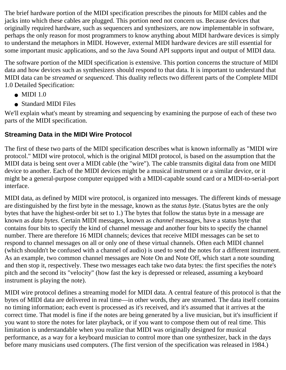The brief hardware portion of the MIDI specification prescribes the pinouts for MIDI cables and the jacks into which these cables are plugged. This portion need not concern us. Because devices that originally required hardware, such as sequencers and synthesizers, are now implementable in software, perhaps the only reason for most programmers to know anything about MIDI hardware devices is simply to understand the metaphors in MIDI. However, external MIDI hardware devices are still essential for some important music applications, and so the Java Sound API supports input and output of MIDI data.

The software portion of the MIDI specification is extensive. This portion concerns the structure of MIDI data and how devices such as synthesizers should respond to that data. It is important to understand that MIDI data can be *streamed* or *sequenced*. This duality reflects two different parts of the Complete MIDI 1.0 Detailed Specification:

- $\bullet$  MIDI 1.0
- Standard MIDI Files

We'll explain what's meant by streaming and sequencing by examining the purpose of each of these two parts of the MIDI specification.

### **Streaming Data in the MIDI Wire Protocol**

The first of these two parts of the MIDI specification describes what is known informally as "MIDI wire protocol." MIDI wire protocol, which is the original MIDI protocol, is based on the assumption that the MIDI data is being sent over a MIDI cable (the "wire"). The cable transmits digital data from one MIDI device to another. Each of the MIDI devices might be a musical instrument or a similar device, or it might be a general-purpose computer equipped with a MIDI-capable sound card or a MIDI-to-serial-port interface.

MIDI data, as defined by MIDI wire protocol, is organized into messages. The different kinds of message are distinguished by the first byte in the message, known as the *status byte*. (Status bytes are the only bytes that have the highest-order bit set to 1.) The bytes that follow the status byte in a message are known as *data bytes*. Certain MIDI messages, known as *channel* messages, have a status byte that contains four bits to specify the kind of channel message and another four bits to specify the channel number. There are therefore 16 MIDI channels; devices that receive MIDI messages can be set to respond to channel messages on all or only one of these virtual channels. Often each MIDI channel (which shouldn't be confused with a channel of audio) is used to send the notes for a different instrument. As an example, two common channel messages are Note On and Note Off, which start a note sounding and then stop it, respectively. These two messages each take two data bytes: the first specifies the note's pitch and the second its "velocity" (how fast the key is depressed or released, assuming a keyboard instrument is playing the note).

MIDI wire protocol defines a streaming model for MIDI data. A central feature of this protocol is that the bytes of MIDI data are delivered in real time—in other words, they are streamed. The data itself contains no timing information; each event is processed as it's received, and it's assumed that it arrives at the correct time. That model is fine if the notes are being generated by a live musician, but it's insufficient if you want to store the notes for later playback, or if you want to compose them out of real time. This limitation is understandable when you realize that MIDI was originally designed for musical performance, as a way for a keyboard musician to control more than one synthesizer, back in the days before many musicians used computers. (The first version of the specification was released in 1984.)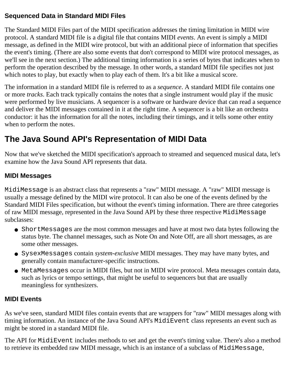#### **Sequenced Data in Standard MIDI Files**

The Standard MIDI Files part of the MIDI specification addresses the timing limitation in MIDI wire protocol. A standard MIDI file is a digital file that contains MIDI *events*. An event is simply a MIDI message, as defined in the MIDI wire protocol, but with an additional piece of information that specifies the event's timing. (There are also some events that don't correspond to MIDI wire protocol messages, as we'll see in the next section.) The additional timing information is a series of bytes that indicates when to perform the operation described by the message. In other words, a standard MIDI file specifies not just which notes to play, but exactly when to play each of them. It's a bit like a musical score.

The information in a standard MIDI file is referred to as a *sequence*. A standard MIDI file contains one or more *tracks*. Each track typically contains the notes that a single instrument would play if the music were performed by live musicians. A sequencer is a software or hardware device that can read a sequence and deliver the MIDI messages contained in it at the right time. A sequencer is a bit like an orchestra conductor: it has the information for all the notes, including their timings, and it tells some other entity when to perform the notes.

# **The Java Sound API's Representation of MIDI Data**

Now that we've sketched the MIDI specification's approach to streamed and sequenced musical data, let's examine how the Java Sound API represents that data.

#### **MIDI Messages**

MidiMessage is an abstract class that represents a "raw" MIDI message. A "raw" MIDI message is usually a message defined by the MIDI wire protocol. It can also be one of the events defined by the Standard MIDI Files specification, but without the event's timing information. There are three categories of raw MIDI message, represented in the Java Sound API by these three respective MidiMessage subclasses:

- ShortMessages are the most common messages and have at most two data bytes following the status byte. The channel messages, such as Note On and Note Off, are all short messages, as are some other messages.
- SysexMessages contain *system-exclusive* MIDI messages. They may have many bytes, and generally contain manufacturer-specific instructions.
- MetaMessages occur in MIDI files, but not in MIDI wire protocol. Meta messages contain data, such as lyrics or tempo settings, that might be useful to sequencers but that are usually meaningless for synthesizers.

#### **MIDI Events**

As we've seen, standard MIDI files contain events that are wrappers for "raw" MIDI messages along with timing information. An instance of the Java Sound API's MidiEvent class represents an event such as might be stored in a standard MIDI file.

The API for MidiEvent includes methods to set and get the event's timing value. There's also a method to retrieve its embedded raw MIDI message, which is an instance of a subclass of MidiMessage,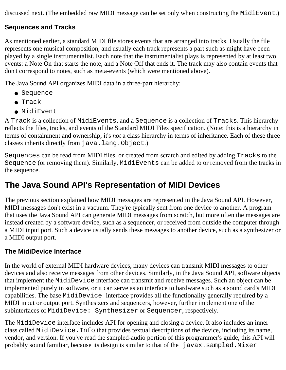discussed next. (The embedded raw MIDI message can be set only when constructing the MidiEvent.)

#### **Sequences and Tracks**

As mentioned earlier, a standard MIDI file stores events that are arranged into tracks. Usually the file represents one musical composition, and usually each track represents a part such as might have been played by a single instrumentalist. Each note that the instrumentalist plays is represented by at least two events: a Note On that starts the note, and a Note Off that ends it. The track may also contain events that don't correspond to notes, such as meta-events (which were mentioned above).

The Java Sound API organizes MIDI data in a three-part hierarchy:

- Sequence
- Track
- MidiEvent

A Track is a collection of MidiEvents, and a Sequence is a collection of Tracks. This hierarchy reflects the files, tracks, and events of the Standard MIDI Files specification. (Note: this is a hierarchy in terms of containment and ownership; it's *not* a class hierarchy in terms of inheritance. Each of these three classes inherits directly from java.lang.Object.)

Sequences can be read from MIDI files, or created from scratch and edited by adding Tracks to the Sequence (or removing them). Similarly, MidiEvents can be added to or removed from the tracks in the sequence.

## **The Java Sound API's Representation of MIDI Devices**

The previous section explained how MIDI messages are represented in the Java Sound API. However, MIDI messages don't exist in a vacuum. They're typically sent from one device to another. A program that uses the Java Sound API can generate MIDI messages from scratch, but more often the messages are instead created by a software device, such as a sequencer, or received from outside the computer through a MIDI input port. Such a device usually sends these messages to another device, such as a synthesizer or a MIDI output port.

#### **The MidiDevice Interface**

In the world of external MIDI hardware devices, many devices can transmit MIDI messages to other devices and also receive messages from other devices. Similarly, in the Java Sound API, software objects that implement the MidiDevice interface can transmit and receive messages. Such an object can be implemented purely in software, or it can serve as an interface to hardware such as a sound card's MIDI capabilities. The base MidiDevice interface provides all the functionality generally required by a MIDI input or output port. Synthesizers and sequencers, however, further implement one of the subinterfaces of MidiDevice: Synthesizer or Sequencer, respectively.

The MidiDevice interface includes API for opening and closing a device. It also includes an inner class called MidiDevice.Info that provides textual descriptions of the device, including its name, vendor, and version. If you've read the sampled-audio portion of this programmer's guide, this API will probably sound familiar, because its design is similar to that of the javax.sampled.Mixer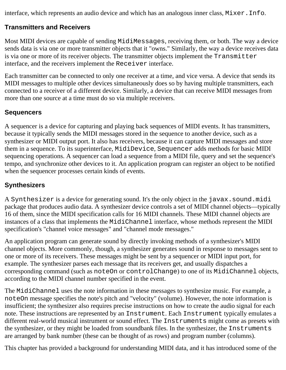interface, which represents an audio device and which has an analogous inner class, Mixer.Info.

#### **Transmitters and Receivers**

Most MIDI devices are capable of sending MidiMessages, receiving them, or both. The way a device sends data is via one or more transmitter objects that it "owns." Similarly, the way a device receives data is via one or more of its receiver objects. The transmitter objects implement the Transmitter interface, and the receivers implement the Receiver interface.

Each transmitter can be connected to only one receiver at a time, and vice versa. A device that sends its MIDI messages to multiple other devices simultaneously does so by having multiple transmitters, each connected to a receiver of a different device. Similarly, a device that can receive MIDI messages from more than one source at a time must do so via multiple receivers.

#### **Sequencers**

A sequencer is a device for capturing and playing back sequences of MIDI events. It has transmitters, because it typically sends the MIDI messages stored in the sequence to another device, such as a synthesizer or MIDI output port. It also has receivers, because it can capture MIDI messages and store them in a sequence. To its superinterface, MidiDevice, Sequencer adds methods for basic MIDI sequencing operations. A sequencer can load a sequence from a MIDI file, query and set the sequence's tempo, and synchronize other devices to it. An application program can register an object to be notified when the sequencer processes certain kinds of events.

#### **Synthesizers**

A Synthesizer is a device for generating sound. It's the only object in the javax.sound.midi package that produces audio data. A synthesizer device controls a set of MIDI channel objects—typically 16 of them, since the MIDI specification calls for 16 MIDI channels. These MIDI channel objects are instances of a class that implements the MidiChannel interface, whose methods represent the MIDI specification's "channel voice messages" and "channel mode messages."

An application program can generate sound by directly invoking methods of a synthesizer's MIDI channel objects. More commonly, though, a synthesizer generates sound in response to messages sent to one or more of its receivers. These messages might be sent by a sequencer or MIDI input port, for example. The synthesizer parses each message that its receivers get, and usually dispatches a corresponding command (such as noteOn or controlChange) to one of its MidiChannel objects, according to the MIDI channel number specified in the event.

The MidiChannel uses the note information in these messages to synthesize music. For example, a noteOn message specifies the note's pitch and "velocity" (volume). However, the note information is insufficient; the synthesizer also requires precise instructions on how to create the audio signal for each note. These instructions are represented by an Instrument. Each Instrument typically emulates a different real-world musical instrument or sound effect. The Instruments might come as presets with the synthesizer, or they might be loaded from soundbank files. In the synthesizer, the Instruments are arranged by bank number (these can be thought of as rows) and program number (columns).

This chapter has provided a background for understanding MIDI data, and it has introduced some of the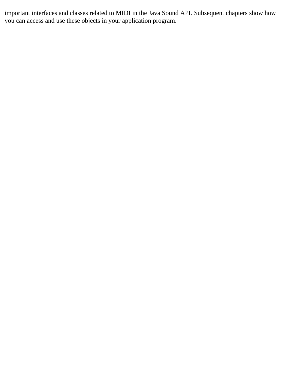important interfaces and classes related to MIDI in the Java Sound API. Subsequent chapters show how you can access and use these objects in your application program.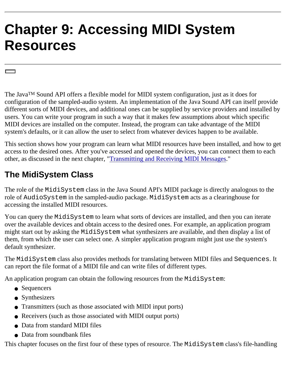# **Chapter 9: Accessing MIDI System Resources**

The JavaTM Sound API offers a flexible model for MIDI system configuration, just as it does for configuration of the sampled-audio system. An implementation of the Java Sound API can itself provide different sorts of MIDI devices, and additional ones can be supplied by service providers and installed by users. You can write your program in such a way that it makes few assumptions about which specific MIDI devices are installed on the computer. Instead, the program can take advantage of the MIDI system's defaults, or it can allow the user to select from whatever devices happen to be available.

This section shows how your program can learn what MIDI resources have been installed, and how to get access to the desired ones. After you've accessed and opened the devices, you can connect them to each other, as discussed in the next chapter, "[Transmitting and Receiving MIDI Messages](#page-69-0)."

## **The MidiSystem Class**

The role of the MidiSystem class in the Java Sound API's MIDI package is directly analogous to the role of AudioSystem in the sampled-audio package. MidiSystem acts as a clearinghouse for accessing the installed MIDI resources.

You can query the MidiSystem to learn what sorts of devices are installed, and then you can iterate over the available devices and obtain access to the desired ones. For example, an application program might start out by asking the MidiSystem what synthesizers are available, and then display a list of them, from which the user can select one. A simpler application program might just use the system's default synthesizer.

The MidiSystem class also provides methods for translating between MIDI files and Sequences. It can report the file format of a MIDI file and can write files of different types.

An application program can obtain the following resources from the MidiSystem:

- Sequencers
- Synthesizers
- Transmitters (such as those associated with MIDI input ports)
- Receivers (such as those associated with MIDI output ports)
- Data from standard MIDI files
- Data from soundbank files

This chapter focuses on the first four of these types of resource. The MidiSystem class's file-handling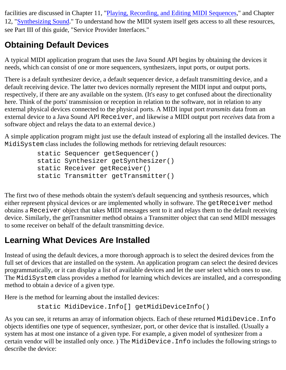facilities are discussed in Chapter 11, ["Playing, Recording, and Editing MIDI Sequences](#page-76-0)," and Chapter 12, "[Synthesizing Sound](#page-89-0)." To understand how the MIDI system itself gets access to all these resources, see Part III of this guide, "Service Provider Interfaces."

# **Obtaining Default Devices**

A typical MIDI application program that uses the Java Sound API begins by obtaining the devices it needs, which can consist of one or more sequencers, synthesizers, input ports, or output ports.

There is a default synthesizer device, a default sequencer device, a default transmitting device, and a default receiving device. The latter two devices normally represent the MIDI input and output ports, respectively, if there are any available on the system. (It's easy to get confused about the directionality here. Think of the ports' transmission or reception in relation to the software, not in relation to any external physical devices connected to the physical ports. A MIDI input port *transmits* data from an external device to a Java Sound API Receiver, and likewise a MIDI output port *receives* data from a software object and relays the data to an external device.)

A simple application program might just use the default instead of exploring all the installed devices. The MidiSystem class includes the following methods for retrieving default resources:

```
 static Sequencer getSequencer()
 static Synthesizer getSynthesizer()
 static Receiver getReceiver()
 static Transmitter getTransmitter()
```
The first two of these methods obtain the system's default sequencing and synthesis resources, which either represent physical devices or are implemented wholly in software. The getReceiver method obtains a Receiver object that takes MIDI messages sent to it and relays them to the default receiving device. Similarly, the getTransmitter method obtains a Transmitter object that can send MIDI messages to some receiver on behalf of the default transmitting device.

## **Learning What Devices Are Installed**

Instead of using the default devices, a more thorough approach is to select the desired devices from the full set of devices that are installed on the system. An application program can select the desired devices programmatically, or it can display a list of available devices and let the user select which ones to use. The MidiSystem class provides a method for learning which devices are installed, and a corresponding method to obtain a device of a given type.

Here is the method for learning about the installed devices:

```
 static MidiDevice.Info[] getMidiDeviceInfo()
```
As you can see, it returns an array of information objects. Each of these returned MidiDevice. Info objects identifies one type of sequencer, synthesizer, port, or other device that is installed. (Usually a system has at most one instance of a given type. For example, a given model of synthesizer from a certain vendor will be installed only once. ) The MidiDevice.Info includes the following strings to describe the device: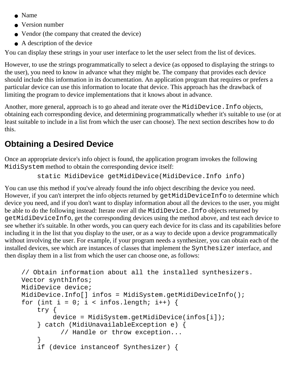- Name
- Version number
- Vendor (the company that created the device)
- $\bullet$  A description of the device

You can display these strings in your user interface to let the user select from the list of devices.

However, to use the strings programmatically to select a device (as opposed to displaying the strings to the user), you need to know in advance what they might be. The company that provides each device should include this information in its documentation. An application program that requires or prefers a particular device can use this information to locate that device. This approach has the drawback of limiting the program to device implementations that it knows about in advance.

Another, more general, approach is to go ahead and iterate over the MidiDevice.Info objects, obtaining each corresponding device, and determining programmatically whether it's suitable to use (or at least suitable to include in a list from which the user can choose). The next section describes how to do this.

## **Obtaining a Desired Device**

Once an appropriate device's info object is found, the application program invokes the following MidiSystem method to obtain the corresponding device itself:

static MidiDevice getMidiDevice(MidiDevice.Info info)

You can use this method if you've already found the info object describing the device you need. However, if you can't interpret the info objects returned by getMidiDeviceInfo to determine which device you need, and if you don't want to display information about all the devices to the user, you might be able to do the following instead: Iterate over all the MidiDevice.Info objects returned by getMidiDeviceInfo, get the corresponding devices using the method above, and test each device to see whether it's suitable. In other words, you can query each device for its class and its capabilities before including it in the list that you display to the user, or as a way to decide upon a device programmatically without involving the user. For example, if your program needs a synthesizer, you can obtain each of the installed devices, see which are instances of classes that implement the Synthesizer interface, and then display them in a list from which the user can choose one, as follows:

```
// Obtain information about all the installed synthesizers.
Vector synthInfos;
MidiDevice device;
MidiDevice.Info[] infos = MidiSystem.getMidiDeviceInfo();
for (int i = 0; i < infos.length; i++) {
     try {
        device = MidiSystem.getMidiDevice(infos[i]);
     } catch (MidiUnavailableException e) {
           // Handle or throw exception...
     }
     if (device instanceof Synthesizer) {
```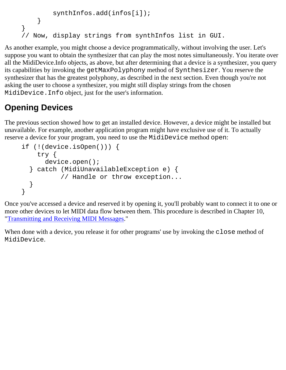```
 synthInfos.add(infos[i]);
     }
}
// Now, display strings from synthInfos list in GUI.
```
As another example, you might choose a device programmatically, without involving the user. Let's suppose you want to obtain the synthesizer that can play the most notes simultaneously. You iterate over all the MidiDevice.Info objects, as above, but after determining that a device is a synthesizer, you query its capabilities by invoking the getMaxPolyphony method of Synthesizer. You reserve the synthesizer that has the greatest polyphony, as described in the next section. Even though you're not asking the user to choose a synthesizer, you might still display strings from the chosen MidiDevice.Info object, just for the user's information.

# **Opening Devices**

The previous section showed how to get an installed device. However, a device might be installed but unavailable. For example, another application program might have exclusive use of it. To actually reserve a device for your program, you need to use the MidiDevice method open:

```
if (!(device.isOpen())) {
     try {
       device.open();
   } catch (MidiUnavailableException e) {
           // Handle or throw exception...
   }
}
```
Once you've accessed a device and reserved it by opening it, you'll probably want to connect it to one or more other devices to let MIDI data flow between them. This procedure is described in Chapter 10, "[Transmitting and Receiving MIDI Messages](#page-69-0)."

When done with a device, you release it for other programs' use by invoking the close method of MidiDevice.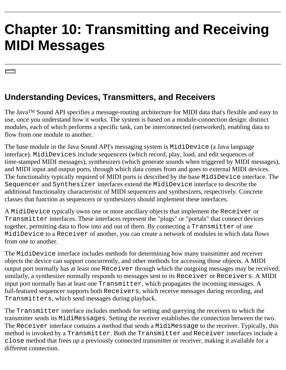# <span id="page-69-0"></span>**Chapter 10: Transmitting and Receiving MIDI Messages**

# **Understanding Devices, Transmitters, and Receivers**

The JavaTM Sound API specifies a message-routing architecture for MIDI data that's flexible and easy to use, once you understand how it works. The system is based on a module-connection design: distinct modules, each of which performs a specific task, can be interconnected (networked), enabling data to flow from one module to another.

The base module in the Java Sound API's messaging system is MidiDevice (a Java language interface). MidiDevices include sequencers (which record, play, load, and edit sequences of time-stamped MIDI messages), synthesizers (which generate sounds when triggered by MIDI messages), and MIDI input and output ports, through which data comes from and goes to external MIDI devices. The functionality typically required of MIDI ports is described by the base MidiDevice interface. The Sequencer and Synthesizer interfaces extend the MidiDevice interface to describe the additional functionality characteristic of MIDI sequencers and synthesizers, respectively. Concrete classes that function as sequencers or synthesizers should implement these interfaces.

A MidiDevice typically owns one or more ancillary objects that implement the Receiver or Transmitter interfaces. These interfaces represent the "plugs" or "portals" that connect devices together, permitting data to flow into and out of them. By connecting a Transmitter of one MidiDevice to a Receiver of another, you can create a network of modules in which data flows from one to another.

The MidiDevice interface includes methods for determining how many transmitter and receiver objects the device can support concurrently, and other methods for accessing those objects. A MIDI output port normally has at least one Receiver through which the outgoing messages may be received; similarly, a synthesizer normally responds to messages sent to its Receiver or Receivers. A MIDI input port normally has at least one Transmitter, which propagates the incoming messages. A full-featured sequencer supports both Receivers, which receive messages during recording, and Transmitters, which send messages during playback.

The Transmitter interface includes methods for setting and querying the receivers to which the transmitter sends its MidiMessages. Setting the receiver establishes the connection between the two. The Receiver interface contains a method that sends a MidiMessage to the receiver. Typically, this method is invoked by a Transmitter. Both the Transmitter and Receiver interfaces include a close method that frees up a previously connected transmitter or receiver, making it available for a different connection.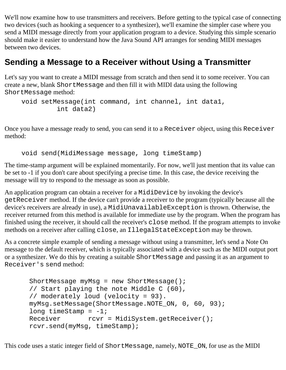We'll now examine how to use transmitters and receivers. Before getting to the typical case of connecting two devices (such as hooking a sequencer to a synthesizer), we'll examine the simpler case where you send a MIDI message directly from your application program to a device. Studying this simple scenario should make it easier to understand how the Java Sound API arranges for sending MIDI messages between two devices.

### **Sending a Message to a Receiver without Using a Transmitter**

Let's say you want to create a MIDI message from scratch and then send it to some receiver. You can create a new, blank ShortMessage and then fill it with MIDI data using the following ShortMessage method:

```
void setMessage(int command, int channel, int data1,
          int data2)
```
Once you have a message ready to send, you can send it to a Receiver object, using this Receiver method:

void send(MidiMessage message, long timeStamp)

The time-stamp argument will be explained momentarily. For now, we'll just mention that its value can be set to -1 if you don't care about specifying a precise time. In this case, the device receiving the message will try to respond to the message as soon as possible.

An application program can obtain a receiver for a MidiDevice by invoking the device's getReceiver method. If the device can't provide a receiver to the program (typically because all the device's receivers are already in use), a MidiUnavailableException is thrown. Otherwise, the receiver returned from this method is available for immediate use by the program. When the program has finished using the receiver, it should call the receiver's close method. If the program attempts to invoke methods on a receiver after calling close, an IllegalStateException may be thrown.

As a concrete simple example of sending a message without using a transmitter, let's send a Note On message to the default receiver, which is typically associated with a device such as the MIDI output port or a synthesizer. We do this by creating a suitable ShortMessage and passing it as an argument to Receiver's send method:

```
ShortMessage myMsg = new ShortMessage();
 // Start playing the note Middle C (60), 
 // moderately loud (velocity = 93).
myMsq.setMessage(ShortMessage.NOTE ON, 0, 60, 93);
long timeStamp = -1;
Receiver rcvr = MidiSystem.getReceiver();
 rcvr.send(myMsg, timeStamp);
```
This code uses a static integer field of ShortMessage, namely, NOTE\_ON, for use as the MIDI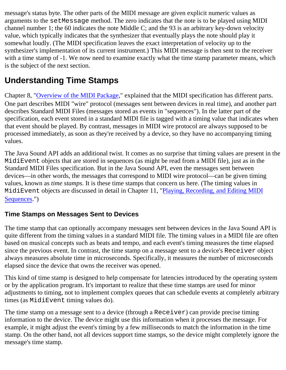message's status byte. The other parts of the MIDI message are given explicit numeric values as arguments to the setMessage method. The zero indicates that the note is to be played using MIDI channel number 1; the 60 indicates the note Middle C; and the 93 is an arbitrary key-down velocity value, which typically indicates that the synthesizer that eventually plays the note should play it somewhat loudly. (The MIDI specification leaves the exact interpretation of velocity up to the synthesizer's implementation of its current instrument.) This MIDI message is then sent to the receiver with a time stamp of -1. We now need to examine exactly what the time stamp parameter means, which is the subject of the next section.

# **Understanding Time Stamps**

Chapter 8, "[Overview of the MIDI Package](#page-59-0)," explained that the MIDI specification has different parts. One part describes MIDI "wire" protocol (messages sent between devices in real time), and another part describes Standard MIDI Files (messages stored as events in "sequences"). In the latter part of the specification, each event stored in a standard MIDI file is tagged with a timing value that indicates when that event should be played. By contrast, messages in MIDI wire protocol are always supposed to be processed immediately, as soon as they're received by a device, so they have no accompanying timing values.

The Java Sound API adds an additional twist. It comes as no surprise that timing values are present in the MidiEvent objects that are stored in sequences (as might be read from a MIDI file), just as in the Standard MIDI Files specification. But in the Java Sound API, even the messages sent between devices—in other words, the messages that correspond to MIDI wire protocol—can be given timing values, known as *time stamps*. It is these time stamps that concern us here. (The timing values in MidiEvent objects are discussed in detail in Chapter 11, "[Playing, Recording, and Editing MIDI](#page-76-0) [Sequences](#page-76-0).")

#### **Time Stamps on Messages Sent to Devices**

The time stamp that can optionally accompany messages sent between devices in the Java Sound API is quite different from the timing values in a standard MIDI file. The timing values in a MIDI file are often based on musical concepts such as beats and tempo, and each event's timing measures the time elapsed since the previous event. In contrast, the time stamp on a message sent to a device's Receiver object always measures absolute time in microseconds. Specifically, it measures the number of microseconds elapsed since the device that owns the receiver was opened.

This kind of time stamp is designed to help compensate for latencies introduced by the operating system or by the application program. It's important to realize that these time stamps are used for minor adjustments to timing, not to implement complex queues that can schedule events at completely arbitrary times (as MidiEvent timing values do).

The time stamp on a message sent to a device (through a Receiver) can provide precise timing information to the device. The device might use this information when it processes the message. For example, it might adjust the event's timing by a few milliseconds to match the information in the time stamp. On the other hand, not all devices support time stamps, so the device might completely ignore the message's time stamp.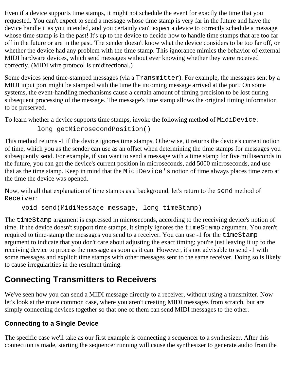Even if a device supports time stamps, it might not schedule the event for exactly the time that you requested. You can't expect to send a message whose time stamp is very far in the future and have the device handle it as you intended, and you certainly can't expect a device to correctly schedule a message whose time stamp is in the past! It's up to the device to decide how to handle time stamps that are too far off in the future or are in the past. The sender doesn't know what the device considers to be too far off, or whether the device had any problem with the time stamp. This ignorance mimics the behavior of external MIDI hardware devices, which send messages without ever knowing whether they were received correctly. (MIDI wire protocol is unidirectional.)

Some devices send time-stamped messages (via a Transmitter). For example, the messages sent by a MIDI input port might be stamped with the time the incoming message arrived at the port. On some systems, the event-handling mechanisms cause a certain amount of timing precision to be lost during subsequent processing of the message. The message's time stamp allows the original timing information to be preserved.

To learn whether a device supports time stamps, invoke the following method of MidiDevice:

```
 long getMicrosecondPosition()
```
This method returns -1 if the device ignores time stamps. Otherwise, it returns the device's current notion of time, which you as the sender can use as an offset when determining the time stamps for messages you subsequently send. For example, if you want to send a message with a time stamp for five milliseconds in the future, you can get the device's current position in microseconds, add 5000 microseconds, and use that as the time stamp. Keep in mind that the MidiDevice's notion of time always places time zero at the time the device was opened.

Now, with all that explanation of time stamps as a background, let's return to the send method of Receiver:

void send(MidiMessage message, long timeStamp)

The timeStamp argument is expressed in microseconds, according to the receiving device's notion of time. If the device doesn't support time stamps, it simply ignores the timeStamp argument. You aren't required to time-stamp the messages you send to a receiver. You can use -1 for the timeStamp argument to indicate that you don't care about adjusting the exact timing; you're just leaving it up to the receiving device to process the message as soon as it can. However, it's not advisable to send -1 with some messages and explicit time stamps with other messages sent to the same receiver. Doing so is likely to cause irregularities in the resultant timing.

# **Connecting Transmitters to Receivers**

We've seen how you can send a MIDI message directly to a receiver, without using a transmitter. Now let's look at the more common case, where you aren't creating MIDI messages from scratch, but are simply connecting devices together so that one of them can send MIDI messages to the other.

#### **Connecting to a Single Device**

The specific case we'll take as our first example is connecting a sequencer to a synthesizer. After this connection is made, starting the sequencer running will cause the synthesizer to generate audio from the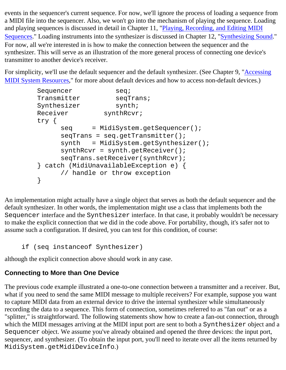events in the sequencer's current sequence. For now, we'll ignore the process of loading a sequence from a MIDI file into the sequencer. Also, we won't go into the mechanism of playing the sequence. Loading and playing sequences is discussed in detail in Chapter 11, ["Playing, Recording, and Editing MIDI](#page-76-0) [Sequences](#page-76-0)." Loading instruments into the synthesizer is discussed in Chapter 12, ["Synthesizing Sound.](#page-89-0)" For now, all we're interested in is how to make the connection between the sequencer and the synthesizer. This will serve as an illustration of the more general process of connecting one device's transmitter to another device's receiver.

For simplicity, we'll use the default sequencer and the default synthesizer. (See Chapter 9, ["Accessing](#page-65-0) [MIDI System Resources,](#page-65-0)" for more about default devices and how to access non-default devices.)

```
Sequencer seq;
Transmitter seqTrans;
Synthesizer synth;
Receiver synthRcvr;
 try {
     seq = MidiSystem.getSequencer();
     seqTrans = seq.getTransmitter();
     synth = MidiSystem.getSynthesizer();
     synthRcvr = synth.getReceiver();
     seqTrans.setReceiver(synthRcvr);
 } catch (MidiUnavailableException e) {
      // handle or throw exception
 }
```
An implementation might actually have a single object that serves as both the default sequencer and the default synthesizer. In other words, the implementation might use a class that implements both the Sequencer interface and the Synthesizer interface. In that case, it probably wouldn't be necessary to make the explicit connection that we did in the code above. For portability, though, it's safer not to assume such a configuration. If desired, you can test for this condition, of course:

if (seq instanceof Synthesizer)

although the explicit connection above should work in any case.

### **Connecting to More than One Device**

The previous code example illustrated a one-to-one connection between a transmitter and a receiver. But, what if you need to send the same MIDI message to multiple receivers? For example, suppose you want to capture MIDI data from an external device to drive the internal synthesizer while simultaneously recording the data to a sequence. This form of connection, sometimes referred to as "fan out" or as a "splitter," is straightforward. The following statements show how to create a fan-out connection, through which the MIDI messages arriving at the MIDI input port are sent to both a Synthesizer object and a Sequencer object. We assume you've already obtained and opened the three devices: the input port, sequencer, and synthesizer. (To obtain the input port, you'll need to iterate over all the items returned by MidiSystem.getMidiDeviceInfo.)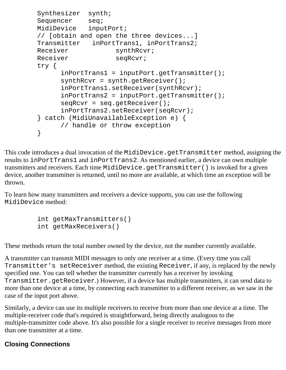```
 Synthesizer synth;
Sequencer seq;
 MidiDevice inputPort;
 // [obtain and open the three devices...]
 Transmitter inPortTrans1, inPortTrans2;
Receiver synthRcvr;
Receiver seqRcvr;
 try {
      inPortTrans1 = inputPort.getTransmitter();
      synthRcvr = synth.getReceiver();
       inPortTrans1.setReceiver(synthRcvr);
       inPortTrans2 = inputPort.getTransmitter();
       seqRcvr = seq.getReceiver(); 
       inPortTrans2.setReceiver(seqRcvr);
 } catch (MidiUnavailableException e) {
       // handle or throw exception
 }
```
This code introduces a dual invocation of the MidiDevice.getTransmitter method, assigning the results to inPortTrans1 and inPortTrans2. As mentioned earlier, a device can own multiple transmitters and receivers. Each time MidiDevice.getTransmitter() is invoked for a given device, another transmitter is returned, until no more are available, at which time an exception will be thrown.

To learn how many transmitters and receivers a device supports, you can use the following MidiDevice method:

```
 int getMaxTransmitters()
 int getMaxReceivers()
```
These methods return the total number owned by the device, not the number currently available.

A transmitter can transmit MIDI messages to only one receiver at a time. (Every time you call Transmitter's setReceiver method, the existing Receiver, if any, is replaced by the newly specified one. You can tell whether the transmitter currently has a receiver by invoking Transmitter.getReceiver.) However, if a device has multiple transmitters, it can send data to more than one device at a time, by connecting each transmitter to a different receiver, as we saw in the case of the input port above.

Similarly, a device can use its multiple receivers to receive from more than one device at a time. The multiple-receiver code that's required is straightforward, being directly analogous to the multiple-transmitter code above. It's also possible for a single receiver to receive messages from more than one transmitter at a time.

#### **Closing Connections**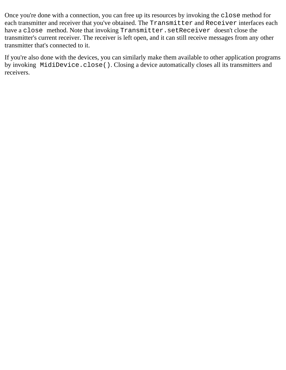Once you're done with a connection, you can free up its resources by invoking the close method for each transmitter and receiver that you've obtained. The Transmitter and Receiver interfaces each have a close method. Note that invoking Transmitter.setReceiver doesn't close the transmitter's current receiver. The receiver is left open, and it can still receive messages from any other transmitter that's connected to it.

If you're also done with the devices, you can similarly make them available to other application programs by invoking MidiDevice.close(). Closing a device automatically closes all its transmitters and receivers.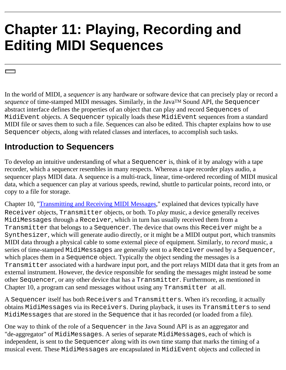# <span id="page-76-0"></span>**Chapter 11: Playing, Recording and Editing MIDI Sequences**

In the world of MIDI, a *sequencer* is any hardware or software device that can precisely play or record a *sequence* of time-stamped MIDI messages. Similarly, in the Java<sup>TM</sup> Sound API, the Sequencer abstract interface defines the properties of an object that can play and record Sequences of MidiEvent objects. A Sequencer typically loads these MidiEvent sequences from a standard MIDI file or saves them to such a file. Sequences can also be edited. This chapter explains how to use Sequencer objects, along with related classes and interfaces, to accomplish such tasks.

### **Introduction to Sequencers**

To develop an intuitive understanding of what a Sequencer is, think of it by analogy with a tape recorder, which a sequencer resembles in many respects. Whereas a tape recorder plays audio, a sequencer plays MIDI data. A sequence is a multi-track, linear, time-ordered recording of MIDI musical data, which a sequencer can play at various speeds, rewind, shuttle to particular points, record into, or copy to a file for storage.

Chapter 10, "[Transmitting and Receiving MIDI Messages](#page-69-0)," explained that devices typically have Receiver objects, Transmitter objects, or both. To *play* music, a device generally receives MidiMessages through a Receiver, which in turn has usually received them from a Transmitter that belongs to a Sequencer. The device that owns this Receiver might be a Synthesizer, which will generate audio directly, or it might be a MIDI output port, which transmits MIDI data through a physical cable to some external piece of equipment. Similarly, to *record* music, a series of time-stamped MidiMessages are generally sent to a Receiver owned by a Sequencer, which places them in a Sequence object. Typically the object sending the messages is a Transmitter associated with a hardware input port, and the port relays MIDI data that it gets from an external instrument. However, the device responsible for sending the messages might instead be some other Sequencer, or any other device that has a Transmitter. Furthermore, as mentioned in Chapter 10, a program can send messages without using any Transmitter at all.

A Sequencer itself has both Receivers and Transmitters. When it's recording, it actually obtains MidiMessages via its Receivers. During playback, it uses its Transmitters to send MidiMessages that are stored in the Sequence that it has recorded (or loaded from a file).

One way to think of the role of a Sequencer in the Java Sound API is as an aggregator and "de-aggregator" of MidiMessages. A series of separate MidiMessages, each of which is independent, is sent to the Sequencer along with its own time stamp that marks the timing of a musical event. These MidiMessages are encapsulated in MidiEvent objects and collected in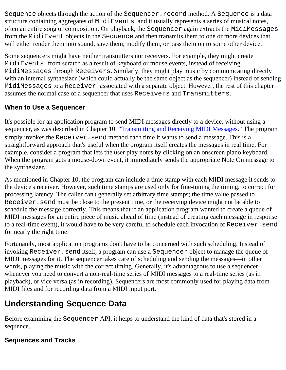Sequence objects through the action of the Sequencer. record method. A Sequence is a data structure containing aggregates of MidiEvents, and it usually represents a series of musical notes, often an entire song or composition. On playback, the Sequencer again extracts the MidiMessages from the MidiEvent objects in the Sequence and then transmits them to one or more devices that will either render them into sound, save them, modify them, or pass them on to some other device.

Some sequencers might have neither transmitters nor receivers. For example, they might create MidiEvents from scratch as a result of keyboard or mouse events, instead of receiving MidiMessages through Receivers. Similarly, they might play music by communicating directly with an internal synthesizer (which could actually be the same object as the sequencer) instead of sending MidiMessages to a Receiver associated with a separate object. However, the rest of this chapter assumes the normal case of a sequencer that uses Receivers and Transmitters.

### <span id="page-77-0"></span>**When to Use a Sequencer**

It's possible for an application program to send MIDI messages directly to a device, without using a sequencer, as was described in Chapter 10, ["Transmitting and Receiving MIDI Messages](#page-69-0)." The program simply invokes the Receiver. send method each time it wants to send a message. This is a straightforward approach that's useful when the program itself creates the messages in real time. For example, consider a program that lets the user play notes by clicking on an onscreen piano keyboard. When the program gets a mouse-down event, it immediately sends the appropriate Note On message to the synthesizer.

As mentioned in Chapter 10, the program can include a time stamp with each MIDI message it sends to the device's receiver. However, such time stamps are used only for fine-tuning the timing, to correct for processing latency. The caller can't generally set arbitrary time stamps; the time value passed to Receiver.send must be close to the present time, or the receiving device might not be able to schedule the message correctly. This means that if an application program wanted to create a queue of MIDI messages for an entire piece of music ahead of time (instead of creating each message in response to a real-time event), it would have to be very careful to schedule each invocation of Receiver.send for nearly the right time.

Fortunately, most application programs don't have to be concerned with such scheduling. Instead of invoking Receiver.send itself, a program can use a Sequencer object to manage the queue of MIDI messages for it. The sequencer takes care of scheduling and sending the messages—in other words, playing the music with the correct timing. Generally, it's advantageous to use a sequencer whenever you need to convert a non-real-time series of MIDI messages to a real-time series (as in playback), or vice versa (as in recording). Sequencers are most commonly used for playing data from MIDI files and for recording data from a MIDI input port.

# **Understanding Sequence Data**

Before examining the Sequencer API, it helps to understand the kind of data that's stored in a sequence.

### **Sequences and Tracks**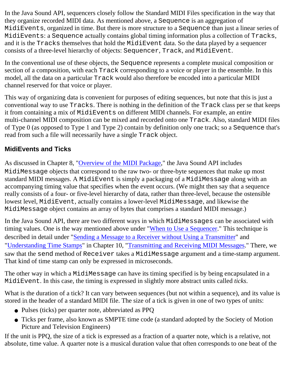In the Java Sound API, sequencers closely follow the Standard MIDI Files specification in the way that they organize recorded MIDI data. As mentioned above, a Sequence is an aggregation of MidiEvents, organized in time. But there is more structure to a Sequence than just a linear series of MidiEvents: a Sequence actually contains global timing information plus a collection of Tracks, and it is the Tracks themselves that hold the MidiEvent data. So the data played by a sequencer consists of a three-level hierarchy of objects: Sequencer, Track, and MidiEvent.

In the conventional use of these objects, the Sequence represents a complete musical composition or section of a composition, with each Track corresponding to a voice or player in the ensemble. In this model, all the data on a particular Track would also therefore be encoded into a particular MIDI channel reserved for that voice or player.

This way of organizing data is convenient for purposes of editing sequences, but note that this is just a conventional way to use Tracks. There is nothing in the definition of the Track class per se that keeps it from containing a mix of MidiEvents on different MIDI channels. For example, an entire multi-channel MIDI composition can be mixed and recorded onto one Track. Also, standard MIDI files of Type 0 (as opposed to Type 1 and Type 2) contain by definition only one track; so a Sequence that's read from such a file will necessarily have a single Track object.

#### **MidiEvents and Ticks**

As discussed in Chapter 8, ["Overview of the MIDI Package,](#page-59-0)" the Java Sound API includes MidiMessage objects that correspond to the raw two- or three-byte sequences that make up most standard MIDI messages. A MidiEvent is simply a packaging of a MidiMessage along with an accompanying timing value that specifies when the event occurs. (We might then say that a sequence really consists of a four- or five-level hierarchy of data, rather than three-level, because the ostensible lowest level, MidiEvent, actually contains a lower-level MidiMessage, and likewise the MidiMessage object contains an array of bytes that comprises a standard MIDI message.)

In the Java Sound API, there are two different ways in which MidiMessages can be associated with timing values. One is the way mentioned above under "[When to Use a Sequencer](#page-77-0)." This technique is described in detail under ["Sending a Message to a Receiver without Using a Transmitter](#page-70-0)" and "[Understanding Time Stamps"](#page-71-0) in Chapter 10, ["Transmitting and Receiving MIDI Messages.](#page-69-0)" There, we saw that the send method of Receiver takes a MidiMessage argument and a time-stamp argument. That kind of time stamp can only be expressed in microseconds.

The other way in which a MidiMessage can have its timing specified is by being encapsulated in a MidiEvent. In this case, the timing is expressed in slightly more abstract units called *ticks*.

What is the duration of a tick? It can vary between sequences (but not within a sequence), and its value is stored in the header of a standard MIDI file. The size of a tick is given in one of two types of units:

- Pulses (ticks) per quarter note, abbreviated as PPQ
- Ticks per frame, also known as SMPTE time code (a standard adopted by the Society of Motion Picture and Television Engineers)

If the unit is PPQ, the size of a tick is expressed as a fraction of a quarter note, which is a relative, not absolute, time value. A quarter note is a musical duration value that often corresponds to one beat of the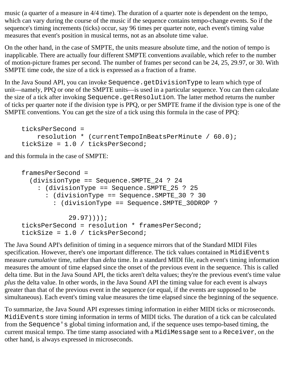music (a quarter of a measure in 4/4 time). The duration of a quarter note is dependent on the tempo, which can vary during the course of the music if the sequence contains tempo-change events. So if the sequence's timing increments (ticks) occur, say 96 times per quarter note, each event's timing value measures that event's position in musical terms, not as an absolute time value.

On the other hand, in the case of SMPTE, the units measure absolute time, and the notion of tempo is inapplicable. There are actually four different SMPTE conventions available, which refer to the number of motion-picture frames per second. The number of frames per second can be 24, 25, 29.97, or 30. With SMPTE time code, the size of a tick is expressed as a fraction of a frame.

In the Java Sound API, you can invoke Sequence.getDivisionType to learn which type of unit—namely, PPQ or one of the SMPTE units—is used in a particular sequence. You can then calculate the size of a tick after invoking Sequence.getResolution. The latter method returns the number of ticks per quarter note if the division type is PPQ, or per SMPTE frame if the division type is one of the SMPTE conventions. You can get the size of a tick using this formula in the case of PPQ:

```
ticksPerSecond = 
     resolution * (currentTempoInBeatsPerMinute / 60.0);
tickSize = 1.0 / ticksPerSecond;
```
and this formula in the case of SMPTE:

```
framesPerSecond = 
   (divisionType == Sequence.SMPTE_24 ? 24
     : (divisionType == Sequence.SMPTE_25 ? 25
       : (divisionType == Sequence.SMPTE_30 ? 30
         : (divisionType == Sequence.SMPTE_30DROP ?
             29.97))));
ticksPerSecond = resolution * framesPerSecond;
tickSize = 1.0 / ticksPerSecond;
```
The Java Sound API's definition of timing in a sequence mirrors that of the Standard MIDI Files specification. However, there's one important difference. The tick values contained in MidiEvents measure *cumulative* time, rather than *delta* time. In a standard MIDI file, each event's timing information measures the amount of time elapsed since the onset of the previous event in the sequence. This is called delta time. But in the Java Sound API, the ticks aren't delta values; they're the previous event's time value *plus* the delta value. In other words, in the Java Sound API the timing value for each event is always greater than that of the previous event in the sequence (or equal, if the events are supposed to be simultaneous). Each event's timing value measures the time elapsed since the beginning of the sequence.

To summarize, the Java Sound API expresses timing information in either MIDI ticks or microseconds. MidiEvents store timing information in terms of MIDI ticks. The duration of a tick can be calculated from the Sequence's global timing information and, if the sequence uses tempo-based timing, the current musical tempo. The time stamp associated with a MidiMessage sent to a Receiver, on the other hand, is always expressed in microseconds.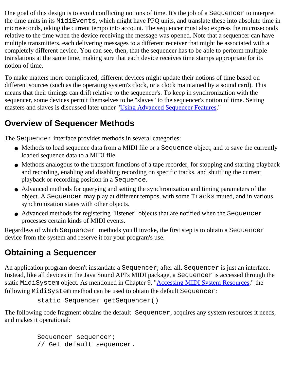One goal of this design is to avoid conflicting notions of time. It's the job of a Sequencer to interpret the time units in its MidiEvents, which might have PPQ units, and translate these into absolute time in microseconds, taking the current tempo into account. The sequencer must also express the microseconds relative to the time when the device receiving the message was opened. Note that a sequencer can have multiple transmitters, each delivering messages to a different receiver that might be associated with a completely different device. You can see, then, that the sequencer has to be able to perform multiple translations at the same time, making sure that each device receives time stamps appropriate for its notion of time.

To make matters more complicated, different devices might update their notions of time based on different sources (such as the operating system's clock, or a clock maintained by a sound card). This means that their timings can drift relative to the sequencer's. To keep in synchronization with the sequencer, some devices permit themselves to be "slaves" to the sequencer's notion of time. Setting masters and slaves is discussed later under ["Using Advanced Sequencer Features.](#page-84-0)"

## **Overview of Sequencer Methods**

The Sequencer interface provides methods in several categories:

- Methods to load sequence data from a MIDI file or a Sequence object, and to save the currently loaded sequence data to a MIDI file.
- Methods analogous to the transport functions of a tape recorder, for stopping and starting playback and recording, enabling and disabling recording on specific tracks, and shuttling the current playback or recording position in a Sequence.
- Advanced methods for querying and setting the synchronization and timing parameters of the object. A Sequencer may play at different tempos, with some Tracks muted, and in various synchronization states with other objects.
- Advanced methods for registering "listener" objects that are notified when the Sequencer processes certain kinds of MIDI events.

Regardless of which Sequencer methods you'll invoke, the first step is to obtain a Sequencer device from the system and reserve it for your program's use.

# **Obtaining a Sequencer**

An application program doesn't instantiate a Sequencer; after all, Sequencer is just an interface. Instead, like all devices in the Java Sound API's MIDI package, a Sequencer is accessed through the static MidiSystem object. As mentioned in Chapter 9, ["Accessing MIDI System Resources](#page-65-0)," the following MidiSystem method can be used to obtain the default Sequencer:

```
 static Sequencer getSequencer()
```
The following code fragment obtains the default Sequencer, acquires any system resources it needs, and makes it operational:

```
 Sequencer sequencer;
 // Get default sequencer.
```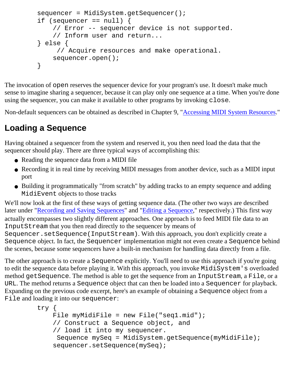```
sequencer = MidiSystem.getSequencer();
if (sequencer == null) {
     // Error -- sequencer device is not supported.
     // Inform user and return...
 } else {
      // Acquire resources and make operational.
     sequencer.open();
 }
```
The invocation of open reserves the sequencer device for your program's use. It doesn't make much sense to imagine sharing a sequencer, because it can play only one sequence at a time. When you're done using the sequencer, you can make it available to other programs by invoking close.

Non-default sequencers can be obtained as described in Chapter 9, "[Accessing MIDI System Resources](#page-65-0)."

## **Loading a Sequence**

Having obtained a sequencer from the system and reserved it, you then need load the data that the sequencer should play. There are three typical ways of accomplishing this:

- Reading the sequence data from a MIDI file
- Recording it in real time by receiving MIDI messages from another device, such as a MIDI input port
- Building it programmatically "from scratch" by adding tracks to an empty sequence and adding MidiEvent objects to those tracks

We'll now look at the first of these ways of getting sequence data. (The other two ways are described later under ["Recording and Saving Sequences](#page-82-0)" and ["Editing a Sequence](#page-83-0)," respectively.) This first way actually encompasses two slightly different approaches. One approach is to feed MIDI file data to an InputStream that you then read directly to the sequencer by means of Sequencer.setSequence(InputStream). With this approach, you don't explicitly create a Sequence object. In fact, the Sequencer implementation might not even create a Sequence behind the scenes, because some sequencers have a built-in mechanism for handling data directly from a file.

The other approach is to create a Sequence explicitly. You'll need to use this approach if you're going to edit the sequence data before playing it. With this approach, you invoke MidiSystem's overloaded method getSequence. The method is able to get the sequence from an InputStream, a File, or a URL. The method returns a Sequence object that can then be loaded into a Sequencer for playback. Expanding on the previous code excerpt, here's an example of obtaining a Sequence object from a File and loading it into our sequencer:

```
 try {
    File myMidiFile = new File("seq1.mid");
     // Construct a Sequence object, and
     // load it into my sequencer.
      Sequence mySeq = MidiSystem.getSequence(myMidiFile);
     sequencer.setSequence(mySeq);
```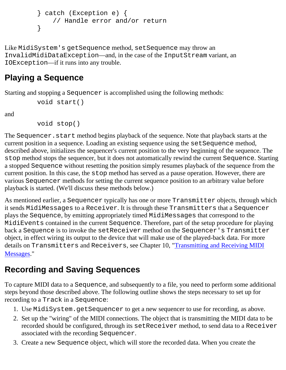```
 } catch (Exception e) {
     // Handle error and/or return
 }
```
Like MidiSystem's getSequence method, setSequence may throw an InvalidMidiDataException—and, in the case of the InputStream variant, an IOException—if it runs into any trouble.

## **Playing a Sequence**

Starting and stopping a Sequencer is accomplished using the following methods:

```
 void start()
```
and

void stop()

The Sequencer. start method begins playback of the sequence. Note that playback starts at the current position in a sequence. Loading an existing sequence using the setSequence method, described above, initializes the sequencer's current position to the very beginning of the sequence. The stop method stops the sequencer, but it does not automatically rewind the current Sequence. Starting a stopped Sequence without resetting the position simply resumes playback of the sequence from the current position. In this case, the stop method has served as a pause operation. However, there are various Sequencer methods for setting the current sequence position to an arbitrary value before playback is started. (We'll discuss these methods below.)

As mentioned earlier, a Sequencer typically has one or more Transmitter objects, through which it sends MidiMessages to a Receiver. It is through these Transmitters that a Sequencer plays the Sequence, by emitting appropriately timed MidiMessages that correspond to the MidiEvents contained in the current Sequence. Therefore, part of the setup procedure for playing back a Sequence is to invoke the setReceiver method on the Sequencer's Transmitter object, in effect wiring its output to the device that will make use of the played-back data. For more details on Transmitters and Receivers, see Chapter 10, ["Transmitting and Receiving MIDI](#page-69-0) [Messages](#page-69-0)."

# <span id="page-82-0"></span>**Recording and Saving Sequences**

To capture MIDI data to a Sequence, and subsequently to a file, you need to perform some additional steps beyond those described above. The following outline shows the steps necessary to set up for recording to a Track in a Sequence:

- 1. Use MidiSystem.getSequencer to get a new sequencer to use for recording, as above.
- 2. Set up the "wiring" of the MIDI connections. The object that is transmitting the MIDI data to be recorded should be configured, through its setReceiver method, to send data to a Receiver associated with the recording Sequencer.
- 3. Create a new Sequence object, which will store the recorded data. When you create the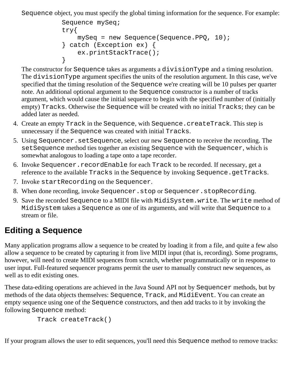Sequence object, you must specify the global timing information for the sequence. For example:

```
 Sequence mySeq;
       try{
           mySeq = new Sequence(Sequence.PPQ, 10);
       } catch (Exception ex) { 
           ex.printStackTrace(); 
 }
```
The constructor for Sequence takes as arguments a divisionType and a timing resolution. The divisionType argument specifies the units of the resolution argument. In this case, we've specified that the timing resolution of the Sequence we're creating will be 10 pulses per quarter note. An additional optional argument to the Sequence constructor is a number of tracks argument, which would cause the initial sequence to begin with the specified number of (initially empty) Tracks. Otherwise the Sequence will be created with no initial Tracks; they can be added later as needed.

- Create an empty Track in the Sequence, with Sequence.createTrack. This step is 4. unnecessary if the Sequence was created with initial Tracks.
- Using Sequencer.setSequence, select our new Sequence to receive the recording. The 5. setSequence method ties together an existing Sequence with the Sequencer, which is somewhat analogous to loading a tape onto a tape recorder.
- 6. Invoke Sequencer. recordEnable for each Track to be recorded. If necessary, get a reference to the available Tracks in the Sequence by invoking Sequence.getTracks.
- 7. Invoke startRecording on the Sequencer.
- 8. When done recording, invoke Sequencer.stop or Sequencer.stopRecording.
- 9. Save the recorded Sequence to a MIDI file with MidiSystem.write. The write method of MidiSystem takes a Sequence as one of its arguments, and will write that Sequence to a stream or file.

# <span id="page-83-0"></span>**Editing a Sequence**

Many application programs allow a sequence to be created by loading it from a file, and quite a few also allow a sequence to be created by capturing it from live MIDI input (that is, recording). Some programs, however, will need to create MIDI sequences from scratch, whether programmatically or in response to user input. Full-featured sequencer programs permit the user to manually construct new sequences, as well as to edit existing ones.

These data-editing operations are achieved in the Java Sound API not by Sequencer methods, but by methods of the data objects themselves: Sequence, Track, and MidiEvent. You can create an empty sequence using one of the Sequence constructors, and then add tracks to it by invoking the following Sequence method:

```
 Track createTrack()
```
If your program allows the user to edit sequences, you'll need this Sequence method to remove tracks: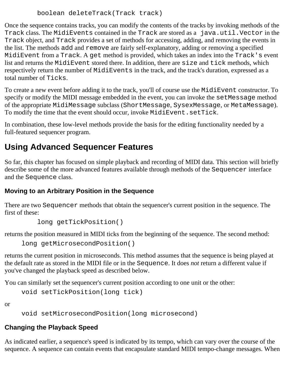```
 boolean deleteTrack(Track track)
```
Once the sequence contains tracks, you can modify the contents of the tracks by invoking methods of the Track class. The MidiEvents contained in the Track are stored as a java.util.Vector in the Track object, and Track provides a set of methods for accessing, adding, and removing the events in the list. The methods add and remove are fairly self-explanatory, adding or removing a specified MidiEvent from a Track. A get method is provided, which takes an index into the Track's event list and returns the MidiEvent stored there. In addition, there are size and tick methods, which respectively return the number of MidiEvents in the track, and the track's duration, expressed as a total number of Ticks.

To create a new event before adding it to the track, you'll of course use the MidiEvent constructor. To specify or modify the MIDI message embedded in the event, you can invoke the setMessage method of the appropriate MidiMessage subclass (ShortMessage, SysexMessage, or MetaMessage). To modify the time that the event should occur, invoke MidiEvent.setTick.

In combination, these low-level methods provide the basis for the editing functionality needed by a full-featured sequencer program.

## <span id="page-84-0"></span>**Using Advanced Sequencer Features**

So far, this chapter has focused on simple playback and recording of MIDI data. This section will briefly describe some of the more advanced features available through methods of the Sequencer interface and the Sequence class.

### **Moving to an Arbitrary Position in the Sequence**

There are two Sequencer methods that obtain the sequencer's current position in the sequence. The first of these:

```
 long getTickPosition()
```
returns the position measured in MIDI ticks from the beginning of the sequence. The second method:

```
long getMicrosecondPosition()
```
returns the current position in microseconds. This method assumes that the sequence is being played at the default rate as stored in the MIDI file or in the Sequence. It does *not* return a different value if you've changed the playback speed as described below.

You can similarly set the sequencer's current position according to one unit or the other:

```
void setTickPosition(long tick)
```
or

void setMicrosecondPosition(long microsecond)

### **Changing the Playback Speed**

As indicated earlier, a sequence's speed is indicated by its tempo, which can vary over the course of the sequence. A sequence can contain events that encapsulate standard MIDI tempo-change messages. When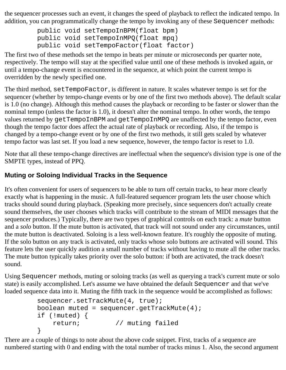the sequencer processes such an event, it changes the speed of playback to reflect the indicated tempo. In addition, you can programmatically change the tempo by invoking any of these Sequencer methods:

```
 public void setTempoInBPM(float bpm)
 public void setTempoInMPQ(float mpq)
 public void setTempoFactor(float factor)
```
The first two of these methods set the tempo in beats per minute or microseconds per quarter note, respectively. The tempo will stay at the specified value until one of these methods is invoked again, or until a tempo-change event is encountered in the sequence, at which point the current tempo is overridden by the newly specified one.

The third method, setTempoFactor, is different in nature. It scales whatever tempo is set for the sequencer (whether by tempo-change events or by one of the first two methods above). The default scalar is 1.0 (no change). Although this method causes the playback or recording to be faster or slower than the nominal tempo (unless the factor is 1.0), it doesn't alter the nominal tempo. In other words, the tempo values returned by getTempoInBPM and getTempoInMPQ are unaffected by the tempo factor, even though the tempo factor does affect the actual rate of playback or recording. Also, if the tempo is changed by a tempo-change event or by one of the first two methods, it still gets scaled by whatever tempo factor was last set. If you load a new sequence, however, the tempo factor is reset to 1.0.

Note that all these tempo-change directives are ineffectual when the sequence's division type is one of the SMPTE types, instead of PPQ.

#### **Muting or Soloing Individual Tracks in the Sequence**

It's often convenient for users of sequencers to be able to turn off certain tracks, to hear more clearly exactly what is happening in the music. A full-featured sequencer program lets the user choose which tracks should sound during playback. (Speaking more precisely, since sequencers don't actually create sound themselves, the user chooses which tracks will contribute to the stream of MIDI messages that the sequencer produces.) Typically, there are two types of graphical controls on each track: a *mute* button and a *solo* button. If the mute button is activated, that track will not sound under any circumstances, until the mute button is deactivated. Soloing is a less well-known feature. It's roughly the opposite of muting. If the solo button on any track is activated, only tracks whose solo buttons are activated will sound. This feature lets the user quickly audition a small number of tracks without having to mute all the other tracks. The mute button typically takes priority over the solo button: if both are activated, the track doesn't sound.

Using Sequencer methods, muting or soloing tracks (as well as querying a track's current mute or solo state) is easily accomplished. Let's assume we have obtained the default Sequencer and that we've loaded sequence data into it. Muting the fifth track in the sequence would be accomplished as follows:

```
sequencer.setTrackMute(4, true);
boolean muted = sequencer.getTrackMute(4);
 if (!muted) { 
    return; // muting failed
 }
```
There are a couple of things to note about the above code snippet. First, tracks of a sequence are numbered starting with 0 and ending with the total number of tracks minus 1. Also, the second argument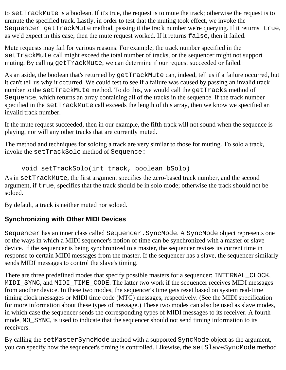to setTrackMute is a boolean. If it's true, the request is to mute the track; otherwise the request is to unmute the specified track. Lastly, in order to test that the muting took effect, we invoke the Sequencer getTrackMute method, passing it the track number we're querying. If it returns true, as we'd expect in this case, then the mute request worked. If it returns false, then it failed.

Mute requests may fail for various reasons. For example, the track number specified in the setTrackMute call might exceed the total number of tracks, or the sequencer might not support muting. By calling getTrackMute, we can determine if our request succeeded or failed.

As an aside, the boolean that's returned by getTrackMute can, indeed, tell us if a failure occurred, but it can't tell us why it occurred. We could test to see if a failure was caused by passing an invalid track number to the setTrackMute method. To do this, we would call the getTracks method of Sequence, which returns an array containing all of the tracks in the sequence. If the track number specified in the setTrackMute call exceeds the length of this array, then we know we specified an invalid track number.

If the mute request succeeded, then in our example, the fifth track will not sound when the sequence is playing, nor will any other tracks that are currently muted.

The method and techniques for soloing a track are very similar to those for muting. To solo a track, invoke the setTrackSolo method of Sequence:

```
void setTrackSolo(int track, boolean bSolo)
```
As in setTrackMute, the first argument specifies the zero-based track number, and the second argument, if true, specifies that the track should be in solo mode; otherwise the track should not be soloed.

By default, a track is neither muted nor soloed.

### **Synchronizing with Other MIDI Devices**

Sequencer has an inner class called Sequencer.SyncMode. A SyncMode object represents one of the ways in which a MIDI sequencer's notion of time can be synchronized with a master or slave device. If the sequencer is being synchronized to a master, the sequencer revises its current time in response to certain MIDI messages from the master. If the sequencer has a slave, the sequencer similarly sends MIDI messages to control the slave's timing.

There are three predefined modes that specify possible masters for a sequencer: INTERNAL\_CLOCK, MIDI SYNC, and MIDI TIME CODE. The latter two work if the sequencer receives MIDI messages from another device. In these two modes, the sequencer's time gets reset based on system real-time timing clock messages or MIDI time code (MTC) messages, respectively. (See the MIDI specification for more information about these types of message.) These two modes can also be used as slave modes, in which case the sequencer sends the corresponding types of MIDI messages to its receiver. A fourth mode, NO\_SYNC, is used to indicate that the sequencer should not send timing information to its receivers.

By calling the setMasterSyncMode method with a supported SyncMode object as the argument, you can specify how the sequencer's timing is controlled. Likewise, the setSlaveSyncMode method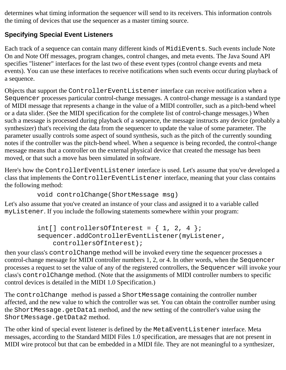determines what timing information the sequencer will send to its receivers. This information controls the timing of devices that use the sequencer as a master timing source.

### **Specifying Special Event Listeners**

Each track of a sequence can contain many different kinds of MidiEvents. Such events include Note On and Note Off messages, program changes, control changes, and meta events. The Java Sound API specifies "listener" interfaces for the last two of these event types (control change events and meta events). You can use these interfaces to receive notifications when such events occur during playback of a sequence.

Objects that support the ControllerEventListener interface can receive notification when a Sequencer processes particular control-change messages. A control-change message is a standard type of MIDI message that represents a change in the value of a MIDI controller, such as a pitch-bend wheel or a data slider. (See the MIDI specification for the complete list of control-change messages.) When such a message is processed during playback of a sequence, the message instructs any device (probably a synthesizer) that's receiving the data from the sequencer to update the value of some parameter. The parameter usually controls some aspect of sound synthesis, such as the pitch of the currently sounding notes if the controller was the pitch-bend wheel. When a sequence is being recorded, the control-change message means that a controller on the external physical device that created the message has been moved, or that such a move has been simulated in software.

Here's how the ControllerEventListener interface is used. Let's assume that you've developed a class that implements the ControllerEventListener interface, meaning that your class contains the following method:

```
 void controlChange(ShortMessage msg)
```
Let's also assume that you've created an instance of your class and assigned it to a variable called myListener. If you include the following statements somewhere within your program:

```
int[] controllersOfInterest = \{ 1, 2, 4 \};
 sequencer.addControllerEventListener(myListener,
     controllersOfInterest);
```
then your class's controlChange method will be invoked every time the sequencer processes a control-change message for MIDI controller numbers 1, 2, or 4. In other words, when the Sequencer processes a request to set the value of any of the registered controllers, the Sequencer will invoke your class's controlChange method. (Note that the assignments of MIDI controller numbers to specific control devices is detailed in the MIDI 1.0 Specification.)

The controlChange method is passed a ShortMessage containing the controller number affected, and the new value to which the controller was set. You can obtain the controller number using the ShortMessage.getData1 method, and the new setting of the controller's value using the ShortMessage.getData2 method.

The other kind of special event listener is defined by the MetaEventListener interface. Meta messages, according to the Standard MIDI Files 1.0 specification, are messages that are not present in MIDI wire protocol but that can be embedded in a MIDI file. They are not meaningful to a synthesizer,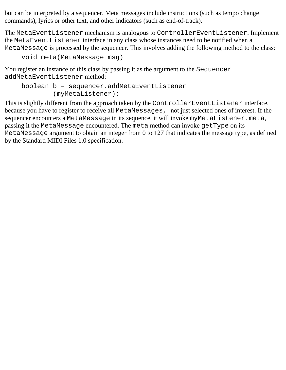but can be interpreted by a sequencer. Meta messages include instructions (such as tempo change commands), lyrics or other text, and other indicators (such as end-of-track).

The MetaEventListener mechanism is analogous to ControllerEventListener. Implement the MetaEventListener interface in any class whose instances need to be notified when a MetaMessage is processed by the sequencer. This involves adding the following method to the class:

```
void meta(MetaMessage msg)
```
You register an instance of this class by passing it as the argument to the Sequencer addMetaEventListener method:

```
boolean b = sequencer.addMetaEventListener
         (myMetaListener);
```
This is slightly different from the approach taken by the ControllerEventListener interface, because you have to register to receive all MetaMessages, not just selected ones of interest. If the sequencer encounters a MetaMessage in its sequence, it will invoke myMetaListener.meta, passing it the MetaMessage encountered. The meta method can invoke getType on its MetaMessage argument to obtain an integer from 0 to 127 that indicates the message type, as defined by the Standard MIDI Files 1.0 specification.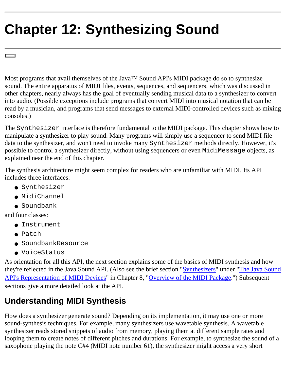# <span id="page-89-0"></span>**Chapter 12: Synthesizing Sound**

Most programs that avail themselves of the Java<sup>TM</sup> Sound API's MIDI package do so to synthesize sound. The entire apparatus of MIDI files, events, sequences, and sequencers, which was discussed in other chapters, nearly always has the goal of eventually sending musical data to a synthesizer to convert into audio. (Possible exceptions include programs that convert MIDI into musical notation that can be read by a musician, and programs that send messages to external MIDI-controlled devices such as mixing consoles.)

The Synthesizer interface is therefore fundamental to the MIDI package. This chapter shows how to manipulate a synthesizer to play sound. Many programs will simply use a sequencer to send MIDI file data to the synthesizer, and won't need to invoke many Synthesizer methods directly. However, it's possible to control a synthesizer directly, without using sequencers or even MidiMessage objects, as explained near the end of this chapter.

The synthesis architecture might seem complex for readers who are unfamiliar with MIDI. Its API includes three interfaces:

- Synthesizer
- MidiChannel
- Soundbank

and four classes:

- Instrument
- Patch
- SoundbankResource
- VoiceStatus

As orientation for all this API, the next section explains some of the basics of MIDI synthesis and how they're reflected in the Java Sound API. (Also see the brief section ["Synthesizers"](#page-63-0) under ["The Java Sound](#page-62-0) [API's Representation of MIDI Devices](#page-62-0)" in Chapter 8, ["Overview of the MIDI Package.](#page-59-0)") Subsequent sections give a more detailed look at the API.

# <span id="page-89-1"></span>**Understanding MIDI Synthesis**

How does a synthesizer generate sound? Depending on its implementation, it may use one or more sound-synthesis techniques. For example, many synthesizers use wavetable synthesis. A wavetable synthesizer reads stored snippets of audio from memory, playing them at different sample rates and looping them to create notes of different pitches and durations. For example, to synthesize the sound of a saxophone playing the note C#4 (MIDI note number 61), the synthesizer might access a very short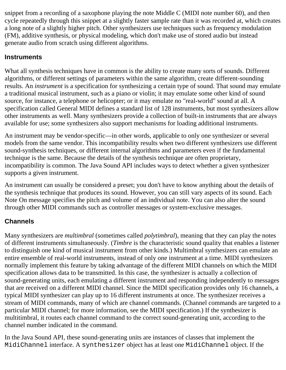snippet from a recording of a saxophone playing the note Middle C (MIDI note number 60), and then cycle repeatedly through this snippet at a slightly faster sample rate than it was recorded at, which creates a long note of a slightly higher pitch. Other synthesizers use techniques such as frequency modulation (FM), additive synthesis, or physical modeling, which don't make use of stored audio but instead generate audio from scratch using different algorithms.

#### **Instruments**

What all synthesis techniques have in common is the ability to create many sorts of sounds. Different algorithms, or different settings of parameters within the same algorithm, create different-sounding results. An *instrument* is a specification for synthesizing a certain type of sound. That sound may emulate a traditional musical instrument, such as a piano or violin; it may emulate some other kind of sound source, for instance, a telephone or helicopter; or it may emulate no "real-world" sound at all. A specification called General MIDI defines a standard list of 128 instruments, but most synthesizers allow other instruments as well. Many synthesizers provide a collection of built-in instruments that are always available for use; some synthesizers also support mechanisms for loading additional instruments.

An instrument may be vendor-specific—in other words, applicable to only one synthesizer or several models from the same vendor. This incompatibility results when two different synthesizers use different sound-synthesis techniques, or different internal algorithms and parameters even if the fundamental technique is the same. Because the details of the synthesis technique are often proprietary, incompatibility is common. The Java Sound API includes ways to detect whether a given synthesizer supports a given instrument.

An instrument can usually be considered a preset; you don't have to know anything about the details of the synthesis technique that produces its sound. However, you can still vary aspects of its sound. Each Note On message specifies the pitch and volume of an individual note. You can also alter the sound through other MIDI commands such as controller messages or system-exclusive messages.

### **Channels**

Many synthesizers are *multimbral* (sometimes called *polytimbral*), meaning that they can play the notes of different instruments simultaneously. (*Timbre* is the characteristic sound quality that enables a listener to distinguish one kind of musical instrument from other kinds.) Multimbral synthesizers can emulate an entire ensemble of real-world instruments, instead of only one instrument at a time. MIDI synthesizers normally implement this feature by taking advantage of the different MIDI channels on which the MIDI specification allows data to be transmitted. In this case, the synthesizer is actually a collection of sound-generating units, each emulating a different instrument and responding independently to messages that are received on a different MIDI channel. Since the MIDI specification provides only 16 channels, a typical MIDI synthesizer can play up to 16 different instruments at once. The synthesizer receives a stream of MIDI commands, many of which are channel commands. (Channel commands are targeted to a particular MIDI channel; for more information, see the MIDI specification.) If the synthesizer is multitimbral, it routes each channel command to the correct sound-generating unit, according to the channel number indicated in the command.

In the Java Sound API, these sound-generating units are instances of classes that implement the MidiChannel interface. A synthesizer object has at least one MidiChannel object. If the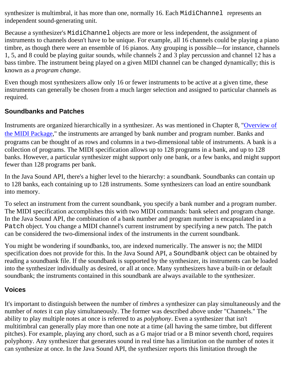synthesizer is multimbral, it has more than one, normally 16. Each MidiChannel represents an independent sound-generating unit.

Because a synthesizer's MidiChannel objects are more or less independent, the assignment of instruments to channels doesn't have to be unique. For example, all 16 channels could be playing a piano timbre, as though there were an ensemble of 16 pianos. Any grouping is possible—for instance, channels 1, 5, and 8 could be playing guitar sounds, while channels 2 and 3 play percussion and channel 12 has a bass timbre. The instrument being played on a given MIDI channel can be changed dynamically; this is known as a *program change*.

Even though most synthesizers allow only 16 or fewer instruments to be active at a given time, these instruments can generally be chosen from a much larger selection and assigned to particular channels as required.

#### **Soundbanks and Patches**

Instruments are organized hierarchically in a synthesizer. As was mentioned in Chapter 8, ["Overview of](#page-59-0) [the MIDI Package,](#page-59-0)" the instruments are arranged by bank number and program number. Banks and programs can be thought of as rows and columns in a two-dimensional table of instruments. A bank is a collection of programs. The MIDI specification allows up to 128 programs in a bank, and up to 128 banks. However, a particular synthesizer might support only one bank, or a few banks, and might support fewer than 128 programs per bank.

In the Java Sound API, there's a higher level to the hierarchy: a soundbank. Soundbanks can contain up to 128 banks, each containing up to 128 instruments. Some synthesizers can load an entire soundbank into memory.

To select an instrument from the current soundbank, you specify a bank number and a program number. The MIDI specification accomplishes this with two MIDI commands: bank select and program change. In the Java Sound API, the combination of a bank number and program number is encapsulated in a Patch object. You change a MIDI channel's current instrument by specifying a new patch. The patch can be considered the two-dimensional index of the instruments in the current soundbank.

You might be wondering if soundbanks, too, are indexed numerically. The answer is no; the MIDI specification does not provide for this. In the Java Sound API, a Soundbank object can be obtained by reading a soundbank file. If the soundbank is supported by the synthesizer, its instruments can be loaded into the synthesizer individually as desired, or all at once. Many synthesizers have a built-in or default soundbank; the instruments contained in this soundbank are always available to the synthesizer.

#### <span id="page-91-0"></span>**Voices**

It's important to distinguish between the number of *timbres* a synthesizer can play simultaneously and the number of *notes* it can play simultaneously. The former was described above under "Channels." The ability to play multiple notes at once is referred to as *polyphony*. Even a synthesizer that isn't multitimbral can generally play more than one note at a time (all having the same timbre, but different pitches). For example, playing any chord, such as a G major triad or a B minor seventh chord, requires polyphony. Any synthesizer that generates sound in real time has a limitation on the number of notes it can synthesize at once. In the Java Sound API, the synthesizer reports this limitation through the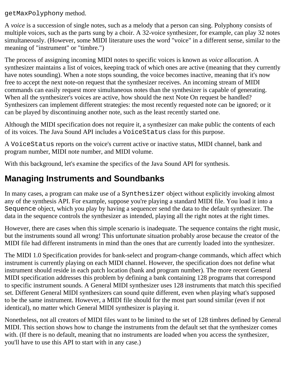getMaxPolyphony method.

A *voice* is a succession of single notes, such as a melody that a person can sing. Polyphony consists of multiple voices, such as the parts sung by a choir. A 32-voice synthesizer, for example, can play 32 notes simultaneously. (However, some MIDI literature uses the word "voice" in a different sense, similar to the meaning of "instrument" or "timbre.")

The process of assigning incoming MIDI notes to specific voices is known as *voice allocation*. A synthesizer maintains a list of voices, keeping track of which ones are active (meaning that they currently have notes sounding). When a note stops sounding, the voice becomes inactive, meaning that it's now free to accept the next note-on request that the synthesizer receives. An incoming stream of MIDI commands can easily request more simultaneous notes than the synthesizer is capable of generating. When all the synthesizer's voices are active, how should the next Note On request be handled? Synthesizers can implement different strategies: the most recently requested note can be ignored; or it can be played by discontinuing another note, such as the least recently started one.

Although the MIDI specification does not require it, a synthesizer can make public the contents of each of its voices. The Java Sound API includes a VoiceStatus class for this purpose.

A VoiceStatus reports on the voice's current active or inactive status, MIDI channel, bank and program number, MIDI note number, and MIDI volume.

With this background, let's examine the specifics of the Java Sound API for synthesis.

### **Managing Instruments and Soundbanks**

In many cases, a program can make use of a Synthesizer object without explicitly invoking almost any of the synthesis API. For example, suppose you're playing a standard MIDI file. You load it into a Sequence object, which you play by having a sequencer send the data to the default synthesizer. The data in the sequence controls the synthesizer as intended, playing all the right notes at the right times.

However, there are cases when this simple scenario is inadequate. The sequence contains the right music, but the instruments sound all wrong! This unfortunate situation probably arose because the creator of the MIDI file had different instruments in mind than the ones that are currently loaded into the synthesizer.

The MIDI 1.0 Specification provides for bank-select and program-change commands, which affect which instrument is currently playing on each MIDI channel. However, the specification does not define what instrument should reside in each patch location (bank and program number). The more recent General MIDI specification addresses this problem by defining a bank containing 128 programs that correspond to specific instrument sounds. A General MIDI synthesizer uses 128 instruments that match this specified set. Different General MIDI synthesizers can sound quite different, even when playing what's supposed to be the same instrument. However, a MIDI file should for the most part sound similar (even if not identical), no matter which General MIDI synthesizer is playing it.

Nonetheless, not all creators of MIDI files want to be limited to the set of 128 timbres defined by General MIDI. This section shows how to change the instruments from the default set that the synthesizer comes with. (If there is no default, meaning that no instruments are loaded when you access the synthesizer, you'll have to use this API to start with in any case.)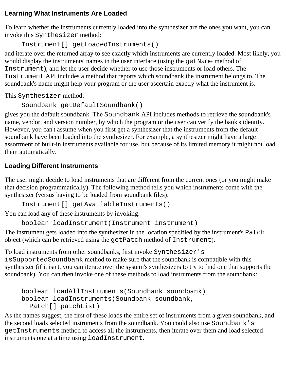#### **Learning What Instruments Are Loaded**

To learn whether the instruments currently loaded into the synthesizer are the ones you want, you can invoke this Synthesizer method:

```
Instrument[] getLoadedInstruments()
```
and iterate over the returned array to see exactly which instruments are currently loaded. Most likely, you would display the instruments' names in the user interface (using the getName method of Instrument), and let the user decide whether to use those instruments or load others. The Instrument API includes a method that reports which soundbank the instrument belongs to. The soundbank's name might help your program or the user ascertain exactly what the instrument is.

This Synthesizer method:

```
Soundbank getDefaultSoundbank()
```
gives you the default soundbank. The Soundbank API includes methods to retrieve the soundbank's name, vendor, and version number, by which the program or the user can verify the bank's identity. However, you can't assume when you first get a synthesizer that the instruments from the default soundbank have been loaded into the synthesizer. For example, a synthesizer might have a large assortment of built-in instruments available for use, but because of its limited memory it might not load them automatically.

#### **Loading Different Instruments**

The user might decide to load instruments that are different from the current ones (or you might make that decision programmatically). The following method tells you which instruments come with the synthesizer (versus having to be loaded from soundbank files):

```
Instrument[] getAvailableInstruments()
```
You can load any of these instruments by invoking:

boolean loadInstrument(Instrument instrument)

The instrument gets loaded into the synthesizer in the location specified by the instrument's Patch object (which can be retrieved using the getPatch method of Instrument).

To load instruments from other soundbanks, first invoke Synthesizer's isSupportedSoundbank method to make sure that the soundbank is compatible with this synthesizer (if it isn't, you can iterate over the system's synthesizers to try to find one that supports the soundbank). You can then invoke one of these methods to load instruments from the soundbank:

```
boolean loadAllInstruments(Soundbank soundbank) 
boolean loadInstruments(Soundbank soundbank, 
   Patch[] patchList)
```
As the names suggest, the first of these loads the entire set of instruments from a given soundbank, and the second loads selected instruments from the soundbank. You could also use Soundbank's getInstruments method to access all the instruments, then iterate over them and load selected instruments one at a time using loadInstrument.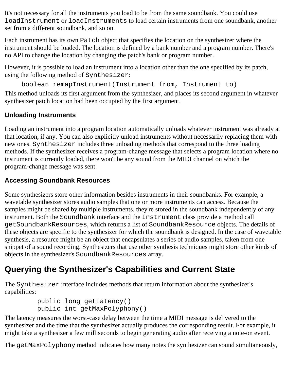It's not necessary for all the instruments you load to be from the same soundbank. You could use loadInstrument or loadInstruments to load certain instruments from one soundbank, another set from a different soundbank, and so on.

Each instrument has its own Patch object that specifies the location on the synthesizer where the instrument should be loaded. The location is defined by a bank number and a program number. There's no API to change the location by changing the patch's bank or program number.

However, it is possible to load an instrument into a location other than the one specified by its patch, using the following method of Synthesizer:

```
boolean remapInstrument(Instrument from, Instrument to)
```
This method unloads its first argument from the synthesizer, and places its second argument in whatever synthesizer patch location had been occupied by the first argument.

### **Unloading Instruments**

Loading an instrument into a program location automatically unloads whatever instrument was already at that location, if any. You can also explicitly unload instruments without necessarily replacing them with new ones. Synthesizer includes three unloading methods that correspond to the three loading methods. If the synthesizer receives a program-change message that selects a program location where no instrument is currently loaded, there won't be any sound from the MIDI channel on which the program-change message was sent.

### **Accessing Soundbank Resources**

Some synthesizers store other information besides instruments in their soundbanks. For example, a wavetable synthesizer stores audio samples that one or more instruments can access. Because the samples might be shared by multiple instruments, they're stored in the soundbank independently of any instrument. Both the Soundbank interface and the Instrument class provide a method call getSoundbankResources, which returns a list of SoundbankResource objects. The details of these objects are specific to the synthesizer for which the soundbank is designed. In the case of wavetable synthesis, a resource might be an object that encapsulates a series of audio samples, taken from one snippet of a sound recording. Synthesizers that use other synthesis techniques might store other kinds of objects in the synthesizer's SoundbankResources array.

# **Querying the Synthesizer's Capabilities and Current State**

The Synthesizer interface includes methods that return information about the synthesizer's capabilities:

```
 public long getLatency()
 public int getMaxPolyphony()
```
The latency measures the worst-case delay between the time a MIDI message is delivered to the synthesizer and the time that the synthesizer actually produces the corresponding result. For example, it might take a synthesizer a few milliseconds to begin generating audio after receiving a note-on event.

The getMaxPolyphony method indicates how many notes the synthesizer can sound simultaneously,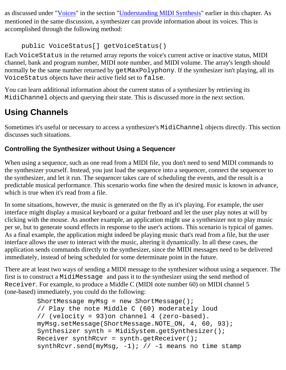as discussed under ["Voices](#page-91-0)" in the section ["Understanding MIDI Synthesis](#page-89-1)" earlier in this chapter. As mentioned in the same discussion, a synthesizer can provide information about its voices. This is accomplished through the following method:

public VoiceStatus[] getVoiceStatus()

Each VoiceStatus in the returned array reports the voice's current active or inactive status, MIDI channel, bank and program number, MIDI note number, and MIDI volume. The array's length should normally be the same number returned by getMaxPolyphony. If the synthesizer isn't playing, all its VoiceStatus objects have their active field set to false.

You can learn additional information about the current status of a synthesizer by retrieving its MidiChannel objects and querying their state. This is discussed more in the next section.

# **Using Channels**

Sometimes it's useful or necessary to access a synthesizer's MidiChannel objects directly. This section discusses such situations.

### **Controlling the Synthesizer without Using a Sequencer**

When using a sequence, such as one read from a MIDI file, you don't need to send MIDI commands to the synthesizer yourself. Instead, you just load the sequence into a sequencer, connect the sequencer to the synthesizer, and let it run. The sequencer takes care of scheduling the events, and the result is a predictable musical performance. This scenario works fine when the desired music is known in advance, which is true when it's read from a file.

In some situations, however, the music is generated on the fly as it's playing. For example, the user interface might display a musical keyboard or a guitar fretboard and let the user play notes at will by clicking with the mouse. As another example, an application might use a synthesizer not to play music per se, but to generate sound effects in response to the user's actions. This scenario is typical of games. As a final example, the application might indeed be playing music that's read from a file, but the user interface allows the user to interact with the music, altering it dynamically. In all these cases, the application sends commands directly to the synthesizer, since the MIDI messages need to be delivered immediately, instead of being scheduled for some determinate point in the future.

There are at least two ways of sending a MIDI message to the synthesizer without using a sequencer. The first is to construct a MidiMessage and pass it to the synthesizer using the send method of Receiver. For example, to produce a Middle C (MIDI note number 60) on MIDI channel 5 (one-based) immediately, you could do the following:

```
ShortMessage myMsg = new ShortMessage();
 // Play the note Middle C (60) moderately loud
 // (velocity = 93)on channel 4 (zero-based).
 myMsg.setMessage(ShortMessage.NOTE_ON, 4, 60, 93); 
Synthesizer synth = MidiSystem.getSynthesizer();
 Receiver synthRcvr = synth.getReceiver();
synthRcvr.send(myMsg, -1); // -1 means no time stamp
```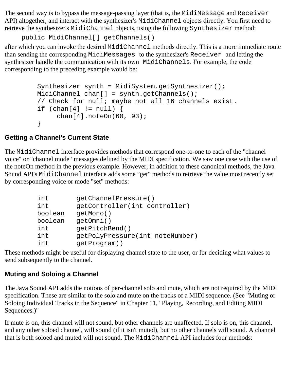The second way is to bypass the message-passing layer (that is, the MidiMessage and Receiver API) altogether, and interact with the synthesizer's MidiChannel objects directly. You first need to retrieve the synthesizer's MidiChannel objects, using the following Synthesizer method:

```
public MidiChannel[] getChannels()
```
after which you can invoke the desired MidiChannel methods directly. This is a more immediate route than sending the corresponding MidiMessages to the synthesizer's Receiver and letting the synthesizer handle the communication with its own MidiChannels. For example, the code corresponding to the preceding example would be:

```
Synthesizer synth = MidiSystem.getSynthesizer();
 MidiChannel chan[] = synth.getChannels(); 
 // Check for null; maybe not all 16 channels exist.
if (char[4] != null) {
      chan[4].noteOn(60, 93); 
 }
```
#### **Getting a Channel's Current State**

The MidiChannel interface provides methods that correspond one-to-one to each of the "channel voice" or "channel mode" messages defined by the MIDI specification. We saw one case with the use of the noteOn method in the previous example. However, in addition to these canonical methods, the Java Sound API's MidiChannel interface adds some "get" methods to retrieve the value most recently set by corresponding voice or mode "set" methods:

| int     | getChannelPressure()            |
|---------|---------------------------------|
| int     | getController(int controller)   |
| boolean | qetMono()                       |
| boolean | qet0mni()                       |
| int     | qetPitchBend()                  |
| int     | getPolyPressure(int noteNumber) |
| int     | qetProgram()                    |

These methods might be useful for displaying channel state to the user, or for deciding what values to send subsequently to the channel.

#### **Muting and Soloing a Channel**

The Java Sound API adds the notions of per-channel solo and mute, which are not required by the MIDI specification. These are similar to the solo and mute on the tracks of a MIDI sequence. (See "Muting or Soloing Individual Tracks in the Sequence" in Chapter 11, "Playing, Recording, and Editing MIDI Sequences.)"

If mute is on, this channel will not sound, but other channels are unaffected. If solo is on, this channel, and any other soloed channel, will sound (if it isn't muted), but no other channels will sound. A channel that is both soloed and muted will not sound. The MidiChannel API includes four methods: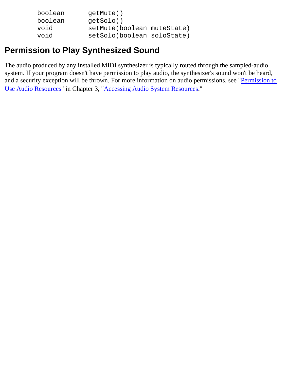| boolean | qetMute()                  |  |
|---------|----------------------------|--|
| boolean | qetSolo()                  |  |
| void    | setMute(boolean muteState) |  |
| void    | setSolo(boolean soloState) |  |

### **Permission to Play Synthesized Sound**

The audio produced by any installed MIDI synthesizer is typically routed through the sampled-audio system. If your program doesn't have permission to play audio, the synthesizer's sound won't be heard, and a security exception will be thrown. For more information on audio permissions, see "[Permission to](#page-29-0) [Use Audio Resources](#page-29-0)" in Chapter 3, ["Accessing Audio System Resources](#page-25-0)."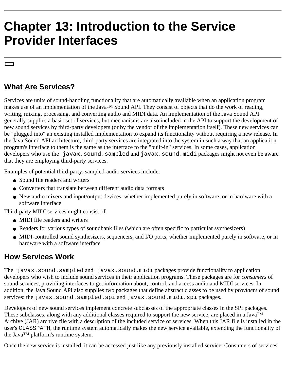# <span id="page-98-0"></span>**Chapter 13: Introduction to the Service Provider Interfaces**

### **What Are Services?**

Services are units of sound-handling functionality that are automatically available when an application program makes use of an implementation of the JavaTM Sound API. They consist of objects that do the work of reading, writing, mixing, processing, and converting audio and MIDI data. An implementation of the Java Sound API generally supplies a basic set of services, but mechanisms are also included in the API to support the development of new sound services by third-party developers (or by the vendor of the implementation itself). These new services can be "plugged into" an existing installed implementation to expand its functionality without requiring a new release. In the Java Sound API architecture, third-party services are integrated into the system in such a way that an application program's interface to them is the same as the interface to the "built-in" services. In some cases, application developers who use the javax.sound.sampled and javax.sound.midi packages might not even be aware that they are employing third-party services.

Examples of potential third-party, sampled-audio services include:

- Sound file readers and writers
- Converters that translate between different audio data formats
- New audio mixers and input/output devices, whether implemented purely in software, or in hardware with a software interface

Third-party MIDI services might consist of:

- MIDI file readers and writers
- Readers for various types of soundbank files (which are often specific to particular synthesizers)
- MIDI-controlled sound synthesizers, sequencers, and I/O ports, whether implemented purely in software, or in hardware with a software interface

#### **How Services Work**

The javax.sound.sampled and javax.sound.midi packages provide functionality to application developers who wish to include sound services in their application programs. These packages are for *consumers* of sound services, providing interfaces to get information about, control, and access audio and MIDI services. In addition, the Java Sound API also supplies two packages that define abstract classes to be used by *providers* of sound services: the javax.sound.sampled.spi and javax.sound.midi.spi packages.

Developers of new sound services implement concrete subclasses of the appropriate classes in the SPI packages. These subclasses, along with any additional classes required to support the new service, are placed in a Java<sup>TM</sup> Archive (JAR) archive file with a description of the included service or services. When this JAR file is installed in the user's CLASSPATH, the runtime system automatically makes the new service available, extending the functionality of the JavaTM platform's runtime system.

Once the new service is installed, it can be accessed just like any previously installed service. Consumers of services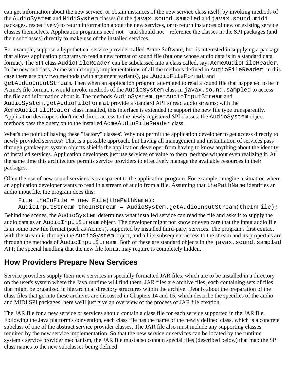can get information about the new service, or obtain instances of the new service class itself, by invoking methods of the AudioSystem and MidiSystem classes (in the javax.sound.sampled and javax.sound.midi packages, respectively) to return information about the new services, or to return instances of new or existing service classes themselves. Application programs need not—and should not—reference the classes in the SPI packages (and their subclasses) directly to make use of the installed services.

For example, suppose a hypothetical service provider called Acme Software, Inc. is interested in supplying a package that allows application programs to read a new format of sound file (but one whose audio data is in a standard data format). The SPI class AudioFileReader can be subclassed into a class called, say, AcmeAudioFileReader. In the new subclass, Acme would supply implementations of all the methods defined in AudioFileReader; in this case there are only two methods (with argument variants), getAudioFileFormat and getAudioInputStream. Then when an application program attempted to read a sound file that happened to be in Acme's file format, it would invoke methods of the AudioSystem class in javax.sound.sampled to access the file and information about it. The methods AudioSystem.getAudioInputStream and AudioSystem.getAudioFileFormat provide a standard API to read audio streams; with the AcmeAudioFileReader class installed, this interface is extended to support the new file type transparently. Application developers don't need direct access to the newly registered SPI classes: the AudioSystem object methods pass the query on to the installed AcmeAudioFileReader class.

What's the point of having these "factory" classes? Why not permit the application developer to get access directly to newly provided services? That is a possible approach, but having all management and instantiation of services pass through gatekeeper system objects shields the application developer from having to know anything about the identity of installed services. Application developers just use services of value to them, perhaps without even realizing it. At the same time this architecture permits service providers to effectively manage the available resources in their packages.

Often the use of new sound services is transparent to the application program. For example, imagine a situation where an application developer wants to read in a stream of audio from a file. Assuming that thePathName identifies an audio input file, the program does this:

```
File theInFile = new File(thePathName);
```
AudioInputStream theInStream = AudioSystem.getAudioInputStream(theInFile);

Behind the scenes, the AudioSystem determines what installed service can read the file and asks it to supply the audio data as an AudioInputStream object. The developer might not know or even care that the input audio file is in some new file format (such as Acme's), supported by installed third-party services. The program's first contact with the stream is through the AudioSystem object, and all its subsequent access to the stream and its properties are through the methods of AudioInputStream. Both of these are standard objects in the javax.sound.sampled API; the special handling that the new file format may require is completely hidden.

### **How Providers Prepare New Services**

Service providers supply their new services in specially formatted JAR files, which are to be installed in a directory on the user's system where the Java runtime will find them. JAR files are archive files, each containing sets of files that might be organized in hierarchical directory structures within the archive. Details about the preparation of the class files that go into these archives are discussed in Chapters 14 and 15, which describe the specifics of the audio and MIDI SPI packages; here we'll just give an overview of the process of JAR file creation.

The JAR file for a new service or services should contain a class file for each service supported in the JAR file. Following the Java platform's convention, each class file has the name of the newly defined class, which is a concrete subclass of one of the abstract service provider classes. The JAR file also must include any supporting classes required by the new service implementation. So that the new service or services can be located by the runtime system's service provider mechanism, the JAR file must also contain special files (described below) that map the SPI class names to the new subclasses being defined.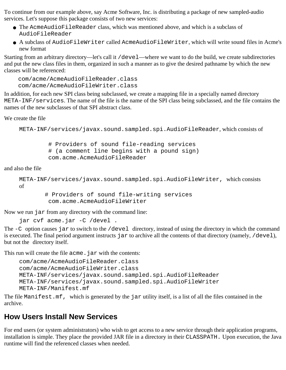To continue from our example above, say Acme Software, Inc. is distributing a package of new sampled-audio services. Let's suppose this package consists of two new services:

- The AcmeAudioFileReader class, which was mentioned above, and which is a subclass of AudioFileReader
- A subclass of AudioFileWriter called AcmeAudioFileWriter, which will write sound files in Acme's new format

Starting from an arbitrary directory—let's call it /devel—where we want to do the build, we create subdirectories and put the new class files in them, organized in such a manner as to give the desired pathname by which the new classes will be referenced:

```
 com/acme/AcmeAudioFileReader.class
 com/acme/AcmeAudioFileWriter.class
```
In addition, for each new SPI class being subclassed, we create a mapping file in a specially named directory META-INF/services. The name of the file is the name of the SPI class being subclassed, and the file contains the names of the new subclasses of that SPI abstract class.

We create the file

META-INF/services/javax.sound.sampled.spi.AudioFileReader, which consists of

 # Providers of sound file-reading services # (a comment line begins with a pound sign) com.acme.AcmeAudioFileReader

and also the file

```
META-INF/services/javax.sound.sampled.spi.AudioFileWriter, which consists
of
```
 # Providers of sound file-writing services com.acme.AcmeAudioFileWriter

Now we run jar from any directory with the command line:

jar cvf acme.jar -C /devel .

The  $-C$  option causes jar to switch to the /devel directory, instead of using the directory in which the command is executed. The final period argument instructs jar to archive all the contents of that directory (namely, /devel), but not the directory itself.

This run will create the file acme. jar with the contents:

```
com/acme/AcmeAudioFileReader.class
com/acme/AcmeAudioFileWriter.class
META-INF/services/javax.sound.sampled.spi.AudioFileReader
META-INF/services/javax.sound.sampled.spi.AudioFileWriter
META-INF/Manifest.mf
```
The file Manifest.mf, which is generated by the jar utility itself, is a list of all the files contained in the archive.

### **How Users Install New Services**

For end users (or system administrators) who wish to get access to a new service through their application programs, installation is simple. They place the provided JAR file in a directory in their CLASSPATH. Upon execution, the Java runtime will find the referenced classes when needed.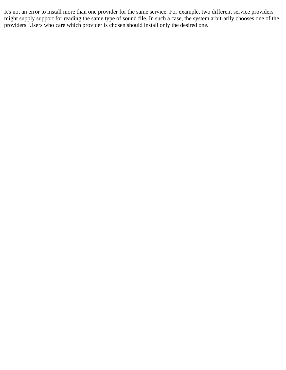It's not an error to install more than one provider for the same service. For example, two different service providers might supply support for reading the same type of sound file. In such a case, the system arbitrarily chooses one of the providers. Users who care which provider is chosen should install only the desired one.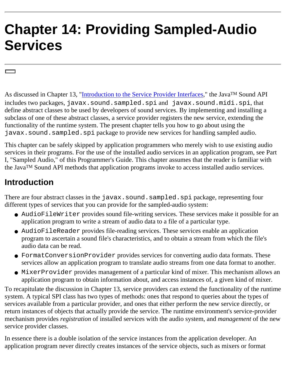# **Chapter 14: Providing Sampled-Audio Services**

As discussed in Chapter 13, ["Introduction to the Service Provider Interfaces](#page-98-0)," the Java<sup>TM</sup> Sound API includes two packages, javax.sound.sampled.spi and javax.sound.midi.spi, that define abstract classes to be used by developers of sound services. By implementing and installing a subclass of one of these abstract classes, a service provider registers the new service, extending the functionality of the runtime system. The present chapter tells you how to go about using the javax.sound.sampled.spi package to provide new services for handling sampled audio.

This chapter can be safely skipped by application programmers who merely wish to use existing audio services in their programs. For the use of the installed audio services in an application program, see Part I, "Sampled Audio," of this Programmer's Guide. This chapter assumes that the reader is familiar with the JavaTM Sound API methods that application programs invoke to access installed audio services.

## **Introduction**

There are four abstract classes in the javax.sound.sampled.spi package, representing four different types of services that you can provide for the sampled-audio system:

- AudioFileWriter provides sound file-writing services. These services make it possible for an application program to write a stream of audio data to a file of a particular type.
- AudioFileReader provides file-reading services. These services enable an application program to ascertain a sound file's characteristics, and to obtain a stream from which the file's audio data can be read.
- FormatConversionProvider provides services for converting audio data formats. These services allow an application program to translate audio streams from one data format to another.
- MixerProvider provides management of a particular kind of mixer. This mechanism allows an application program to obtain information about, and access instances of, a given kind of mixer.

To recapitulate the discussion in Chapter 13, service providers can extend the functionality of the runtime system. A typical SPI class has two types of methods: ones that respond to queries about the types of services available from a particular provider, and ones that either perform the new service directly, or return instances of objects that actually provide the service. The runtime environment's service-provider mechanism provides *registration* of installed services with the audio system, and *management* of the new service provider classes.

In essence there is a double isolation of the service instances from the application developer. An application program never directly creates instances of the service objects, such as mixers or format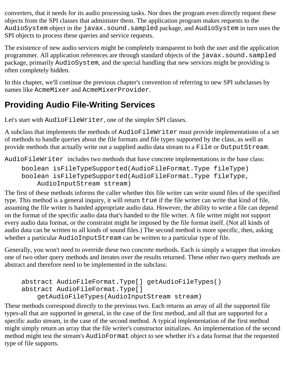converters, that it needs for its audio processing tasks. Nor does the program even directly request these objects from the SPI classes that administer them. The application program makes requests to the AudioSystem object in the javax.sound.sampled package, and AudioSystem in turn uses the SPI objects to process these queries and service requests.

The existence of new audio services might be completely transparent to both the user and the application programmer. All application references are through standard objects of the javax.sound.sampled package, primarily AudioSystem, and the special handling that new services might be providing is often completely hidden.

In this chapter, we'll continue the previous chapter's convention of referring to new SPI subclasses by names like AcmeMixer and AcmeMixerProvider.

# **Providing Audio File-Writing Services**

Let's start with AudioFileWriter, one of the simpler SPI classes.

A subclass that implements the methods of AudioFileWriter must provide implementations of a set of methods to handle queries about the file formats and file types supported by the class, as well as provide methods that actually write out a supplied audio data stream to a File or OutputStream.

AudioFileWriter includes two methods that have concrete implementations in the base class:

```
boolean isFileTypeSupported(AudioFileFormat.Type fileType) 
boolean isFileTypeSupported(AudioFileFormat.Type fileType, 
     AudioInputStream stream)
```
The first of these methods informs the caller whether this file writer can write sound files of the specified type. This method is a general inquiry, it will return true if the file writer can write that kind of file, assuming the file writer is handed appropriate audio data. However, the ability to write a file can depend on the format of the specific audio data that's handed to the file writer. A file writer might not support every audio data format, or the constraint might be imposed by the file format itself. (Not all kinds of audio data can be written to all kinds of sound files.) The second method is more specific, then, asking whether a particular AudioInputStream can be written to a particular type of file.

Generally, you won't need to override these two concrete methods. Each is simply a wrapper that invokes one of two other query methods and iterates over the results returned. These other two query methods are abstract and therefore need to be implemented in the subclass:

```
abstract AudioFileFormat.Type[] getAudioFileTypes() 
abstract AudioFileFormat.Type[]
     getAudioFileTypes(AudioInputStream stream)
```
These methods correspond directly to the previous two. Each returns an array of all the supported file types-all that are supported in general, in the case of the first method, and all that are supported for a specific audio stream, in the case of the second method. A typical implementation of the first method might simply return an array that the file writer's constructor initializes. An implementation of the second method might test the stream's AudioFormat object to see whether it's a data format that the requested type of file supports.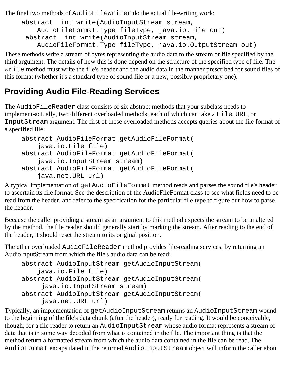The final two methods of AudioFileWriter do the actual file-writing work:

```
abstract int write(AudioInputStream stream, 
     AudioFileFormat.Type fileType, java.io.File out) 
 abstract int write(AudioInputStream stream, 
     AudioFileFormat.Type fileType, java.io.OutputStream out)
```
These methods write a stream of bytes representing the audio data to the stream or file specified by the third argument. The details of how this is done depend on the structure of the specified type of file. The write method must write the file's header and the audio data in the manner prescribed for sound files of this format (whether it's a standard type of sound file or a new, possibly proprietary one).

## **Providing Audio File-Reading Services**

The AudioFileReader class consists of six abstract methods that your subclass needs to implement-actually, two different overloaded methods, each of which can take a File, URL, or InputStream argument. The first of these overloaded methods accepts queries about the file format of a specified file:

```
abstract AudioFileFormat getAudioFileFormat(
     java.io.File file) 
abstract AudioFileFormat getAudioFileFormat(
     java.io.InputStream stream) 
abstract AudioFileFormat getAudioFileFormat(
     java.net.URL url)
```
A typical implementation of getAudioFileFormat method reads and parses the sound file's header to ascertain its file format. See the description of the AudioFileFormat class to see what fields need to be read from the header, and refer to the specification for the particular file type to figure out how to parse the header.

Because the caller providing a stream as an argument to this method expects the stream to be unaltered by the method, the file reader should generally start by marking the stream. After reading to the end of the header, it should reset the stream to its original position.

The other overloaded AudioFileReader method provides file-reading services, by returning an AudioInputStream from which the file's audio data can be read:

```
abstract AudioInputStream getAudioInputStream(
     java.io.File file) 
abstract AudioInputStream getAudioInputStream(
      java.io.InputStream stream) 
abstract AudioInputStream getAudioInputStream(
      java.net.URL url)
```
Typically, an implementation of getAudioInputStream returns an AudioInputStream wound to the beginning of the file's data chunk (after the header), ready for reading. It would be conceivable, though, for a file reader to return an AudioInputStream whose audio format represents a stream of data that is in some way decoded from what is contained in the file. The important thing is that the method return a formatted stream from which the audio data contained in the file can be read. The AudioFormat encapsulated in the returned AudioInputStream object will inform the caller about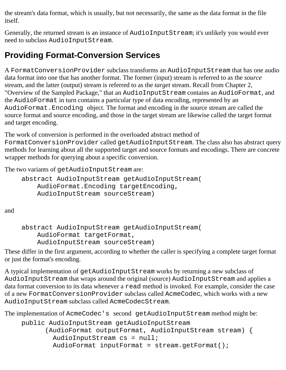the stream's data format, which is usually, but not necessarily, the same as the data format in the file itself.

Generally, the returned stream is an instance of AudioInputStream; it's unlikely you would ever need to subclass AudioInputStream.

# **Providing Format-Conversion Services**

A FormatConversionProvider subclass transforms an AudioInputStream that has one audio data format into one that has another format. The former (input) stream is referred to as the *source* stream, and the latter (output) stream is referred to as the *target* stream. Recall from Chapter 2, "Overview of the Sampled Package," that an AudioInputStream contains an AudioFormat, and the AudioFormat in turn contains a particular type of data encoding, represented by an AudioFormat.Encoding object. The format and encoding in the source stream are called the source format and source encoding, and those in the target stream are likewise called the target format and target encoding.

The work of conversion is performed in the overloaded abstract method of FormatConversionProvider called getAudioInputStream. The class also has abstract query methods for learning about all the supported target and source formats and encodings. There are concrete wrapper methods for querying about a specific conversion.

The two variants of getAudioInputStream are:

```
abstract AudioInputStream getAudioInputStream(
     AudioFormat.Encoding targetEncoding, 
     AudioInputStream sourceStream)
```
and

```
abstract AudioInputStream getAudioInputStream(
     AudioFormat targetFormat,
     AudioInputStream sourceStream)
```
These differ in the first argument, according to whether the caller is specifying a complete target format or just the format's encoding.

A typical implementation of getAudioInputStream works by returning a new subclass of AudioInputStream that wraps around the original (source) AudioInputStream and applies a data format conversion to its data whenever a read method is invoked. For example, consider the case of a new FormatConversionProvider subclass called AcmeCodec, which works with a new AudioInputStream subclass called AcmeCodecStream.

The implementation of AcmeCodec's second getAudioInputStream method might be:

```
public AudioInputStream getAudioInputStream
       (AudioFormat outputFormat, AudioInputStream stream) {
        AudioInputStream cs = null;
        AudioFormat inputFormat = stream.getFormat();
```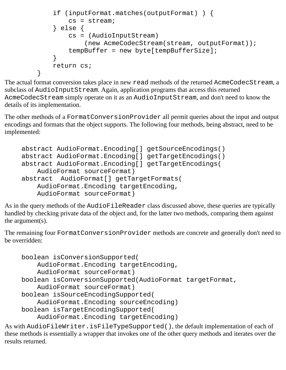```
 if (inputFormat.matches(outputFormat) ) {
             cs = stream;
         } else {
             cs = (AudioInputStream)
                 (new AcmeCodecStream(stream, outputFormat));
             tempBuffer = new byte[tempBufferSize];
 }
         return cs;
     }
```
The actual format conversion takes place in new read methods of the returned AcmeCodecStream, a subclass of AudioInputStream. Again, application programs that access this returned AcmeCodecStream simply operate on it as an AudioInputStream, and don't need to know the details of its implementation.

The other methods of a FormatConversionProvider all permit queries about the input and output encodings and formats that the object supports. The following four methods, being abstract, need to be implemented:

```
abstract AudioFormat.Encoding[] getSourceEncodings() 
abstract AudioFormat.Encoding[] getTargetEncodings() 
abstract AudioFormat.Encoding[] getTargetEncodings(
     AudioFormat sourceFormat) 
abstract AudioFormat[] getTargetFormats(
     AudioFormat.Encoding targetEncoding, 
     AudioFormat sourceFormat)
```
As in the query methods of the AudioFileReader class discussed above, these queries are typically handled by checking private data of the object and, for the latter two methods, comparing them against the argument(s).

The remaining four FormatConversionProvider methods are concrete and generally don't need to be overridden:

```
boolean isConversionSupported(
     AudioFormat.Encoding targetEncoding,
     AudioFormat sourceFormat) 
boolean isConversionSupported(AudioFormat targetFormat, 
     AudioFormat sourceFormat) 
boolean isSourceEncodingSupported(
     AudioFormat.Encoding sourceEncoding) 
boolean isTargetEncodingSupported(
     AudioFormat.Encoding targetEncoding)
```
As with AudioFileWriter.isFileTypeSupported(), the default implementation of each of these methods is essentially a wrapper that invokes one of the other query methods and iterates over the results returned.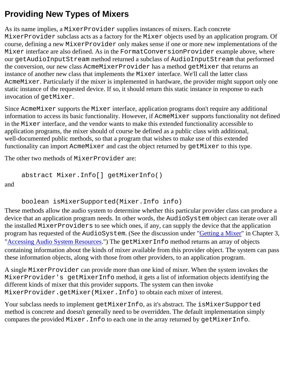# **Providing New Types of Mixers**

As its name implies, a MixerProvider supplies instances of mixers. Each concrete MixerProvider subclass acts as a factory for the Mixer objects used by an application program. Of course, defining a new MixerProvider only makes sense if one or more new implementations of the Mixer interface are also defined. As in the FormatConversionProvider example above, where our getAudioInputStream method returned a subclass of AudioInputStream that performed the conversion, our new class AcmeMixerProvider has a method getMixer that returns an instance of another new class that implements the Mixer interface. We'll call the latter class AcmeMixer. Particularly if the mixer is implemented in hardware, the provider might support only one static instance of the requested device. If so, it should return this static instance in response to each invocation of getMixer.

Since AcmeMixer supports the Mixer interface, application programs don't require any additional information to access its basic functionality. However, if AcmeMixer supports functionality not defined in the Mixer interface, and the vendor wants to make this extended functionality accessible to application programs, the mixer should of course be defined as a public class with additional, well-documented public methods, so that a program that wishes to make use of this extended functionality can import AcmeMixer and cast the object returned by getMixer to this type.

The other two methods of MixerProvider are:

```
abstract Mixer.Info[] getMixerInfo()
```
and

```
boolean isMixerSupported(Mixer.Info info)
```
These methods allow the audio system to determine whether this particular provider class can produce a device that an application program needs. In other words, the AudioSystem object can iterate over all the installed MixerProviders to see which ones, if any, can supply the device that the application program has requested of the AudioSystem. (See the discussion under ["Getting a Mixer"](#page-26-0) in Chapter 3, "[Accessing Audio System Resources.](#page-25-0)") The getMixerInfo method returns an array of objects containing information about the kinds of mixer available from this provider object. The system can pass these information objects, along with those from other providers, to an application program.

A single MixerProvider can provide more than one kind of mixer. When the system invokes the MixerProvider's getMixerInfo method, it gets a list of information objects identifying the different kinds of mixer that this provider supports. The system can then invoke MixerProvider.getMixer(Mixer.Info) to obtain each mixer of interest.

Your subclass needs to implement getMixerInfo, as it's abstract. The isMixerSupported method is concrete and doesn't generally need to be overridden. The default implementation simply compares the provided Mixer.Info to each one in the array returned by getMixerInfo.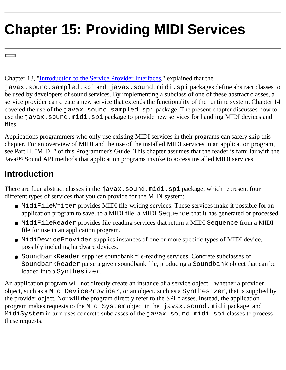# **Chapter 15: Providing MIDI Services**

Chapter 13, "[Introduction to the Service Provider Interfaces,](#page-98-0)" explained that the

javax.sound.sampled.spi and javax.sound.midi.spi packages define abstract classes to be used by developers of sound services. By implementing a subclass of one of these abstract classes, a service provider can create a new service that extends the functionality of the runtime system. Chapter 14 covered the use of the javax.sound.sampled.spi package. The present chapter discusses how to use the javax.sound.midi.spi package to provide new services for handling MIDI devices and files.

Applications programmers who only use existing MIDI services in their programs can safely skip this chapter. For an overview of MIDI and the use of the installed MIDI services in an application program, see Part II, "MIDI," of this Programmer's Guide. This chapter assumes that the reader is familiar with the JavaTM Sound API methods that application programs invoke to access installed MIDI services.

## **Introduction**

There are four abstract classes in the javax. sound.midi.spi package, which represent four different types of services that you can provide for the MIDI system:

- MidiFileWriter provides MIDI file-writing services. These services make it possible for an application program to save, to a MIDI file, a MIDI Sequence that it has generated or processed.
- MidiFileReader provides file-reading services that return a MIDI Sequence from a MIDI file for use in an application program.
- MidiDeviceProvider supplies instances of one or more specific types of MIDI device, possibly including hardware devices.
- SoundbankReader supplies soundbank file-reading services. Concrete subclasses of SoundbankReader parse a given soundbank file, producing a Soundbank object that can be loaded into a Synthesizer.

An application program will not directly create an instance of a service object—whether a provider object, such as a MidiDeviceProvider, or an object, such as a Synthesizer, that is supplied by the provider object. Nor will the program directly refer to the SPI classes. Instead, the application program makes requests to the MidiSystem object in the javax.sound.midi package, and MidiSystem in turn uses concrete subclasses of the javax.sound.midi.spi classes to process these requests.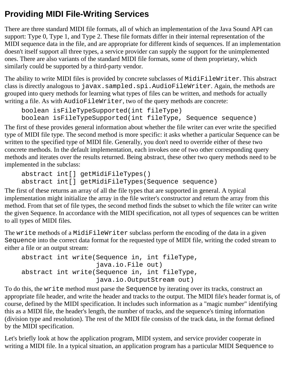## **Providing MIDI File-Writing Services**

There are three standard MIDI file formats, all of which an implementation of the Java Sound API can support: Type 0, Type 1, and Type 2. These file formats differ in their internal representation of the MIDI sequence data in the file, and are appropriate for different kinds of sequences. If an implementation doesn't itself support all three types, a service provider can supply the support for the unimplemented ones. There are also variants of the standard MIDI file formats, some of them proprietary, which similarly could be supported by a third-party vendor.

The ability to write MIDI files is provided by concrete subclasses of MidiFileWriter. This abstract class is directly analogous to javax.sampled.spi.AudioFileWriter.Again, the methods are grouped into query methods for learning what types of files can be written, and methods for actually writing a file. As with AudioFileWriter, two of the query methods are concrete:

```
boolean isFileTypeSupported(int fileType)
boolean isFileTypeSupported(int fileType, Sequence sequence)
```
The first of these provides general information about whether the file writer can ever write the specified type of MIDI file type. The second method is more specific: it asks whether a particular Sequence can be written to the specified type of MIDI file. Generally, you don't need to override either of these two concrete methods. In the default implementation, each invokes one of two other corresponding query methods and iterates over the results returned. Being abstract, these other two query methods need to be implemented in the subclass:

```
abstract int[] getMidiFileTypes() 
abstract int[] getMidiFileTypes(Sequence sequence)
```
The first of these returns an array of all the file types that are supported in general. A typical implementation might initialize the array in the file writer's constructor and return the array from this method. From that set of file types, the second method finds the subset to which the file writer can write the given Sequence. In accordance with the MIDI specification, not all types of sequences can be written to all types of MIDI files.

The write methods of a MidiFileWriter subclass perform the encoding of the data in a given Sequence into the correct data format for the requested type of MIDI file, writing the coded stream to either a file or an output stream:

```
abstract int write(Sequence in, int fileType, 
                     java.io.File out) 
abstract int write(Sequence in, int fileType, 
                     java.io.OutputStream out)
```
To do this, the write method must parse the Sequence by iterating over its tracks, construct an appropriate file header, and write the header and tracks to the output. The MIDI file's header format is, of course, defined by the MIDI specification. It includes such information as a "magic number" identifying this as a MIDI file, the header's length, the number of tracks, and the sequence's timing information (division type and resolution). The rest of the MIDI file consists of the track data, in the format defined by the MIDI specification.

Let's briefly look at how the application program, MIDI system, and service provider cooperate in writing a MIDI file. In a typical situation, an application program has a particular MIDI Sequence to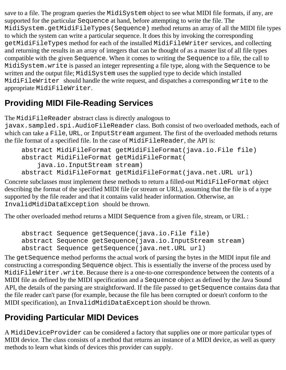save to a file. The program queries the MidiSystem object to see what MIDI file formats, if any, are supported for the particular Sequence at hand, before attempting to write the file. The MidiSystem.getMidiFileTypes(Sequence) method returns an array of all the MIDI file types to which the system can write a particular sequence. It does this by invoking the corresponding getMidiFileTypes method for each of the installed MidiFileWriter services, and collecting and returning the results in an array of integers that can be thought of as a master list of all file types compatible with the given Sequence. When it comes to writing the Sequence to a file, the call to MidiSystem.write is passed an integer representing a file type, along with the Sequence to be written and the output file; MidiSystem uses the supplied type to decide which installed MidiFileWriter should handle the write request, and dispatches a corresponding write to the appropriate MidiFileWriter.

## **Providing MIDI File-Reading Services**

The MidiFileReader abstract class is directly analogous to

javax.sampled.spi.AudioFileReader class. Both consist of two overloaded methods, each of which can take a File, URL, or InputStream argument. The first of the overloaded methods returns the file format of a specified file. In the case of MidiFileReader, the API is:

```
abstract MidiFileFormat getMidiFileFormat(java.io.File file) 
abstract MidiFileFormat getMidiFileFormat(
     java.io.InputStream stream) 
abstract MidiFileFormat getMidiFileFormat(java.net.URL url)
```
Concrete subclasses must implement these methods to return a filled-out MidiFileFormat object describing the format of the specified MIDI file (or stream or URL), assuming that the file is of a type supported by the file reader and that it contains valid header information. Otherwise, an InvalidMidiDataException should be thrown.

The other overloaded method returns a MIDI Sequence from a given file, stream, or URL :

```
abstract Sequence getSequence(java.io.File file) 
abstract Sequence getSequence(java.io.InputStream stream) 
abstract Sequence getSequence(java.net.URL url)
```
The getSequence method performs the actual work of parsing the bytes in the MIDI input file and constructing a corresponding Sequence object. This is essentially the inverse of the process used by MidiFileWriter.write. Because there is a one-to-one correspondence between the contents of a MIDI file as defined by the MIDI specification and a Sequence object as defined by the Java Sound API, the details of the parsing are straightforward. If the file passed to get Sequence contains data that the file reader can't parse (for example, because the file has been corrupted or doesn't conform to the MIDI specification), an InvalidMidiDataException should be thrown.

## **Providing Particular MIDI Devices**

A MidiDeviceProvider can be considered a factory that supplies one or more particular types of MIDI device. The class consists of a method that returns an instance of a MIDI device, as well as query methods to learn what kinds of devices this provider can supply.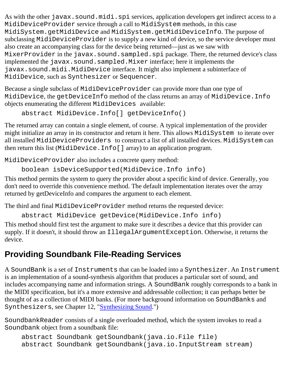As with the other javax.sound.midi.spi services, application developers get indirect access to a MidiDeviceProvider service through a call to MidiSystem methods, in this case MidiSystem.getMidiDevice and MidiSystem.getMidiDeviceInfo. The purpose of subclassing MidiDeviceProvider is to supply a new kind of device, so the service developer must also create an accompanying class for the device being returned—just as we saw with MixerProvider in the javax.sound.sampled.spi package. There, the returned device's class implemented the javax.sound.sampled.Mixer interface; here it implements the javax.sound.midi.MidiDevice interface. It might also implement a subinterface of MidiDevice, such as Synthesizer or Sequencer.

Because a single subclass of MidiDeviceProvider can provide more than one type of MidiDevice, the getDeviceInfo method of the class returns an array of MidiDevice.Info objects enumerating the different MidiDevices available:

```
abstract MidiDevice.Info[] getDeviceInfo()
```
The returned array can contain a single element, of course. A typical implementation of the provider might initialize an array in its constructor and return it here. This allows MidiSystem to iterate over all installed MidiDeviceProviders to construct a list of all installed devices. MidiSystem can then return this list (MidiDevice.Info[] array) to an application program.

MidiDeviceProvider also includes a concrete query method:

```
boolean isDeviceSupported(MidiDevice.Info info)
```
This method permits the system to query the provider about a specific kind of device. Generally, you don't need to override this convenience method. The default implementation iterates over the array returned by getDeviceInfo and compares the argument to each element.

The third and final MidiDeviceProvider method returns the requested device:

abstract MidiDevice getDevice(MidiDevice.Info info)

This method should first test the argument to make sure it describes a device that this provider can supply. If it doesn't, it should throw an IllegalArgumentException. Otherwise, it returns the device.

## **Providing Soundbank File-Reading Services**

A SoundBank is a set of Instruments that can be loaded into a Synthesizer. An Instrument is an implementation of a sound-synthesis algorithm that produces a particular sort of sound, and includes accompanying name and information strings. A SoundBank roughly corresponds to a bank in the MIDI specification, but it's a more extensive and addressable collection; it can perhaps better be thought of as a collection of MIDI banks. (For more background information on SoundBanks and Synthesizers, see Chapter 12, "[Synthesizing Sound](#page-89-0).")

SoundbankReader consists of a single overloaded method, which the system invokes to read a Soundbank object from a soundbank file:

```
abstract Soundbank getSoundbank(java.io.File file) 
abstract Soundbank getSoundbank(java.io.InputStream stream)
```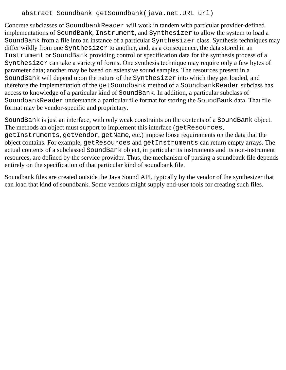#### abstract Soundbank getSoundbank(java.net.URL url)

Concrete subclasses of SoundbankReader will work in tandem with particular provider-defined implementations of SoundBank, Instrument, and Synthesizer to allow the system to load a SoundBank from a file into an instance of a particular Synthesizer class. Synthesis techniques may differ wildly from one Synthesizer to another, and, as a consequence, the data stored in an Instrument or SoundBank providing control or specification data for the synthesis process of a Synthesizer can take a variety of forms. One synthesis technique may require only a few bytes of parameter data; another may be based on extensive sound samples. The resources present in a SoundBank will depend upon the nature of the Synthesizer into which they get loaded, and therefore the implementation of the getSoundbank method of a SoundbankReader subclass has access to knowledge of a particular kind of SoundBank. In addition, a particular subclass of SoundbankReader understands a particular file format for storing the SoundBank data. That file format may be vendor-specific and proprietary.

SoundBank is just an interface, with only weak constraints on the contents of a SoundBank object. The methods an object must support to implement this interface (getResources, getInstruments, getVendor, getName, etc.) impose loose requirements on the data that the object contains. For example, getResources and getInstruments can return empty arrays. The actual contents of a subclassed SoundBank object, in particular its instruments and its non-instrument resources, are defined by the service provider. Thus, the mechanism of parsing a soundbank file depends entirely on the specification of that particular kind of soundbank file.

Soundbank files are created outside the Java Sound API, typically by the vendor of the synthesizer that can load that kind of soundbank. Some vendors might supply end-user tools for creating such files.